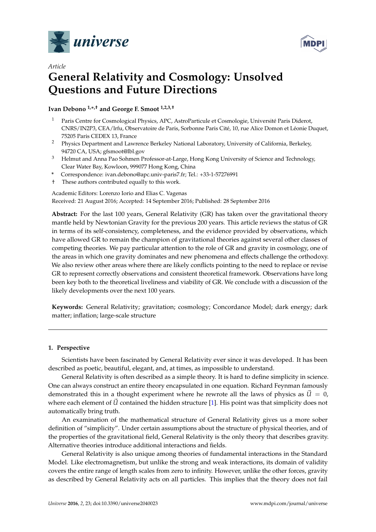



# *Article* **General Relativity and Cosmology: Unsolved Questions and Future Directions**

**Ivan Debono 1,**∗**,† and George F. Smoot 1,2,3,†**

- <sup>1</sup> Paris Centre for Cosmological Physics, APC, AstroParticule et Cosmologie, Université Paris Diderot, CNRS/IN2P3, CEA/lrfu, Observatoire de Paris, Sorbonne Paris Cité, 10, rue Alice Domon et Léonie Duquet, 75205 Paris CEDEX 13, France
- <sup>2</sup> Physics Department and Lawrence Berkeley National Laboratory, University of California, Berkeley, 94720 CA, USA; gfsmoot@lbl.gov
- <sup>3</sup> Helmut and Anna Pao Sohmen Professor-at-Large, Hong Kong University of Science and Technology, Clear Water Bay, Kowloon, 999077 Hong Kong, China
- **\*** Correspondence: ivan.debono@apc.univ-paris7.fr; Tel.: +33-1-57276991
- † These authors contributed equally to this work.

Academic Editors: Lorenzo Iorio and Elias C. Vagenas Received: 21 August 2016; Accepted: 14 September 2016; Published: 28 September 2016

**Abstract:** For the last 100 years, General Relativity (GR) has taken over the gravitational theory mantle held by Newtonian Gravity for the previous 200 years. This article reviews the status of GR in terms of its self-consistency, completeness, and the evidence provided by observations, which have allowed GR to remain the champion of gravitational theories against several other classes of competing theories. We pay particular attention to the role of GR and gravity in cosmology, one of the areas in which one gravity dominates and new phenomena and effects challenge the orthodoxy. We also review other areas where there are likely conflicts pointing to the need to replace or revise GR to represent correctly observations and consistent theoretical framework. Observations have long been key both to the theoretical liveliness and viability of GR. We conclude with a discussion of the likely developments over the next 100 years.

**Keywords:** General Relativity; gravitation; cosmology; Concordance Model; dark energy; dark matter; inflation; large-scale structure

## **1. Perspective**

Scientists have been fascinated by General Relativity ever since it was developed. It has been described as poetic, beautiful, elegant, and, at times, as impossible to understand.

General Relativity is often described as a simple theory. It is hard to define simplicity in science. One can always construct an entire theory encapsulated in one equation. Richard Feynman famously demonstrated this in a thought experiment where he rewrote all the laws of physics as  $\bar{U} = 0$ , where each element of *U* contained the hidden structure [\[1\]](#page-62-0). His point was that simplicity does not automatically bring truth.

An examination of the mathematical structure of General Relativity gives us a more sober definition of "simplicity". Under certain assumptions about the structure of physical theories, and of the properties of the gravitational field, General Relativity is the only theory that describes gravity. Alternative theories introduce additional interactions and fields.

General Relativity is also unique among theories of fundamental interactions in the Standard Model. Like electromagnetism, but unlike the strong and weak interactions, its domain of validity covers the entire range of length scales from zero to infinity. However, unlike the other forces, gravity as described by General Relativity acts on all particles. This implies that the theory does not fail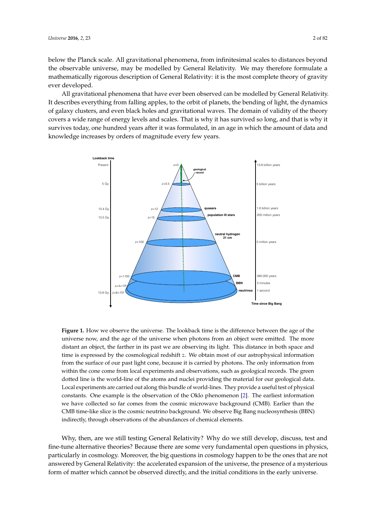below the Planck scale. All gravitational phenomena, from infinitesimal scales to distances beyond the observable universe, may be modelled by General Relativity. We may therefore formulate a mathematically rigorous description of General Relativity: it is the most complete theory of gravity ever developed.

All gravitational phenomena that have ever been observed can be modelled by General Relativity. It describes everything from falling apples, to the orbit of planets, the bending of light, the dynamics of galaxy clusters, and even black holes and gravitational waves. The domain of validity of the theory covers a wide range of energy levels and scales. That is why it has survived so long, and that is why it survives today, one hundred years after it was formulated, in an age in which the amount of data and knowledge increases by orders of magnitude every few years.

<span id="page-1-0"></span>

**Figure 1.** How we observe the universe. The lookback time is the difference between the age of the universe now, and the age of the universe when photons from an object were emitted. The more distant an object, the farther in its past we are observing its light. This distance in both space and time is expressed by the cosmological redshift *z*. We obtain most of our astrophysical information from the surface of our past light cone, because it is carried by photons. The only information from within the cone come from local experiments and observations, such as geological records. The green dotted line is the world-line of the atoms and nuclei providing the material for our geological data. Local experiments are carried out along this bundle of world-lines. They provide a useful test of physical constants. One example is the observation of the Oklo phenomenon [\[2\]](#page-62-1). The earliest information we have collected so far comes from the cosmic microwave background (CMB). Earlier than the CMB time-like slice is the cosmic neutrino background. We observe Big Bang nucleosynthesis (BBN) indirectly, through observations of the abundances of chemical elements.

Why, then, are we still testing General Relativity? Why do we still develop, discuss, test and fine-tune alternative theories? Because there are some very fundamental open questions in physics, particularly in cosmology. Moreover, the big questions in cosmology happen to be the ones that are not answered by General Relativity: the accelerated expansion of the universe, the presence of a mysterious form of matter which cannot be observed directly, and the initial conditions in the early universe.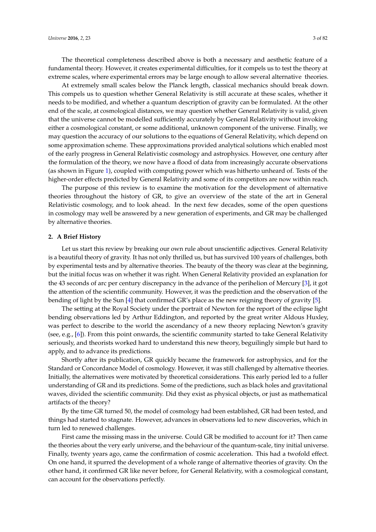The theoretical completeness described above is both a necessary and aesthetic feature of a fundamental theory. However, it creates experimental difficulties, for it compels us to test the theory at extreme scales, where experimental errors may be large enough to allow several alternative theories.

At extremely small scales below the Planck length, classical mechanics should break down. This compels us to question whether General Relativity is still accurate at these scales, whether it needs to be modified, and whether a quantum description of gravity can be formulated. At the other end of the scale, at cosmological distances, we may question whether General Relativity is valid, given that the universe cannot be modelled sufficiently accurately by General Relativity without invoking either a cosmological constant, or some additional, unknown component of the universe. Finally, we may question the accuracy of our solutions to the equations of General Relativity, which depend on some approximation scheme. These approximations provided analytical solutions which enabled most of the early progress in General Relativistic cosmology and astrophysics. However, one century after the formulation of the theory, we now have a flood of data from increasingly accurate observations (as shown in Figure [1\)](#page-1-0), coupled with computing power which was hitherto unheard of. Tests of the higher-order effects predicted by General Relativity and some of its competitors are now within reach.

The purpose of this review is to examine the motivation for the development of alternative theories throughout the history of GR, to give an overview of the state of the art in General Relativistic cosmology, and to look ahead. In the next few decades, some of the open questions in cosmology may well be answered by a new generation of experiments, and GR may be challenged by alternative theories.

#### **2. A Brief History**

Let us start this review by breaking our own rule about unscientific adjectives. General Relativity is a beautiful theory of gravity. It has not only thrilled us, but has survived 100 years of challenges, both by experimental tests and by alternative theories. The beauty of the theory was clear at the beginning, but the initial focus was on whether it was right. When General Relativity provided an explanation for the 43 seconds of arc per century discrepancy in the advance of the perihelion of Mercury [\[3\]](#page-62-2), it got the attention of the scientific community. However, it was the prediction and the observation of the bending of light by the Sun [\[4\]](#page-62-3) that confirmed GR's place as the new reigning theory of gravity [\[5\]](#page-62-4).

The setting at the Royal Society under the portrait of Newton for the report of the eclipse light bending observations led by Arthur Eddington, and reported by the great writer Aldous Huxley, was perfect to describe to the world the ascendancy of a new theory replacing Newton's gravity (see, e.g., [\[6\]](#page-62-5)). From this point onwards, the scientific community started to take General Relativity seriously, and theorists worked hard to understand this new theory, beguilingly simple but hard to apply, and to advance its predictions.

Shortly after its publication, GR quickly became the framework for astrophysics, and for the Standard or Concordance Model of cosmology. However, it was still challenged by alternative theories. Initially, the alternatives were motivated by theoretical considerations. This early period led to a fuller understanding of GR and its predictions. Some of the predictions, such as black holes and gravitational waves, divided the scientific community. Did they exist as physical objects, or just as mathematical artifacts of the theory?

By the time GR turned 50, the model of cosmology had been established, GR had been tested, and things had started to stagnate. However, advances in observations led to new discoveries, which in turn led to renewed challenges.

First came the missing mass in the universe. Could GR be modified to account for it? Then came the theories about the very early universe, and the behaviour of the quantum-scale, tiny initial universe. Finally, twenty years ago, came the confirmation of cosmic acceleration. This had a twofold effect. On one hand, it spurred the development of a whole range of alternative theories of gravity. On the other hand, it confirmed GR like never before, for General Relativity, with a cosmological constant, can account for the observations perfectly.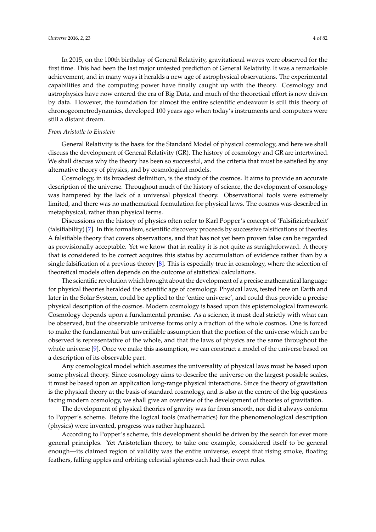In 2015, on the 100th birthday of General Relativity, gravitational waves were observed for the first time. This had been the last major untested prediction of General Relativity. It was a remarkable achievement, and in many ways it heralds a new age of astrophysical observations. The experimental capabilities and the computing power have finally caught up with the theory. Cosmology and astrophysics have now entered the era of Big Data, and much of the theoretical effort is now driven by data. However, the foundation for almost the entire scientific endeavour is still this theory of chronogeometrodynamics, developed 100 years ago when today's instruments and computers were still a distant dream.

## *From Aristotle to Einstein*

General Relativity is the basis for the Standard Model of physical cosmology, and here we shall discuss the development of General Relativity (GR). The history of cosmology and GR are intertwined. We shall discuss why the theory has been so successful, and the criteria that must be satisfied by any alternative theory of physics, and by cosmological models.

Cosmology, in its broadest definition, is the study of the cosmos. It aims to provide an accurate description of the universe. Throughout much of the history of science, the development of cosmology was hampered by the lack of a universal physical theory. Observational tools were extremely limited, and there was no mathematical formulation for physical laws. The cosmos was described in metaphysical, rather than physical terms.

Discussions on the history of physics often refer to Karl Popper's concept of 'Falsifizierbarkeit' (falsifiability) [\[7\]](#page-62-6). In this formalism, scientific discovery proceeds by successive falsifications of theories. A falsifiable theory that covers observations, and that has not yet been proven false can be regarded as provisionally acceptable. Yet we know that in reality it is not quite as straightforward. A theory that is considered to be correct acquires this status by accumulation of evidence rather than by a single falsification of a previous theory  $[8]$ . This is especially true in cosmology, where the selection of theoretical models often depends on the outcome of statistical calculations.

The scientific revolution which brought about the development of a precise mathematical language for physical theories heralded the scientific age of cosmology. Physical laws, tested here on Earth and later in the Solar System, could be applied to the 'entire universe', and could thus provide a precise physical description of the cosmos. Modern cosmology is based upon this epistemological framework. Cosmology depends upon a fundamental premise. As a science, it must deal strictly with what can be observed, but the observable universe forms only a fraction of the whole cosmos. One is forced to make the fundamental but unverifiable assumption that the portion of the universe which can be observed is representative of the whole, and that the laws of physics are the same throughout the whole universe [\[9\]](#page-62-8). Once we make this assumption, we can construct a model of the universe based on a description of its observable part.

Any cosmological model which assumes the universality of physical laws must be based upon some physical theory. Since cosmology aims to describe the universe on the largest possible scales, it must be based upon an application long-range physical interactions. Since the theory of gravitation is the physical theory at the basis of standard cosmology, and is also at the centre of the big questions facing modern cosmology, we shall give an overview of the development of theories of gravitation.

The development of physical theories of gravity was far from smooth, nor did it always conform to Popper's scheme. Before the logical tools (mathematics) for the phenomenological description (physics) were invented, progress was rather haphazard.

According to Popper's scheme, this development should be driven by the search for ever more general principles. Yet Aristotelian theory, to take one example, considered itself to be general enough—its claimed region of validity was the entire universe, except that rising smoke, floating feathers, falling apples and orbiting celestial spheres each had their own rules.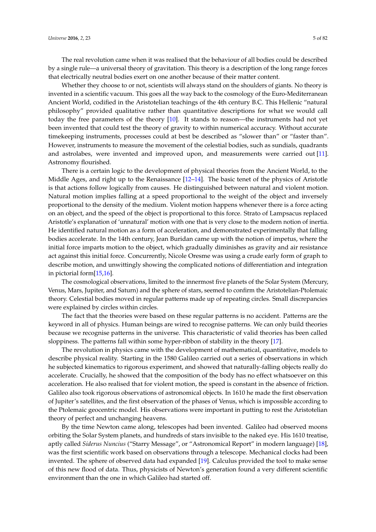The real revolution came when it was realised that the behaviour of all bodies could be described by a single rule—a universal theory of gravitation. This theory is a description of the long range forces that electrically neutral bodies exert on one another because of their matter content.

Whether they choose to or not, scientists will always stand on the shoulders of giants. No theory is invented in a scientific vacuum. This goes all the way back to the cosmology of the Euro-Mediterranean Ancient World, codified in the Aristotelian teachings of the 4th century B.C. This Hellenic "natural philosophy" provided qualitative rather than quantitative descriptions for what we would call today the free parameters of the theory [\[10\]](#page-62-9). It stands to reason—the instruments had not yet been invented that could test the theory of gravity to within numerical accuracy. Without accurate timekeeping instruments, processes could at best be described as "slower than" or "faster than". However, instruments to measure the movement of the celestial bodies, such as sundials, quadrants and astrolabes, were invented and improved upon, and measurements were carried out [\[11\]](#page-62-10). Astronomy flourished.

There is a certain logic to the development of physical theories from the Ancient World, to the Middle Ages, and right up to the Renaissance [\[12](#page-62-11)[–14\]](#page-62-12). The basic tenet of the physics of Aristotle is that actions follow logically from causes. He distinguished between natural and violent motion. Natural motion implies falling at a speed proportional to the weight of the object and inversely proportional to the density of the medium. Violent motion happens whenever there is a force acting on an object, and the speed of the object is proportional to this force. Strato of Lampsacus replaced Aristotle's explanation of 'unnatural' motion with one that is very close to the modern notion of inertia. He identified natural motion as a form of acceleration, and demonstrated experimentally that falling bodies accelerate. In the 14th century, Jean Buridan came up with the notion of impetus, where the initial force imparts motion to the object, which gradually diminishes as gravity and air resistance act against this initial force. Concurrently, Nicole Oresme was using a crude early form of graph to describe motion, and unwittingly showing the complicated notions of differentiation and integration in pictorial form[\[15,](#page-62-13)[16\]](#page-62-14).

The cosmological observations, limited to the innermost five planets of the Solar System (Mercury, Venus, Mars, Jupiter, and Saturn) and the sphere of stars, seemed to confirm the Aristotelian-Ptolemaic theory. Celestial bodies moved in regular patterns made up of repeating circles. Small discrepancies were explained by circles within circles.

The fact that the theories were based on these regular patterns is no accident. Patterns are the keyword in all of physics. Human beings are wired to recognise patterns. We can only build theories because we recognise patterns in the universe. This characteristic of valid theories has been called sloppiness. The patterns fall within some hyper-ribbon of stability in the theory [\[17\]](#page-62-15).

The revolution in physics came with the development of mathematical, quantitative, models to describe physical reality. Starting in the 1580 Galileo carried out a series of observations in which he subjected kinematics to rigorous experiment, and showed that naturally-falling objects really do accelerate. Crucially, he showed that the composition of the body has no effect whatsoever on this acceleration. He also realised that for violent motion, the speed is constant in the absence of friction. Galileo also took rigorous observations of astronomical objects. In 1610 he made the first observation of Jupiter's satellites, and the first observation of the phases of Venus, which is impossible according to the Ptolemaic geocentric model. His observations were important in putting to rest the Aristotelian theory of perfect and unchanging heavens.

By the time Newton came along, telescopes had been invented. Galileo had observed moons orbiting the Solar System planets, and hundreds of stars invisible to the naked eye. His 1610 treatise, aptly called *Siderus Nuncius* ("Starry Message", or "Astronomical Report" in modern language) [\[18\]](#page-62-16), was the first scientific work based on observations through a telescope. Mechanical clocks had been invented. The sphere of observed data had expanded [\[19\]](#page-62-17). Calculus provided the tool to make sense of this new flood of data. Thus, physicists of Newton's generation found a very different scientific environment than the one in which Galileo had started off.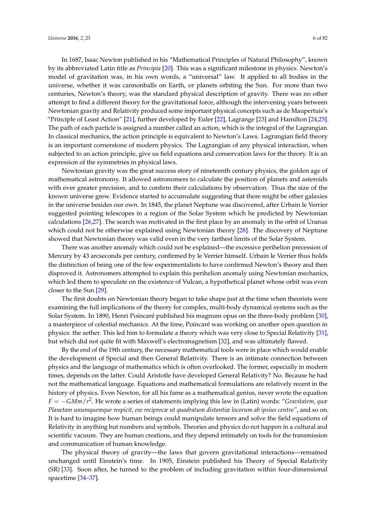expression of the symmetries in physical laws.

In 1687, Isaac Newton published in his "Mathematical Principles of Natural Philosophy", known by its abbreviated Latin title as *Principia* [\[20\]](#page-62-18). This was a significant milestone in physics. Newton's model of gravitation was, in his own words, a "universal" law. It applied to all bodies in the universe, whether it was cannonballs on Earth, or planets orbiting the Sun. For more than two centuries, Newton's theory, was the standard physical description of gravity. There was no other attempt to find a different theory for the gravitational force, although the intervening years between Newtonian gravity and Relativity produced some important physical concepts such as de Maupertuis's "Principle of Least Action" [\[21\]](#page-62-19), further developed by Euler [\[22\]](#page-62-20), Lagrange [\[23\]](#page-62-21) and Hamilton [\[24,](#page-62-22)[25\]](#page-62-23). The path of each particle is assigned a number called an action, which is the integral of the Lagrangian. In classical mechanics, the action principle is equivalent to Newton's Laws. Lagrangian field theory is an important cornerstone of modern physics. The Lagrangian of any physical interaction, when

Newtonian gravity was the great success story of nineteenth century physics, the golden age of mathematical astronomy. It allowed astronomers to calculate the position of planets and asteroids with ever greater precision, and to confirm their calculations by observation. Thus the size of the known universe grew. Evidence started to accumulate suggesting that there might be other galaxies in the universe besides our own. In 1845, the planet Neptune was discovered, after Urbain le Verrier suggested pointing telescopes in a region of the Solar System which he predicted by Newtonian calculations [\[26,](#page-62-24)[27\]](#page-62-25). The search was motivated in the first place by an anomaly in the orbit of Uranus which could not be otherwise explained using Newtonian theory [\[28\]](#page-62-26). The discovery of Neptune showed that Newtonian theory was valid even in the very farthest limits of the Solar System.

subjected to an action principle, give us field equations and conservation laws for the theory. It is an

There was another anomaly which could not be explained—the excessive perihelion precession of Mercury by 43 arcseconds per century, confirmed by le Verrier himself. Urbain le Verrier thus holds the distinction of being one of the few experimentalists to have confirmed Newton's theory and then disproved it. Astronomers attempted to explain this perihelion anomaly using Newtonian mechanics, which led them to speculate on the existence of Vulcan, a hypothetical planet whose orbit was even closer to the Sun [\[29\]](#page-62-27).

The first doubts on Newtonian theory began to take shape just at the time when theorists were examining the full implications of the theory for complex, multi-body dynamical systems such as the Solar System. In 1890, Henri Poincaré published his magnum opus on the three-body problem [\[30\]](#page-62-28), a masterpiece of celestial mechanics. At the time, Poincaré was working on another open question in physics: the aether. This led him to formulate a theory which was very close to Special Relativity [\[31\]](#page-63-0), but which did not quite fit with Maxwell's electromagnetism [\[32\]](#page-63-1), and was ultimately flawed.

By the end of the 19th century, the necessary mathematical tools were in place which would enable the development of Special and then General Relativity. There is an intimate connection between physics and the language of mathematics which is often overlooked. The former, especially in modern times, depends on the latter. Could Aristotle have developed General Relativity? No. Because he had not the mathematical language. Equations and mathematical formulations are relatively recent in the history of physics. Even Newton, for all his fame as a mathematical genius, never wrote the equation *F* = −*GMm*/*r* 2 . He wrote a series of statements implying this law in (Latin) words: "*Gravitatem, quæ Planetam unumquemque respicit, ese reciprocæ ut quadratum distantiæ locorum ab ipsius centro"*, and so on. It is hard to imagine how human beings could manipulate tensors and solve the field equations of Relativity in anything but numbers and symbols. Theories and physics do not happen in a cultural and scientific vacuum. They are human creations, and they depend intimately on tools for the transmission and communication of human knowledge.

The physical theory of gravity—the laws that govern gravitational interactions—remained unchanged until Einstein's time. In 1905, Einstein published his Theory of Special Relativity (SR) [\[33\]](#page-63-2). Soon after, he turned to the problem of including gravitation within four-dimensional spacetime [\[34](#page-63-3)[–37\]](#page-63-4).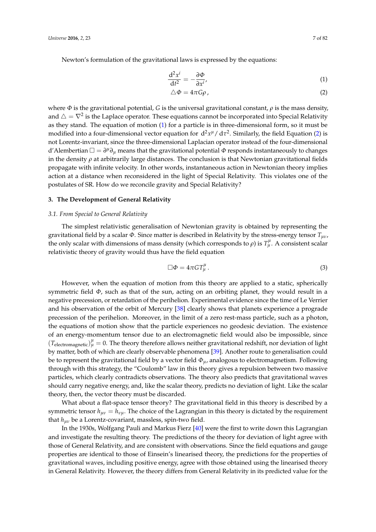Newton's formulation of the gravitational laws is expressed by the equations:

$$
\frac{\mathrm{d}^2 x^i}{\mathrm{d}t^2} = -\frac{\partial \Phi}{\partial x^i},\tag{1}
$$

<span id="page-6-1"></span><span id="page-6-0"></span>
$$
\triangle \Phi = 4\pi G \rho \,, \tag{2}
$$

where  $\Phi$  is the gravitational potential, *G* is the universal gravitational constant,  $\rho$  is the mass density, and  $\triangle = \nabla^2$  is the Laplace operator. These equations cannot be incorporated into Special Relativity as they stand. The equation of motion [\(1\)](#page-6-0) for a particle is in three-dimensional form, so it must be modified into a four-dimensional vector equation for  $d^2x^{\mu}/d\tau^2$ . Similarly, the field Equation [\(2\)](#page-6-1) is not Lorentz-invariant, since the three-dimensional Laplacian operator instead of the four-dimensional d'Alembertian = *∂ <sup>µ</sup>∂<sup>µ</sup>* means that the gravitational potential *Φ* responds instantaneously to changes in the density  $\rho$  at arbitrarily large distances. The conclusion is that Newtonian gravitational fields propagate with infinite velocity. In other words, instantaneous action in Newtonian theory implies action at a distance when reconsidered in the light of Special Relativity. This violates one of the postulates of SR. How do we reconcile gravity and Special Relativity?

## **3. The Development of General Relativity**

#### *3.1. From Special to General Relativity*

The simplest relativistic generalisation of Newtonian gravity is obtained by representing the gravitational field by a scalar *Φ*. Since matter is described in Relativity by the stress-energy tensor *Tµν*, the only scalar with dimensions of mass density (which corresponds to  $\rho$ ) is  $T^{\mu}_{\mu}$ . A consistent scalar relativistic theory of gravity would thus have the field equation

$$
\Box \Phi = 4\pi G T^{\mu}_{\mu} \,. \tag{3}
$$

However, when the equation of motion from this theory are applied to a static, spherically symmetric field *Φ*, such as that of the sun, acting on an orbiting planet, they would result in a negative precession, or retardation of the perihelion. Experimental evidence since the time of Le Verrier and his observation of the orbit of Mercury [\[38\]](#page-63-5) clearly shows that planets experience a prograde precession of the perihelion. Moreover, in the limit of a zero rest-mass particle, such as a photon, the equations of motion show that the particle experiences no geodesic deviation. The existence of an energy-momentum tensor due to an electromagnetic field would also be impossible, since  $(T_{\text{electromagnetic}})^{\mu}_{\mu} = 0$ . The theory therefore allows neither gravitational redshift, nor deviation of light by matter, both of which are clearly observable phenomena [\[39\]](#page-63-6). Another route to generalisation could be to represent the gravitational field by a vector field *Φµ*, analogous to electromagnetism. Following through with this strategy, the "Coulomb" law in this theory gives a repulsion between two massive particles, which clearly contradicts observations. The theory also predicts that gravitational waves should carry negative energy, and, like the scalar theory, predicts no deviation of light. Like the scalar theory, then, the vector theory must be discarded.

What about a flat-space tensor theory? The gravitational field in this theory is described by a symmetric tensor  $h_{\mu\nu} = h_{\nu\mu}$ . The choice of the Lagrangian in this theory is dictated by the requirement that *hµν* be a Lorentz-covariant, massless, spin-two field.

In the 1930s, Wolfgang Pauli and Markus Fierz [\[40\]](#page-63-7) were the first to write down this Lagrangian and investigate the resulting theory. The predictions of the theory for deviation of light agree with those of General Relativity, and are consistent with observations. Since the field equations and gauge properties are identical to those of Einsein's linearised theory, the predictions for the properties of gravitational waves, including positive energy, agree with those obtained using the linearised theory in General Relativity. However, the theory differs from General Relativity in its predicted value for the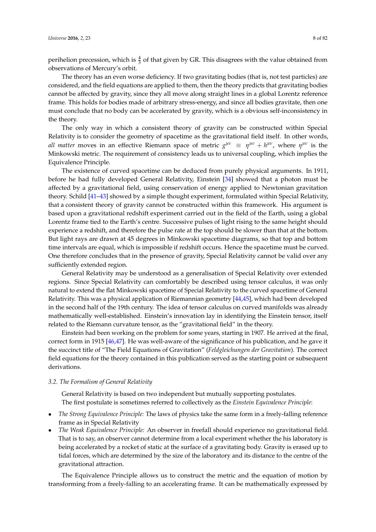perihelion precession, which is  $\frac{4}{3}$  of that given by GR. This disagrees with the value obtained from observations of Mercury's orbit.

The theory has an even worse deficiency. If two gravitating bodies (that is, not test particles) are considered, and the field equations are applied to them, then the theory predicts that gravitating bodies cannot be affected by gravity, since they all move along straight lines in a global Lorentz reference frame. This holds for bodies made of arbitrary stress-energy, and since all bodies gravitate, then one must conclude that no body can be accelerated by gravity, which is a obvious self-inconsistency in the theory.

The only way in which a consistent theory of gravity can be constructed within Special Relativity is to consider the geometry of spacetime as the gravitational field itself. In other words, *all matter* moves in an effective Riemann space of metric  $g^{\mu\nu} \equiv \eta^{\mu\nu} + h^{\mu\nu}$ , where  $\eta^{\mu\nu}$  is the Minkowski metric. The requirement of consistency leads us to universal coupling, which implies the Equivalence Principle.

The existence of curved spacetime can be deduced from purely physical arguments. In 1911, before he had fully developed General Relativity, Einstein [\[34\]](#page-63-3) showed that a photon must be affected by a gravitational field, using conservation of energy applied to Newtonian gravitation theory. Schild [\[41](#page-63-8)[–43\]](#page-63-9) showed by a simple thought experiment, formulated within Special Relativity, that a consistent theory of gravity cannot be constructed within this framework. His argument is based upon a gravitational redshift experiment carried out in the field of the Earth, using a global Lorentz frame tied to the Earth's centre. Successive pulses of light rising to the same height should experience a redshift, and therefore the pulse rate at the top should be slower than that at the bottom. But light rays are drawn at 45 degrees in Minkowski spacetime diagrams, so that top and bottom time intervals are equal, which is impossible if redshift occurs. Hence the spacetime must be curved. One therefore concludes that in the presence of gravity, Special Relativity cannot be valid over any sufficiently extended region.

General Relativity may be understood as a generalisation of Special Relativity over extended regions. Since Special Relativity can comfortably be described using tensor calculus, it was only natural to extend the flat Minkowski spacetime of Special Relativity to the curved spacetime of General Relativity. This was a physical application of Riemannian geometry [\[44,](#page-63-10)[45\]](#page-63-11), which had been developed in the second half of the 19th century. The idea of tensor calculus on curved manifolds was already mathematically well-established. Einstein's innovation lay in identifying the Einstein tensor, itself related to the Riemann curvature tensor, as the "gravitational field" in the theory.

Einstein had been working on the problem for some years, starting in 1907. He arrived at the final, correct form in 1915 [\[46,](#page-63-12)[47\]](#page-63-13). He was well-aware of the significance of his publication, and he gave it the succinct title of "The Field Equations of Gravitation" (*Feldgleichungen der Gravitation*). The correct field equations for the theory contained in this publication served as the starting point or subsequent derivations.

#### *3.2. The Formalism of General Relativity*

General Relativity is based on two independent but mutually supporting postulates. The first postulate is sometimes referred to collectively as the *Einstein Equivalence Principle*:

- *The Strong Equivalence Principle:* The laws of physics take the same form in a freely-falling reference frame as in Special Relativity
- *The Weak Equivalence Principle:* An observer in freefall should experience no gravitational field. That is to say, an observer cannot determine from a local experiment whether the his laboratory is being accelerated by a rocket of static at the surface of a gravitating body. Gravity is erased up to tidal forces, which are determined by the size of the laboratory and its distance to the centre of the gravitational attraction.

The Equivalence Principle allows us to construct the metric and the equation of motion by transforming from a freely-falling to an accelerating frame. It can be mathematically expressed by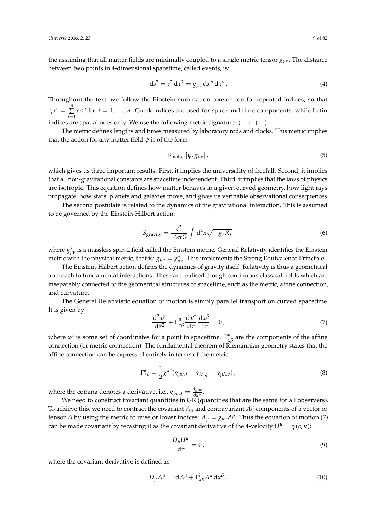the assuming that all matter fields are minimally coupled to a single metric tensor *gµν*. The distance between two points in 4-dimensional spacetime, called events, is:

<span id="page-8-1"></span>
$$
ds^2 = c^2 d\tau^2 = g_{\mu\nu} dx^{\mu} dx^{\nu}.
$$
 (4)

Throughout the text, we follow the Einstein summation convention for repeated indices, so that  $c_i x^i = \sum_{i=1}^n$  $\sum_{i=1}^{n} c_i x^i$  for  $i = 1, ..., n$ . Greek indices are used for space and time components, while Latin indices are spatial ones only. We use the following metric signature:  $(- + + +)$ .

The metric defines lengths and times measured by laboratory rods and clocks. This metric implies that the action for any matter field *ψ* is of the form

$$
S_{\text{matter}}[\psi, g_{\mu\nu}], \qquad (5)
$$

which gives us three important results. First, it implies the universality of freefall. Second, it implies that all non-gravitational constants are spacetime independent. Third, it implies that the laws of physics are isotropic. This equation defines how matter behaves in a given curved geometry, how light rays propagate, how stars, planets and galaxies move, and gives us verifiable observational consequences.

The second postulate is related to the dynamics of the gravitational interaction. This is assumed to be governed by the Einstein-Hilbert action:

$$
S_{\text{gravity}} = \frac{c^3}{16\pi G} \int \, \mathrm{d}^4 x \sqrt{-g_* R_*} \tag{6}
$$

*where g<sub>∗ν</sub>* is a massless spin-2 field called the Einstein metric. General Relativity identifies the Einstein metric with the physical metric, that is:  $g_{\mu\nu} = g_{\mu\nu}^*$ . This implements the Strong Equivalence Principle.

The Einstein-Hilbert action defines the dynamics of gravity itself. Relativity is thus a geometrical approach to fundamental interactions. These are realised though continuous classical fields which are inseparably connected to the geometrical structures of spacetime, such as the metric, affine connection, and curvature.

The General Relativistic equation of motion is simply parallel transport on curved spacetime. It is given by

<span id="page-8-0"></span>
$$
\frac{\mathrm{d}^2 x^{\mu}}{\mathrm{d}\tau^2} + \Gamma^{\mu}_{\alpha\beta} \frac{\mathrm{d}x^{\alpha}}{\mathrm{d}\tau} \frac{\mathrm{d}x^{\beta}}{\mathrm{d}\tau} = 0, \qquad (7)
$$

where  $x^{\mu}$  is some set of coordinates for a point in spacetime.  $\Gamma^{\mu}_{\alpha\beta}$  are the components of the affine connection (or metric connection). The fundamental theorem of Riemannian geometry states that the affine connection can be expressed entirely in terms of the metric:

$$
\Gamma^{\alpha}_{\lambda\nu} = \frac{1}{2} g^{\alpha\nu} (g_{\mu\nu,\lambda} + g_{\lambda\nu,\mu} - g_{\mu\lambda,\nu}), \qquad (8)
$$

where the comma denotes a derivative, i.e.,  $g_{\mu\nu,\lambda} = \frac{\partial g_{\mu\nu}}{\partial x^{\lambda}}$  $\frac{\partial^2 \delta^{\mu\nu}}{\partial x^{\lambda}}$ .

We need to construct invariant quantities in GR (quantities that are the same for all observers). To achieve this, we need to contract the covariant  $A_\mu$  and contravariant  $A^\mu$  components of a vector or tensor *A* by using the metric to raise or lower indices:  $A_{\mu} = g_{\mu\nu} A^{\mu}$ . Thus the equation of motion [\(7\)](#page-8-0) can be made covariant by recasting it as the covariant derivative of the 4-velocity  $U^{\mu} = \gamma(c, \mathbf{v})$ :

$$
\frac{D_{\mu}U^{\mu}}{d\tau}=0,
$$
\t(9)

where the covariant derivative is defined as

$$
D_{\mu}A^{\mu} = dA^{\mu} + \Gamma^{\mu}_{\alpha\beta}A^{\alpha} dx^{\beta}.
$$
 (10)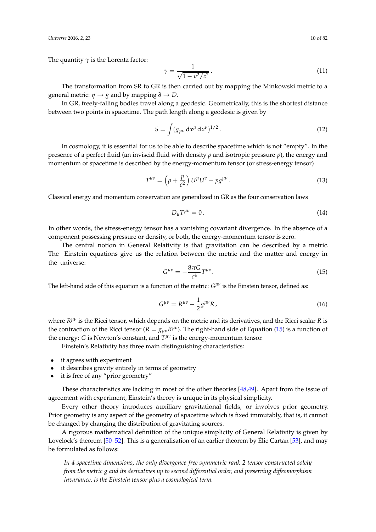*Universe* **2016**, *2*, 23 10 of 82

$$
\gamma = \frac{1}{\sqrt{1 - v^2/c^2}}.\tag{11}
$$

The transformation from SR to GR is then carried out by mapping the Minkowski metric to a general metric:  $\eta \rightarrow g$  and by mapping  $\partial \rightarrow D$ .

In GR, freely-falling bodies travel along a geodesic. Geometrically, this is the shortest distance between two points in spacetime. The path length along a geodesic is given by

<span id="page-9-1"></span>
$$
S = \int (g_{\mu\nu} \, dx^{\mu} \, dx^{\nu})^{1/2} \,. \tag{12}
$$

In cosmology, it is essential for us to be able to describe spacetime which is not "empty". In the presence of a perfect fluid (an inviscid fluid with density *ρ* and isotropic pressure *p*), the energy and momentum of spacetime is described by the energy-momentum tensor (or stress-energy tensor)

$$
T^{\mu\nu} = \left(\rho + \frac{p}{c^2}\right)U^{\mu}U^{\nu} - pg^{\mu\nu}.
$$
\n(13)

Classical energy and momentum conservation are generalized in GR as the four conservation laws

$$
D_{\mu}T^{\mu\nu} = 0. \tag{14}
$$

In other words, the stress-energy tensor has a vanishing covariant divergence. In the absence of a component possessing pressure or density, or both, the energy-momentum tensor is zero.

The central notion in General Relativity is that gravitation can be described by a metric. The Einstein equations give us the relation between the metric and the matter and energy in the universe:

<span id="page-9-0"></span>
$$
G^{\mu\nu} = -\frac{8\pi G}{c^4} T^{\mu\nu}.
$$
\n<sup>(15)</sup>

The left-hand side of this equation is a function of the metric: *G<sup>µv</sup>* is the Einstein tensor, defined as:

$$
G^{\mu\nu} = R^{\mu\nu} - \frac{1}{2} g^{\mu\nu} R \,, \tag{16}
$$

where *R µν* is the Ricci tensor, which depends on the metric and its derivatives, and the Ricci scalar *R* is the contraction of the Ricci tensor ( $R = g_{\mu\nu}R^{\mu\nu}$ ). The right-hand side of Equation [\(15\)](#page-9-0) is a function of the energy: *G* is Newton's constant, and  $T^{\mu\nu}$  is the energy-momentum tensor.

Einstein's Relativity has three main distinguishing characteristics:

- it agrees with experiment
- it describes gravity entirely in terms of geometry
- it is free of any "prior geometry"

These characteristics are lacking in most of the other theories [\[48](#page-63-14)[,49\]](#page-63-15). Apart from the issue of agreement with experiment, Einstein's theory is unique in its physical simplicity.

Every other theory introduces auxiliary gravitational fields, or involves prior geometry. Prior geometry is any aspect of the geometry of spacetime which is fixed immutably, that is, it cannot be changed by changing the distribution of gravitating sources.

A rigorous mathematical definition of the unique simplicity of General Relativity is given by Lovelock's theorem [\[50](#page-63-16)[–52\]](#page-63-17). This is a generalisation of an earlier theorem by Élie Cartan [\[53\]](#page-63-18), and may be formulated as follows:

*In 4 spacetime dimensions, the only divergence-free symmetric rank-2 tensor constructed solely from the metric g and its derivatives up to second differential order, and preserving diffeomorphism invariance, is the Einstein tensor plus a cosmological term.*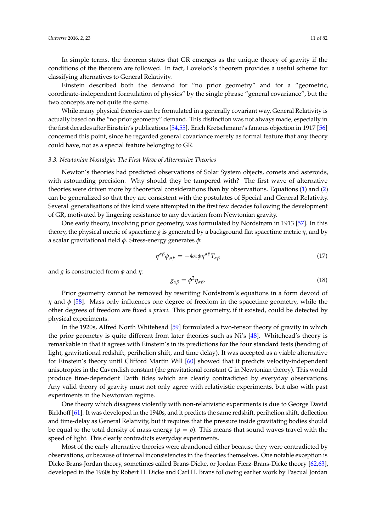In simple terms, the theorem states that GR emerges as the unique theory of gravity if the conditions of the theorem are followed. In fact, Lovelock's theorem provides a useful scheme for classifying alternatives to General Relativity.

Einstein described both the demand for "no prior geometry" and for a "geometric, coordinate-independent formulation of physics" by the single phrase "general covariance", but the two concepts are not quite the same.

While many physical theories can be formulated in a generally covariant way, General Relativity is actually based on the "no prior geometry" demand. This distinction was not always made, especially in the first decades after Einstein's publications [\[54](#page-63-19)[,55\]](#page-63-20). Erich Kretschmann's famous objection in 1917 [\[56\]](#page-63-21) concerned this point, since he regarded general covariance merely as formal feature that any theory could have, not as a special feature belonging to GR.

#### *3.3. Newtonian Nostalgia: The First Wave of Alternative Theories*

Newton's theories had predicted observations of Solar System objects, comets and asteroids, with astounding precision. Why should they be tampered with? The first wave of alternative theories were driven more by theoretical considerations than by observations. Equations [\(1\)](#page-6-0) and [\(2\)](#page-6-1) can be generalized so that they are consistent with the postulates of Special and General Relativity. Several generalisations of this kind were attempted in the first few decades following the development of GR, motivated by lingering resistance to any deviation from Newtonian gravity.

One early theory, involving prior geometry, was formulated by Nordstrøm in 1913 [\[57\]](#page-63-22). In this theory, the physical metric of spacetime *g* is generated by a background flat spacetime metric *η*, and by a scalar gravitational field *φ*. Stress-energy generates *φ*:

$$
\eta^{\alpha\beta}\phi_{,\alpha\beta} = -4\pi\phi\eta^{\alpha\beta}T_{\alpha\beta} \tag{17}
$$

and *g* is constructed from *φ* and *η*:

$$
g_{\alpha\beta} = \phi^2 \eta_{\alpha\beta}.
$$
 (18)

Prior geometry cannot be removed by rewriting Nordstrøm's equations in a form devoid of *η* and φ [\[58\]](#page-63-23). Mass only influences one degree of freedom in the spacetime geometry, while the other degrees of freedom are fixed *a priori*. This prior geometry, if it existed, could be detected by physical experiments.

In the 1920s, Alfred North Whitehead [\[59\]](#page-63-24) formulated a two-tensor theory of gravity in which the prior geometry is quite different from later theories such as Ni's [\[48\]](#page-63-14). Whitehead's theory is remarkable in that it agrees with Einstein's in its predictions for the four standard tests (bending of light, gravitational redshift, perihelion shift, and time delay). It was accepted as a viable alternative for Einstein's theory until Clifford Martin Will [\[60\]](#page-63-25) showed that it predicts velocity-independent anisotropies in the Cavendish constant (the gravitational constant *G* in Newtonian theory). This would produce time-dependent Earth tides which are clearly contradicted by everyday observations. Any valid theory of gravity must not only agree with relativistic experiments, but also with past experiments in the Newtonian regime.

One theory which disagrees violently with non-relativistic experiments is due to George David Birkhoff [\[61\]](#page-64-0). It was developed in the 1940s, and it predicts the same redshift, perihelion shift, deflection and time-delay as General Relativity, but it requires that the pressure inside gravitating bodies should be equal to the total density of mass-energy  $(p = \rho)$ . This means that sound waves travel with the speed of light. This clearly contradicts everyday experiments.

Most of the early alternative theories were abandoned either because they were contradicted by observations, or because of internal inconsistencies in the theories themselves. One notable exception is Dicke-Brans-Jordan theory, sometimes called Brans-Dicke, or Jordan-Fierz-Brans-Dicke theory [\[62,](#page-64-1)[63\]](#page-64-2), developed in the 1960s by Robert H. Dicke and Carl H. Brans following earlier work by Pascual Jordan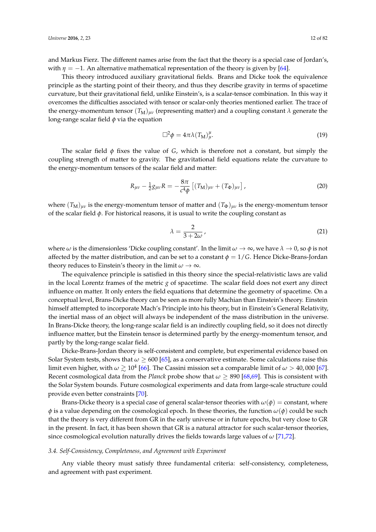and Markus Fierz. The different names arise from the fact that the theory is a special case of Jordan's, with  $\eta = -1$ . An alternative mathematical representation of the theory is given by [\[64\]](#page-64-3).

This theory introduced auxiliary gravitational fields. Brans and Dicke took the equivalence principle as the starting point of their theory, and thus they describe gravity in terms of spacetime curvature, but their gravitational field, unlike Einstein's, is a scalar-tensor combination. In this way it overcomes the difficulties associated with tensor or scalar-only theories mentioned earlier. The trace of the energy-momentum tensor  $(T_M)_{\mu\nu}$  (representing matter) and a coupling constant  $\lambda$  generate the long-range scalar field *φ* via the equation

$$
\Box^2 \phi = 4\pi \lambda (T_M)^{\mu}_{\mu}.
$$
 (19)

The scalar field *φ* fixes the value of *G*, which is therefore not a constant, but simply the coupling strength of matter to gravity. The gravitational field equations relate the curvature to the energy-momentum tensors of the scalar field and matter:

$$
R_{\mu\nu} - \frac{1}{2}g_{\mu\nu}R = -\frac{8\pi}{c^4\phi} \left[ (T_M)_{\mu\nu} + (T_{\Phi})_{\mu\nu} \right],
$$
 (20)

where  $(T_M)_{\mu\nu}$  is the energy-momentum tensor of matter and  $(T_{\Phi})_{\mu\nu}$  is the energy-momentum tensor of the scalar field *φ*. For historical reasons, it is usual to write the coupling constant as

$$
\lambda = \frac{2}{3 + 2\omega},\tag{21}
$$

where  $\omega$  is the dimensionless 'Dicke coupling constant'. In the limit  $\omega \to \infty$ , we have  $\lambda \to 0$ , so  $\phi$  is not affected by the matter distribution, and can be set to a constant  $\phi = 1/G$ . Hence Dicke-Brans-Jordan theory reduces to Einstein's theory in the limit  $\omega \to \infty$ .

The equivalence principle is satisfied in this theory since the special-relativistic laws are valid in the local Lorentz frames of the metric *g* of spacetime. The scalar field does not exert any direct influence on matter. It only enters the field equations that determine the geometry of spacetime. On a conceptual level, Brans-Dicke theory can be seen as more fully Machian than Einstein's theory. Einstein himself attempted to incorporate Mach's Principle into his theory, but in Einstein's General Relativity, the inertial mass of an object will always be independent of the mass distribution in the universe. In Brans-Dicke theory, the long-range scalar field is an indirectly coupling field, so it does not directly influence matter, but the Einstein tensor is determined partly by the energy-momentum tensor, and partly by the long-range scalar field.

Dicke-Brans-Jordan theory is self-consistent and complete, but experimental evidence based on Solar System tests, shows that *ω* ≥ 600 [\[65\]](#page-64-4), as a conservative estimate. Some calculations raise this limit even higher, with  $\omega\gtrsim10^4$  [\[66\]](#page-64-5). The Cassini mission set a comparable limit of  $\omega>40$ ,000 [\[67\]](#page-64-6). Recent cosmological data from the *Planck* probe show that *ω* ≥ 890 [\[68](#page-64-7)[,69\]](#page-64-8). This is consistent with the Solar System bounds. Future cosmological experiments and data from large-scale structure could provide even better constraints [\[70\]](#page-64-9).

Brans-Dicke theory is a special case of general scalar-tensor theories with  $\omega(\phi) = \text{constant}$ , where *φ* is a value depending on the cosmological epoch. In these theories, the function  $\omega(\phi)$  could be such that the theory is very different from GR in the early universe or in future epochs, but very close to GR in the present. In fact, it has been shown that GR is a natural attractor for such scalar-tensor theories, since cosmological evolution naturally drives the fields towards large values of *ω* [\[71,](#page-64-10)[72\]](#page-64-11).

## *3.4. Self-Consistency, Completeness, and Agreement with Experiment*

Any viable theory must satisfy three fundamental criteria: self-consistency, completeness, and agreement with past experiment.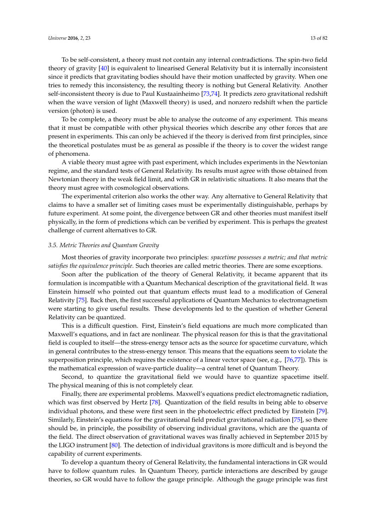To be self-consistent, a theory must not contain any internal contradictions. The spin-two field theory of gravity [\[40\]](#page-63-7) is equivalent to linearised General Relativity but it is internally inconsistent since it predicts that gravitating bodies should have their motion unaffected by gravity. When one tries to remedy this inconsistency, the resulting theory is nothing but General Relativity. Another self-inconsistent theory is due to Paul Kustaainheimo [\[73,](#page-64-12)[74\]](#page-64-13). It predicts zero gravitational redshift when the wave version of light (Maxwell theory) is used, and nonzero redshift when the particle version (photon) is used.

To be complete, a theory must be able to analyse the outcome of any experiment. This means that it must be compatible with other physical theories which describe any other forces that are present in experiments. This can only be achieved if the theory is derived from first principles, since the theoretical postulates must be as general as possible if the theory is to cover the widest range of phenomena.

A viable theory must agree with past experiment, which includes experiments in the Newtonian regime, and the standard tests of General Relativity. Its results must agree with those obtained from Newtonian theory in the weak field limit, and with GR in relativistic situations. It also means that the theory must agree with cosmological observations.

The experimental criterion also works the other way. Any alternative to General Relativity that claims to have a smaller set of limiting cases must be experimentally distinguishable, perhaps by future experiment. At some point, the divergence between GR and other theories must manifest itself physically, in the form of predictions which can be verified by experiment. This is perhaps the greatest challenge of current alternatives to GR.

## *3.5. Metric Theories and Quantum Gravity*

Most theories of gravity incorporate two principles: *spacetime possesses a metric; and that metric satisfies the equivalence principle*. Such theories are called metric theories. There are some exceptions.

Soon after the publication of the theory of General Relativity, it became apparent that its formulation is incompatible with a Quantum Mechanical description of the gravitational field. It was Einstein himself who pointed out that quantum effects must lead to a modification of General Relativity [\[75\]](#page-64-14). Back then, the first successful applications of Quantum Mechanics to electromagnetism were starting to give useful results. These developments led to the question of whether General Relativity can be quantized.

This is a difficult question. First, Einstein's field equations are much more complicated than Maxwell's equations, and in fact are nonlinear. The physical reason for this is that the gravitational field is coupled to itself—the stress-energy tensor acts as the source for spacetime curvature, which in general contributes to the stress-energy tensor. This means that the equations seem to violate the superposition principle, which requires the existence of a linear vector space (see, e.g., [\[76](#page-64-15)[,77\]](#page-64-16)). This is the mathematical expression of wave-particle duality—a central tenet of Quantum Theory.

Second, to quantize the gravitational field we would have to quantize spacetime itself. The physical meaning of this is not completely clear.

Finally, there are experimental problems. Maxwell's equations predict electromagnetic radiation, which was first observed by Hertz [\[78\]](#page-64-17). Quantization of the field results in being able to observe individual photons, and these were first seen in the photoelectric effect predicted by Einstein [\[79\]](#page-64-18). Similarly, Einstein's equations for the gravitational field predict gravitational radiation [\[75\]](#page-64-14), so there should be, in principle, the possibility of observing individual gravitons, which are the quanta of the field. The direct observation of gravitational waves was finally achieved in September 2015 by the LIGO instrument [\[80\]](#page-64-19). The detection of individual gravitons is more difficult and is beyond the capability of current experiments.

To develop a quantum theory of General Relativity, the fundamental interactions in GR would have to follow quantum rules. In Quantum Theory, particle interactions are described by gauge theories, so GR would have to follow the gauge principle. Although the gauge principle was first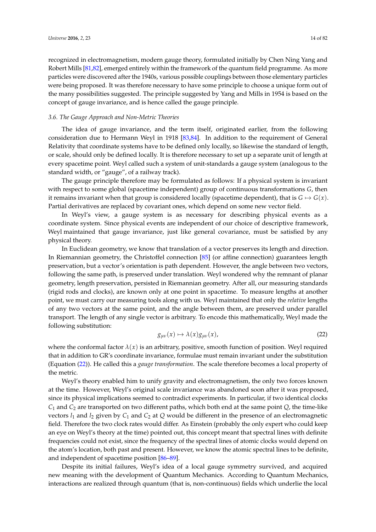recognized in electromagnetism, modern gauge theory, formulated initially by Chen Ning Yang and Robert Mills [\[81,](#page-64-20)[82\]](#page-64-21), emerged entirely within the framework of the quantum field programme. As more particles were discovered after the 1940s, various possible couplings between those elementary particles were being proposed. It was therefore necessary to have some principle to choose a unique form out of the many possibilities suggested. The principle suggested by Yang and Mills in 1954 is based on the concept of gauge invariance, and is hence called the gauge principle.

#### *3.6. The Gauge Approach and Non-Metric Theories*

The idea of gauge invariance, and the term itself, originated earlier, from the following consideration due to Hermann Weyl in 1918 [\[83,](#page-64-22)[84\]](#page-64-23). In addition to the requirement of General Relativity that coordinate systems have to be defined only locally, so likewise the standard of length, or scale, should only be defined locally. It is therefore necessary to set up a separate unit of length at every spacetime point. Weyl called such a system of unit-standards a gauge system (analogous to the standard width, or "gauge", of a railway track).

The gauge principle therefore may be formulated as follows: If a physical system is invariant with respect to some global (spacetime independent) group of continuous transformations *G*, then it remains invariant when that group is considered locally (spacetime dependent), that is  $G \mapsto G(x)$ . Partial derivatives are replaced by covariant ones, which depend on some new vector field.

In Weyl's view, a gauge system is as necessary for describing physical events as a coordinate system. Since physical events are independent of our choice of descriptive framework, Weyl maintained that gauge invariance, just like general covariance, must be satisfied by any physical theory.

In Euclidean geometry, we know that translation of a vector preserves its length and direction. In Riemannian geometry, the Christoffel connection [\[85\]](#page-64-24) (or affine connection) guarantees length preservation, but a vector's orientation is path dependent. However, the angle between two vectors, following the same path, is preserved under translation. Weyl wondered why the remnant of planar geometry, length preservation, persisted in Riemannian geometry. After all, our measuring standards (rigid rods and clocks), are known only at one point in spacetime. To measure lengths at another point, we must carry our measuring tools along with us. Weyl maintained that only the *relative* lengths of any two vectors at the same point, and the angle between them, are preserved under parallel transport. The length of any single vector is arbitrary. To encode this mathematically, Weyl made the following substitution:

<span id="page-13-0"></span>
$$
g_{\mu\nu}(x) \mapsto \lambda(x)g_{\mu\nu}(x),\tag{22}
$$

where the conformal factor  $\lambda(x)$  is an arbitrary, positive, smooth function of position. Weyl required that in addition to GR's coordinate invariance, formulae must remain invariant under the substitution (Equation [\(22\)](#page-13-0)). He called this a *gauge transformation*. The scale therefore becomes a local property of the metric.

Weyl's theory enabled him to unify gravity and electromagnetism, the only two forces known at the time. However, Weyl's original scale invariance was abandoned soon after it was proposed, since its physical implications seemed to contradict experiments. In particular, if two identical clocks *C*<sup>1</sup> and *C*<sup>2</sup> are transported on two different paths, which both end at the same point *Q*, the time-like vectors *l*<sup>1</sup> and *l*<sup>2</sup> given by *C*<sup>1</sup> and *C*<sup>2</sup> at *Q* would be different in the presence of an electromagnetic field. Therefore the two clock rates would differ. As Einstein (probably the only expert who could keep an eye on Weyl's theory at the time) pointed out, this concept meant that spectral lines with definite frequencies could not exist, since the frequency of the spectral lines of atomic clocks would depend on the atom's location, both past and present. However, we know the atomic spectral lines to be definite, and independent of spacetime position [\[86–](#page-64-25)[89\]](#page-64-26).

Despite its initial failures, Weyl's idea of a local gauge symmetry survived, and acquired new meaning with the development of Quantum Mechanics. According to Quantum Mechanics, interactions are realized through quantum (that is, non-continuous) fields which underlie the local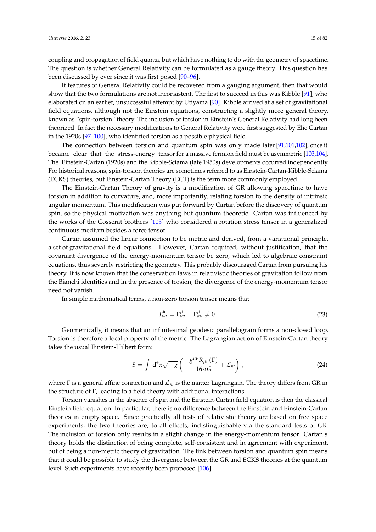coupling and propagation of field quanta, but which have nothing to do with the geometry of spacetime. The question is whether General Relativity can be formulated as a gauge theory. This question has been discussed by ever since it was first posed [\[90–](#page-64-27)[96\]](#page-65-0).

If features of General Relativity could be recovered from a gauging argument, then that would show that the two formulations are not inconsistent. The first to succeed in this was Kibble [\[91\]](#page-64-28), who elaborated on an earlier, unsuccessful attempt by Utiyama [\[90\]](#page-64-27). Kibble arrived at a set of gravitational field equations, although not the Einstein equations, constructing a slightly more general theory, known as "spin-torsion" theory. The inclusion of torsion in Einstein's General Relativity had long been theorized. In fact the necessary modifications to General Relativity were first suggested by Élie Cartan in the 1920s [\[97–](#page-65-1)[100\]](#page-65-2), who identified torsion as a possible physical field.

The connection between torsion and quantum spin was only made later [\[91,](#page-64-28)[101,](#page-65-3)[102\]](#page-65-4), once it became clear that the stress-energy tensor for a massive fermion field must be asymmetric [\[103,](#page-65-5)[104\]](#page-65-6). The Einstein-Cartan (1920s) and the Kibble-Sciama (late 1950s) developments occurred independently. For historical reasons, spin-torsion theories are sometimes referred to as Einstein-Cartan-Kibble-Sciama (ECKS) theories, but Einstein-Cartan Theory (ECT) is the term more commonly employed.

The Einstein-Cartan Theory of gravity is a modification of GR allowing spacetime to have torsion in addition to curvature, and, more importantly, relating torsion to the density of intrinsic angular momentum. This modification was put forward by Cartan before the discovery of quantum spin, so the physical motivation was anything but quantum theoretic. Cartan was influenced by the works of the Cosserat brothers [\[105\]](#page-65-7) who considered a rotation stress tensor in a generalized continuous medium besides a force tensor.

Cartan assumed the linear connection to be metric and derived, from a variational principle, a set of gravitational field equations. However, Cartan required, without justification, that the covariant divergence of the energy-momentum tensor be zero, which led to algebraic constraint equations, thus severely restricting the geometry. This probably discouraged Cartan from pursuing his theory. It is now known that the conservation laws in relativistic theories of gravitation follow from the Bianchi identities and in the presence of torsion, the divergence of the energy-momentum tensor need not vanish.

In simple mathematical terms, a non-zero torsion tensor means that

$$
T^{\mu}_{\nu\sigma} = \Gamma^{\mu}_{\nu\sigma} - \Gamma^{\mu}_{\sigma\nu} \neq 0. \tag{23}
$$

Geometrically, it means that an infinitesimal geodesic parallelogram forms a non-closed loop. Torsion is therefore a local property of the metric. The Lagrangian action of Einstein-Cartan theory takes the usual Einstein-Hilbert form:

$$
S = \int d^4x \sqrt{-g} \left( -\frac{g^{\mu\nu} R_{\mu\nu}(\Gamma)}{16\pi G} + \mathcal{L}_m \right), \qquad (24)
$$

where  $\Gamma$  is a general affine connection and  $\mathcal{L}_m$  is the matter Lagrangian. The theory differs from GR in the structure of Γ, leading to a field theory with additional interactions.

Torsion vanishes in the absence of spin and the Einstein-Cartan field equation is then the classical Einstein field equation. In particular, there is no difference between the Einstein and Einstein-Cartan theories in empty space. Since practically all tests of relativistic theory are based on free space experiments, the two theories are, to all effects, indistinguishable via the standard tests of GR. The inclusion of torsion only results in a slight change in the energy-momentum tensor. Cartan's theory holds the distinction of being complete, self-consistent and in agreement with experiment, but of being a non-metric theory of gravitation. The link between torsion and quantum spin means that it could be possible to study the divergence between the GR and ECKS theories at the quantum level. Such experiments have recently been proposed [\[106\]](#page-65-8).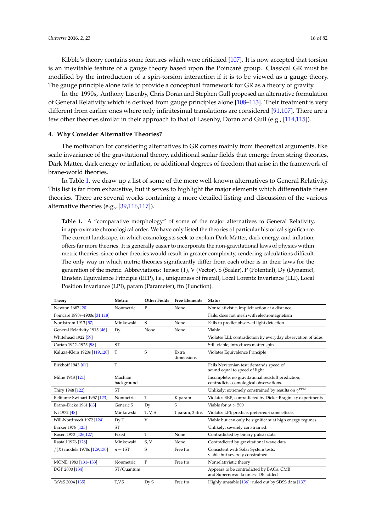Kibble's theory contains some features which were criticized [\[107\]](#page-65-9). It is now accepted that torsion is an inevitable feature of a gauge theory based upon the Poincaré group. Classical GR must be modified by the introduction of a spin-torsion interaction if it is to be viewed as a gauge theory. The gauge principle alone fails to provide a conceptual framework for GR as a theory of gravity.

In the 1990s, Anthony Lasenby, Chris Doran and Stephen Gull proposed an alternative formulation of General Relativity which is derived from gauge principles alone [\[108–](#page-65-10)[113\]](#page-65-11). Their treatment is very different from earlier ones where only infinitesimal translations are considered [\[91](#page-64-28)[,107\]](#page-65-9). There are a few other theories similar in their approach to that of Lasenby, Doran and Gull (e.g., [\[114](#page-65-12)[,115\]](#page-65-13)).

## **4. Why Consider Alternative Theories?**

The motivation for considering alternatives to GR comes mainly from theoretical arguments, like scale invariance of the gravitational theory, additional scalar fields that emerge from string theories, Dark Matter, dark energy or inflation, or additional degrees of freedom that arise in the framework of brane-world theories.

In Table [1,](#page-15-0) we draw up a list of some of the more well-known alternatives to General Relativity. This list is far from exhaustive, but it serves to highlight the major elements which differentiate these theories. There are several works containing a more detailed listing and discussion of the various alternative theories (e.g., [\[39,](#page-63-6)[116,](#page-65-14)[117\]](#page-65-15)).

<span id="page-15-0"></span>Table 1. A "comparative morphology" of some of the major alternatives to General Relativity, in approximate chronological order. We have only listed the theories of particular historical significance. The current landscape, in which cosmologists seek to explain Dark Matter, dark energy, and inflation, offers far more theories. It is generally easier to incorporate the non-gravitational laws of physics within metric theories, since other theories would result in greater complexity, rendering calculations difficult. The only way in which metric theories significantly differ from each other is in their laws for the generation of the metric. Abbreviations: Tensor (T), V (Vector), S (Scalar), P (Potential), Dy (Dynamic), Einstein Equivalence Principle (EEP), i.e., uniqueness of freefall, Local Lorentz Invariance (LLI), Local Position Invariance (LPI), param (Parameter), ftn (Function).

| Theory                        | Metric                | <b>Other Fields</b> | <b>Free Elements</b> | <b>Status</b>                                                                               |  |
|-------------------------------|-----------------------|---------------------|----------------------|---------------------------------------------------------------------------------------------|--|
| Newton 1687 [20]              | Nonmetric             | $\mathbf{P}$        | None                 | Nonrelativistic, implicit action at a distance                                              |  |
| Poincaré 1890s-1900s [31,118] |                       |                     |                      | Fails; does not mesh with electromagnetism                                                  |  |
| Nordstrøm 1913 [57]           | Minkowski             | S                   | None                 | Fails to predict observed light detection                                                   |  |
| General Relativity 1915 [46]  | Dv                    | None                | None                 | Viable                                                                                      |  |
| Whitehead 1922 [59]           |                       |                     |                      | Violates LLI; contradiction by everyday observation of tides                                |  |
| Cartan 1922-1925 [98]         | <b>ST</b>             |                     |                      | Still viable; introduces matter spin                                                        |  |
| Kaluza-Klein 1920s [119,120]  | T                     | S                   | Extra<br>dimensions  | Violates Equivalence Principle                                                              |  |
| Birkhoff 1943 [61]            | T                     |                     |                      | Fails Newtonian test; demands speed of<br>sound equal to speed of light                     |  |
| Milne 1948 [121]              | Machian<br>background |                     |                      | Incomplete; no gravitational redshift prediction;<br>contradicts cosmological observations. |  |
| Thiry 1948 [122]              | <b>ST</b>             |                     |                      | Unlikely; extremely constrained by results on $\gamma^{\rm PPN}$                            |  |
| Belifante-Swihart 1957 [123]  | Nonmetric             | T                   | K param              | Violates EEP; contradicted by Dicke-Braginsky experiments                                   |  |
| Brans-Dicke 1961 [63]         | Generic S             | Dy                  | S                    | Viable for $\omega > 500$                                                                   |  |
| Ni 1972 [48]                  | Minkowski             | T, V, S             | 1 param, 3 ftns      | Violates LPI; predicts preferred-frame effects                                              |  |
| Will-Nordtvedt 1972 [124]     | Dy T                  | V                   |                      | Viable but can only be significant at high energy regimes                                   |  |
| Barker 1978 [125]             | <b>ST</b>             |                     |                      | Unlikely; severely constrained.                                                             |  |
| Rosen 1973 [126,127]          | Fixed                 | T                   | None                 | Contradicted by binary pulsar data                                                          |  |
| Rastall 1976 [128]            | Minkowski             | S, V                | None                 | Contradicted by gravitational wave data                                                     |  |
| $f(R)$ models 1970s [129,130] | $n+1ST$               | S                   | Free ftn             | Consistent with Solar System tests;<br>viable but severely constrained                      |  |
| MOND 1983 [131-133]           | Nonmetric             | $\mathbf{P}$        | Free ftn             | Nonrelativistic theory                                                                      |  |
| DGP 2000 [134]                | ST/Ouantum            |                     |                      | Appears to be contradicted by BAOs, CMB<br>and Supernovae Ia unless DE added                |  |
| TeVeS 2004 [135]              | T.V.S                 | Dy S                | Free ftn             | Highly unstable [136]; ruled out by SDSS data [137]                                         |  |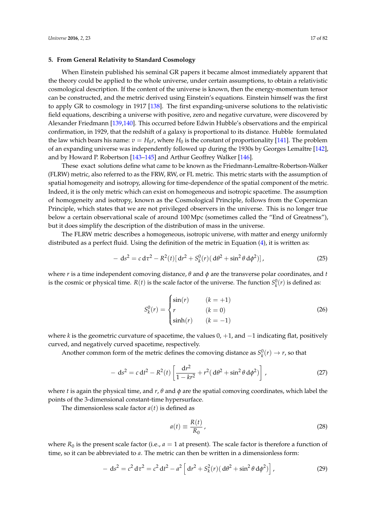#### **5. From General Relativity to Standard Cosmology**

When Einstein published his seminal GR papers it became almost immediately apparent that the theory could be applied to the whole universe, under certain assumptions, to obtain a relativistic cosmological description. If the content of the universe is known, then the energy-momentum tensor can be constructed, and the metric derived using Einstein's equations. Einstein himself was the first to apply GR to cosmology in 1917 [\[138\]](#page-66-16). The first expanding-universe solutions to the relativistic field equations, describing a universe with positive, zero and negative curvature, were discovered by Alexander Friedmann [\[139](#page-66-17)[,140\]](#page-66-18). This occurred before Edwin Hubble's observations and the empirical confirmation, in 1929, that the redshift of a galaxy is proportional to its distance. Hubble formulated the law which bears his name:  $v = H_0 r$ , where  $H_0$  is the constant of proportionality [\[141\]](#page-66-19). The problem of an expanding universe was independently followed up during the 1930s by Georges Lemaître [\[142\]](#page-66-20), and by Howard P. Robertson [\[143](#page-66-21)[–145\]](#page-66-22) and Arthur Geoffrey Walker [\[146\]](#page-66-23).

These exact solutions define what came to be known as the Friedmann-Lemaître-Robertson-Walker (FLRW) metric, also referred to as the FRW, RW, or FL metric. This metric starts with the assumption of spatial homogeneity and isotropy, allowing for time-dependence of the spatial component of the metric. Indeed, it is the only metric which can exist on homogeneous and isotropic spacetime. The assumption of homogeneity and isotropy, known as the Cosmological Principle, follows from the Copernican Principle, which states that we are not privileged observers in the universe. This is no longer true below a certain observational scale of around 100 Mpc (sometimes called the "End of Greatness"), but it does simplify the description of the distribution of mass in the universe.

The FLRW metric describes a homogeneous, isotropic universe, with matter and energy uniformly distributed as a perfect fluid. Using the definition of the metric in Equation [\(4\)](#page-8-1), it is written as:

$$
- ds2 = c d\tau2 - R2(t) [d\tau2 + Sk0(r) (d\theta2 + sin2 \theta d\phi2)],
$$
\n(25)

where *r* is a time independent comoving distance, *θ* and *φ* are the transverse polar coordinates, and *t* is the cosmic or physical time.  $R(t)$  is the scale factor of the universe. The function  $S_k^0(r)$  is defined as:

$$
S_k^0(r) = \begin{cases} \sin(r) & (k = +1) \\ r & (k = 0) \\ \sinh(r) & (k = -1) \end{cases}
$$
 (26)

where *k* is the geometric curvature of spacetime, the values  $0, +1$ , and  $-1$  indicating flat, positively curved, and negatively curved spacetime, respectively.

Another common form of the metric defines the comoving distance as  $S_k^0(r) \to r$ , so that

<span id="page-16-0"></span>
$$
- ds2 = c dt2 - R2(t) \left[ \frac{dr2}{1 - kr2} + r2 (d\theta2 + sin2 \theta d\phi2) \right],
$$
 (27)

where *t* is again the physical time, and *r*, *θ* and *φ* are the spatial comoving coordinates, which label the points of the 3-dimensional constant-time hypersurface.

The dimensionless scale factor  $a(t)$  is defined as

$$
a(t) \equiv \frac{R(t)}{R_0},\tag{28}
$$

where  $R_0$  is the present scale factor (i.e.,  $a = 1$  at present). The scale factor is therefore a function of time, so it can be abbreviated to *a*. The metric can then be written in a dimensionless form:

$$
- ds2 = c2 d\tau2 = c2 d\tau2 - a2 \left[ dr2 + Sk2(r) (d\theta2 + sin2 \theta d\phi2) \right],
$$
 (29)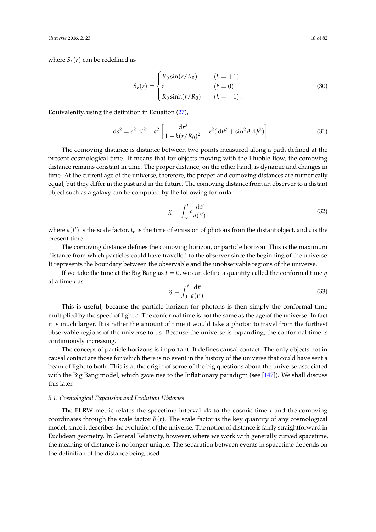where  $S_k(r)$  can be redefined as

$$
S_k(r) = \begin{cases} R_0 \sin(r/R_0) & (k = +1) \\ r & (k = 0) \\ R_0 \sinh(r/R_0) & (k = -1) \end{cases}
$$
 (30)

Equivalently, using the definition in Equation [\(27\)](#page-16-0),

<span id="page-17-0"></span>
$$
- ds2 = c2 dt2 - a2 \left[ \frac{dr2}{1 - k(r/R0)2} + r2 (d\theta2 + sin2 \theta d\phi2) \right].
$$
 (31)

The comoving distance is distance between two points measured along a path defined at the present cosmological time. It means that for objects moving with the Hubble flow, the comoving distance remains constant in time. The proper distance, on the other hand, is dynamic and changes in time. At the current age of the universe, therefore, the proper and comoving distances are numerically equal, but they differ in the past and in the future. The comoving distance from an observer to a distant object such as a galaxy can be computed by the following formula:

$$
\chi = \int_{t_{\rm e}}^{t} c \frac{\mathrm{d}t'}{a(t')}
$$
\n(32)

where  $a(t')$  is the scale factor,  $t_e$  is the time of emission of photons from the distant object, and  $t$  is the present time.

The comoving distance defines the comoving horizon, or particle horizon. This is the maximum distance from which particles could have travelled to the observer since the beginning of the universe. It represents the boundary between the observable and the unobservable regions of the universe.

If we take the time at the Big Bang as *t* = 0, we can define a quantity called the conformal time *η* at a time *t* as:

$$
\eta = \int_0^t \frac{\mathrm{d}t'}{a(t')} \,. \tag{33}
$$

This is useful, because the particle horizon for photons is then simply the conformal time multiplied by the speed of light *c*. The conformal time is not the same as the age of the universe. In fact it is much larger. It is rather the amount of time it would take a photon to travel from the furthest observable regions of the universe to us. Because the universe is expanding, the conformal time is continuously increasing.

The concept of particle horizons is important. It defines causal contact. The only objects not in causal contact are those for which there is no event in the history of the universe that could have sent a beam of light to both. This is at the origin of some of the big questions about the universe associated with the Big Bang model, which gave rise to the Inflationary paradigm (see [\[147\]](#page-66-24)). We shall discuss this later.

## *5.1. Cosmological Expansion and Evolution Histories*

The FLRW metric relates the spacetime interval d*s* to the cosmic time *t* and the comoving coordinates through the scale factor  $R(t)$ . The scale factor is the key quantity of any cosmological model, since it describes the evolution of the universe. The notion of distance is fairly straightforward in Euclidean geometry. In General Relativity, however, where we work with generally curved spacetime, the meaning of distance is no longer unique. The separation between events in spacetime depends on the definition of the distance being used.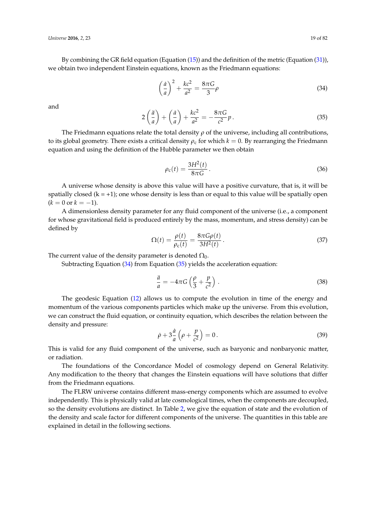By combining the GR field equation (Equation [\(15\)](#page-9-0)) and the definition of the metric (Equation [\(31\)](#page-17-0)), we obtain two independent Einstein equations, known as the Friedmann equations:

<span id="page-18-0"></span>
$$
\left(\frac{\dot{a}}{a}\right)^2 + \frac{kc^2}{a^2} = \frac{8\pi G}{3}\rho\tag{34}
$$

and

<span id="page-18-1"></span>
$$
2\left(\frac{\ddot{a}}{a}\right) + \left(\frac{\dot{a}}{a}\right) + \frac{kc^2}{a^2} = -\frac{8\pi G}{c^2}p.
$$
 (35)

The Friedmann equations relate the total density *ρ* of the universe, including all contributions, to its global geometry. There exists a critical density  $\rho_c$  for which  $k = 0$ . By rearranging the Friedmann equation and using the definition of the Hubble parameter we then obtain

$$
\rho_{\rm c}(t) = \frac{3H^2(t)}{8\pi G}.
$$
\n(36)

A universe whose density is above this value will have a positive curvature, that is, it will be spatially closed  $(k = +1)$ ; one whose density is less than or equal to this value will be spatially open  $(k = 0 \text{ or } k = -1).$ 

A dimensionless density parameter for any fluid component of the universe (i.e., a component for whose gravitational field is produced entirely by the mass, momentum, and stress density) can be defined by

$$
\Omega(t) = \frac{\rho(t)}{\rho_{\rm c}(t)} = \frac{8\pi G\rho(t)}{3H^2(t)}.
$$
\n(37)

The current value of the density parameter is denoted  $\Omega_0$ .

Subtracting Equation [\(34\)](#page-18-0) from Equation [\(35\)](#page-18-1) yields the acceleration equation:

$$
\frac{\ddot{a}}{a} = -4\pi G \left(\frac{\rho}{3} + \frac{p}{c^2}\right). \tag{38}
$$

The geodesic Equation [\(12\)](#page-9-1) allows us to compute the evolution in time of the energy and momentum of the various components particles which make up the universe. From this evolution, we can construct the fluid equation, or continuity equation, which describes the relation between the density and pressure:

<span id="page-18-2"></span>
$$
\dot{\rho} + 3\frac{\dot{a}}{a} \left( \rho + \frac{p}{c^2} \right) = 0. \tag{39}
$$

This is valid for any fluid component of the universe, such as baryonic and nonbaryonic matter, or radiation.

The foundations of the Concordance Model of cosmology depend on General Relativity. Any modification to the theory that changes the Einstein equations will have solutions that differ from the Friedmann equations.

The FLRW universe contains different mass-energy components which are assumed to evolve independently. This is physically valid at late cosmological times, when the components are decoupled, so the density evolutions are distinct. In Table [2,](#page-19-0) we give the equation of state and the evolution of the density and scale factor for different components of the universe. The quantities in this table are explained in detail in the following sections.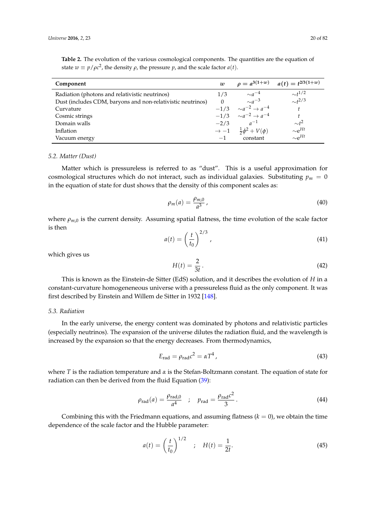<span id="page-19-0"></span>**Table 2.** The evolution of the various cosmological components. The quantities are the equation of state  $w \equiv p/\rho c^2$ , the density  $\rho$ , the pressure  $p$ , and the scale factor  $a(t)$ .

| Component                                                   | w      |                                                      | $\rho = a^{3(1+w)}$ $a(t) = t^{2/3(1+w)}$ |
|-------------------------------------------------------------|--------|------------------------------------------------------|-------------------------------------------|
| Radiation (photons and relativistic neutrinos)              | 1/3    | $\sim a^{-4}$                                        | $\sim t^{1/2}$                            |
| Dust (includes CDM, baryons and non-relativistic neutrinos) |        | $\sim a^{-3}$                                        | $\sim t^{2/3}$                            |
| Curvature                                                   |        | $-1/3 \sim a^{-2} \rightarrow a^{-4}$                | t.                                        |
| Cosmic strings                                              |        | $-1/3 \sim a^{-2} \rightarrow a^{-4}$                |                                           |
| Domain walls                                                | $-2/3$ | $a^{-1}$                                             | $\sim t^2$                                |
| Inflation                                                   |        | $\rightarrow -1$ $\frac{1}{2}\dot{\phi}^2 + V(\phi)$ | $\sim e^{Ht}$                             |
| Vacuum energy                                               | $-1$   | constant                                             | $\sim e^{Ht}$                             |

## *5.2. Matter (Dust)*

Matter which is pressureless is referred to as "dust". This is a useful approximation for cosmological structures which do not interact, such as individual galaxies. Substituting  $p_m = 0$ in the equation of state for dust shows that the density of this component scales as:

$$
\rho_m(a) = \frac{\rho_{m,0}}{a^3} \,, \tag{40}
$$

where  $\rho_{m,0}$  is the current density. Assuming spatial flatness, the time evolution of the scale factor is then

$$
a(t) = \left(\frac{t}{t_0}\right)^{2/3},\tag{41}
$$

which gives us

$$
H(t) = \frac{2}{3t} \,. \tag{42}
$$

This is known as the Einstein-de Sitter (EdS) solution, and it describes the evolution of *H* in a constant-curvature homogeneneous universe with a pressureless fluid as the only component. It was first described by Einstein and Willem de Sitter in 1932 [\[148\]](#page-66-25).

#### *5.3. Radiation*

In the early universe, the energy content was dominated by photons and relativistic particles (especially neutrinos). The expansion of the universe dilutes the radiation fluid, and the wavelength is increased by the expansion so that the energy decreases. From thermodynamics,

$$
E_{\rm rad} = \rho_{\rm rad} c^2 = \alpha T^4 \,, \tag{43}
$$

where *T* is the radiation temperature and *α* is the Stefan-Boltzmann constant. The equation of state for radiation can then be derived from the fluid Equation [\(39\)](#page-18-2):

$$
\rho_{\text{rad}}(a) = \frac{\rho_{\text{rad},0}}{a^4} \quad ; \quad p_{\text{rad}} = \frac{\rho_{\text{rad}}c^2}{3} \,. \tag{44}
$$

Combining this with the Friedmann equations, and assuming flatness  $(k = 0)$ , we obtain the time dependence of the scale factor and the Hubble parameter:

$$
a(t) = \left(\frac{t}{t_0}\right)^{1/2} \quad ; \quad H(t) = \frac{1}{2t}.
$$
 (45)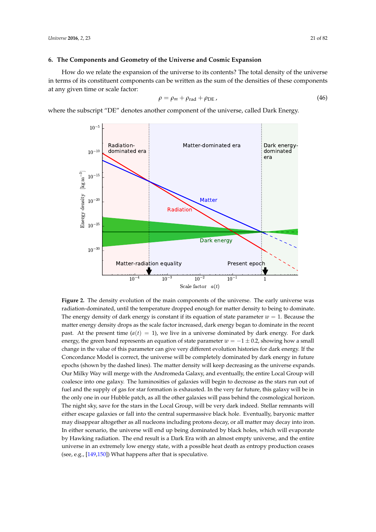## **6. The Components and Geometry of the Universe and Cosmic Expansion**

How do we relate the expansion of the universe to its contents? The total density of the universe in terms of its constituent components can be written as the sum of the densities of these components at any given time or scale factor:

$$
\rho = \rho_m + \rho_{\text{rad}} + \rho_{\text{DE}} \,, \tag{46}
$$

<span id="page-20-0"></span>where the subscript "DE" denotes another component of the universe, called Dark Energy.



**Figure 2.** The density evolution of the main components of the universe. The early universe was radiation-dominated, until the temperature dropped enough for matter density to being to dominate. The energy density of dark energy is constant if its equation of state parameter  $w = 1$ . Because the matter energy density drops as the scale factor increased, dark energy began to dominate in the recent past. At the present time  $(a(t) = 1)$ , we live in a universe dominated by dark energy. For dark energy, the green band represents an equation of state parameter  $w = -1 \pm 0.2$ , showing how a small change in the value of this parameter can give very different evolution histories for dark energy. If the Concordance Model is correct, the universe will be completely dominated by dark energy in future epochs (shown by the dashed lines). The matter density will keep decreasing as the universe expands. Our Milky Way will merge with the Andromeda Galaxy, and eventually, the entire Local Group will coalesce into one galaxy. The luminosities of galaxies will begin to decrease as the stars run out of fuel and the supply of gas for star formation is exhausted. In the very far future, this galaxy will be in the only one in our Hubble patch, as all the other galaxies will pass behind the cosmological horizon. The night sky, save for the stars in the Local Group, will be very dark indeed. Stellar remnants will either escape galaxies or fall into the central supermassive black hole. Eventually, baryonic matter may disappear altogether as all nucleons including protons decay, or all matter may decay into iron. In either scenario, the universe will end up being dominated by black holes, which will evaporate by Hawking radiation. The end result is a Dark Era with an almost empty universe, and the entire universe in an extremely low energy state, with a possible heat death as entropy production ceases (see, e.g., [\[149](#page-66-26)[,150\]](#page-66-27)) What happens after that is speculative.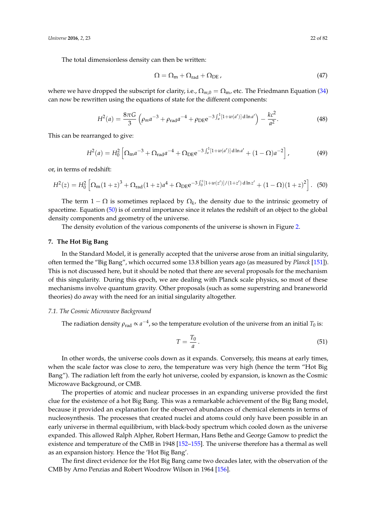The total dimensionless density can then be written:

$$
\Omega = \Omega_{\rm m} + \Omega_{\rm rad} + \Omega_{\rm DE} \,, \tag{47}
$$

where we have dropped the subscript for clarity, i.e.,  $\Omega_{m,0} = \Omega_m$ , etc. The Friedmann Equation [\(34\)](#page-18-0) can now be rewritten using the equations of state for the different components:

$$
H^{2}(a) = \frac{8\pi G}{3} \left( \rho_{m} a^{-3} + \rho_{\text{rad}} a^{-4} + \rho_{\text{DE}} e^{-3 \int_{a}^{1} [1 + w(a')] \, \text{d} \ln a'} \right) - \frac{k c^{2}}{a^{2}}.
$$
 (48)

This can be rearranged to give:

$$
H^{2}(a) = H_{0}^{2} \left[ \Omega_{\text{m}} a^{-3} + \Omega_{\text{rad}} a^{-4} + \Omega_{\text{DE}} e^{-3 \int_{a}^{1} [1 + w(a')] \, \text{d} \ln a'} + (1 - \Omega) a^{-2} \right],\tag{49}
$$

or, in terms of redshift:

<span id="page-21-0"></span>
$$
H^{2}(z) = H_{0}^{2} \left[ \Omega_{\text{m}}(1+z)^{3} + \Omega_{\text{rad}}(1+z)a^{4} + \Omega_{\text{DE}} e^{-3 \int_{0}^{z} [1+w(z')]/(1+z')} d\ln z' + (1-\Omega)(1+z)^{2} \right].
$$
 (50)

The term  $1 - \Omega$  is sometimes replaced by  $\Omega_k$ , the density due to the intrinsic geometry of spacetime. Equation [\(50\)](#page-21-0) is of central importance since it relates the redshift of an object to the global density components and geometry of the universe.

The density evolution of the various components of the universe is shown in Figure [2.](#page-20-0)

## **7. The Hot Big Bang**

In the Standard Model, it is generally accepted that the universe arose from an initial singularity, often termed the "Big Bang", which occurred some 13.8 billion years ago (as measured by *Planck* [\[151\]](#page-66-28)). This is not discussed here, but it should be noted that there are several proposals for the mechanism of this singularity. During this epoch, we are dealing with Planck scale physics, so most of these mechanisms involve quantum gravity. Other proposals (such as some superstring and braneworld theories) do away with the need for an initial singularity altogether.

## *7.1. The Cosmic Microwave Background*

The radiation density  $\rho_{rad} \propto a^{-4}$ , so the temperature evolution of the universe from an initial *T*<sub>0</sub> is:

$$
T = \frac{T_0}{a} \,. \tag{51}
$$

In other words, the universe cools down as it expands. Conversely, this means at early times, when the scale factor was close to zero, the temperature was very high (hence the term "Hot Big Bang"). The radiation left from the early hot universe, cooled by expansion, is known as the Cosmic Microwave Background, or CMB.

The properties of atomic and nuclear processes in an expanding universe provided the first clue for the existence of a hot Big Bang. This was a remarkable achievement of the Big Bang model, because it provided an explanation for the observed abundances of chemical elements in terms of nucleosynthesis. The processes that created nuclei and atoms could only have been possible in an early universe in thermal equilibrium, with black-body spectrum which cooled down as the universe expanded. This allowed Ralph Alpher, Robert Herman, Hans Bethe and George Gamow to predict the existence and temperature of the CMB in 1948 [\[152–](#page-66-29)[155\]](#page-67-0). The universe therefore has a thermal as well as an expansion history. Hence the 'Hot Big Bang'.

The first direct evidence for the Hot Big Bang came two decades later, with the observation of the CMB by Arno Penzias and Robert Woodrow Wilson in 1964 [\[156\]](#page-67-1).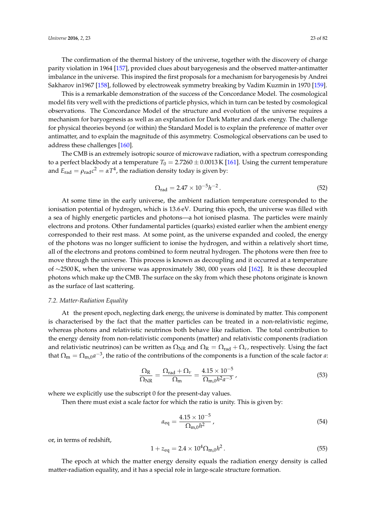The confirmation of the thermal history of the universe, together with the discovery of charge parity violation in 1964 [\[157\]](#page-67-2), provided clues about baryogenesis and the observed matter-antimatter imbalance in the universe. This inspired the first proposals for a mechanism for baryogenesis by Andrei Sakharov in1967 [\[158\]](#page-67-3), followed by electroweak symmetry breaking by Vadim Kuzmin in 1970 [\[159\]](#page-67-4).

This is a remarkable demonstration of the success of the Concordance Model. The cosmological model fits very well with the predictions of particle physics, which in turn can be tested by cosmological observations. The Concordance Model of the structure and evolution of the universe requires a mechanism for baryogenesis as well as an explanation for Dark Matter and dark energy. The challenge for physical theories beyond (or within) the Standard Model is to explain the preference of matter over antimatter, and to explain the magnitude of this asymmetry. Cosmological observations can be used to address these challenges [\[160\]](#page-67-5).

The CMB is an extremely isotropic source of microwave radiation, with a spectrum corresponding to a perfect blackbody at a temperature  $T_0 = 2.7260 \pm 0.0013$  K [\[161\]](#page-67-6). Using the current temperature and  $E_{\text{rad}} = \rho_{\text{rad}} c^2 = \alpha T^4$ , the radiation density today is given by:

$$
\Omega_{\rm rad} = 2.47 \times 10^{-5} h^{-2} \,. \tag{52}
$$

At some time in the early universe, the ambient radiation temperature corresponded to the ionisation potential of hydrogen, which is 13.6 eV. During this epoch, the universe was filled with a sea of highly energetic particles and photons—a hot ionised plasma. The particles were mainly electrons and protons. Other fundamental particles (quarks) existed earlier when the ambient energy corresponded to their rest mass. At some point, as the universe expanded and cooled, the energy of the photons was no longer sufficient to ionise the hydrogen, and within a relatively short time, all of the electrons and protons combined to form neutral hydrogen. The photons were then free to move through the universe. This process is known as decoupling and it occurred at a temperature of ∼2500 K, when the universe was approximately 380, 000 years old [\[162\]](#page-67-7). It is these decoupled photons which make up the CMB. The surface on the sky from which these photons originate is known as the surface of last scattering.

#### *7.2. Matter-Radiation Equality*

At the present epoch, neglecting dark energy, the universe is dominated by matter. This component is characterised by the fact that the matter particles can be treated in a non-relativistic regime, whereas photons and relativistic neutrinos both behave like radiation. The total contribution to the energy density from non-relativistic components (matter) and relativistic components (radiation and relativistic neutrinos) can be written as  $\Omega_{\text{NR}}$  and  $\Omega_{\text{R}} = \Omega_{\text{rad}} + \Omega_{\nu}$ , respectively. Using the fact that  $\Omega_m = \Omega_{m,0} a^{-3}$ , the ratio of the contributions of the components is a function of the scale factor *a*:

$$
\frac{\Omega_{\rm R}}{\Omega_{\rm NR}} = \frac{\Omega_{\rm rad} + \Omega_{\nu}}{\Omega_{\rm m}} = \frac{4.15 \times 10^{-5}}{\Omega_{\rm m,0} h^2 a^{-3}}\,,\tag{53}
$$

where we explicitly use the subscript 0 for the present-day values.

Then there must exist a scale factor for which the ratio is unity. This is given by:

$$
a_{\text{eq}} = \frac{4.15 \times 10^{-5}}{\Omega_{\text{m},0} h^2},\tag{54}
$$

or, in terms of redshift,

$$
1 + z_{\text{eq}} = 2.4 \times 10^4 \Omega_{\text{m},0} h^2. \tag{55}
$$

The epoch at which the matter energy density equals the radiation energy density is called matter-radiation equality, and it has a special role in large-scale structure formation.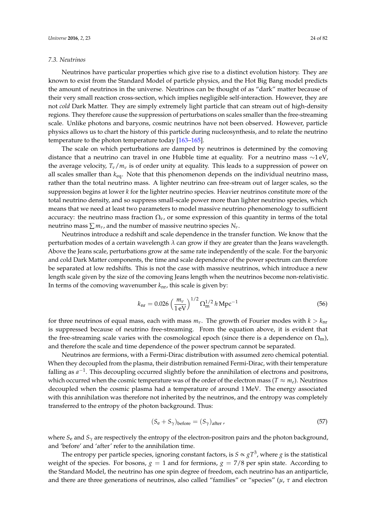#### *7.3. Neutrinos*

Neutrinos have particular properties which give rise to a distinct evolution history. They are known to exist from the Standard Model of particle physics, and the Hot Big Bang model predicts the amount of neutrinos in the universe. Neutrinos can be thought of as "dark" matter because of their very small reaction cross-section, which implies negligible self-interaction. However, they are not *cold* Dark Matter. They are simply extremely light particle that can stream out of high-density regions. They therefore cause the suppression of perturbations on scales smaller than the free-streaming scale. Unlike photons and baryons, cosmic neutrinos have not been observed. However, particle physics allows us to chart the history of this particle during nucleosynthesis, and to relate the neutrino temperature to the photon temperature today [\[163–](#page-67-8)[165\]](#page-67-9).

The scale on which perturbations are damped by neutrinos is determined by the comoving distance that a neutrino can travel in one Hubble time at equality. For a neutrino mass  $\sim$ 1 eV, the average velocity,  $T_\nu/m_\nu$  is of order unity at equality. This leads to a suppression of power on all scales smaller than *k*eq. Note that this phenomenon depends on the individual neutrino mass, rather than the total neutrino mass. A lighter neutrino can free-stream out of larger scales, so the suppression begins at lower *k* for the lighter neutrino species. Heavier neutrinos constitute more of the total neutrino density, and so suppress small-scale power more than lighter neutrino species, which means that we need at least two parameters to model massive neutrino phenomenology to sufficient accuracy: the neutrino mass fraction  $\Omega_{\nu}$ , or some expression of this quantity in terms of the total neutrino mass  $\sum m_{\nu}$ , and the number of massive neutrino species  $N_{\nu}$ .

Neutrinos introduce a redshift and scale dependence in the transfer function. We know that the perturbation modes of a certain wavelength *λ* can grow if they are greater than the Jeans wavelength. Above the Jeans scale, perturbations grow at the same rate independently of the scale. For the baryonic and cold Dark Matter components, the time and scale dependence of the power spectrum can therefore be separated at low redshifts. This is not the case with massive neutrinos, which introduce a new length scale given by the size of the comoving Jeans length when the neutrinos become non-relativistic. In terms of the comoving wavenumber *k*nr, this scale is given by:

$$
k_{\rm nr} = 0.026 \left(\frac{m_v}{1 \,\mathrm{eV}}\right)^{1/2} \Omega_{\rm m}^{1/2} \, h \,\mathrm{Mpc}^{-1} \tag{56}
$$

for three neutrinos of equal mass, each with mass  $m<sub>\nu</sub>$ . The growth of Fourier modes with  $k > k<sub>nr</sub>$ is suppressed because of neutrino free-streaming. From the equation above, it is evident that the free-streaming scale varies with the cosmological epoch (since there is a dependence on  $\Omega_{\rm m}$ ), and therefore the scale and time dependence of the power spectrum cannot be separated.

Neutrinos are fermions, with a Fermi-Dirac distribution with assumed zero chemical potential. When they decoupled from the plasma, their distribution remained Fermi-Dirac, with their temperature falling as *a*<sup>-1</sup>. This decoupling occurred slightly before the annihilation of electrons and positrons, which occurred when the cosmic temperature was of the order of the electron mass ( $T \approx m_e$ ). Neutrinos decoupled when the cosmic plasma had a temperature of around 1 MeV. The energy associated with this annihilation was therefore not inherited by the neutrinos, and the entropy was completely transferred to the entropy of the photon background. Thus:

$$
(S_e + S_\gamma)_{before} = (S_\gamma)_{after} \tag{57}
$$

where  $S_e$  and  $S_\gamma$  are respectively the entropy of the electron-positron pairs and the photon background, and 'before' and 'after' refer to the annihilation time.

The entropy per particle species, ignoring constant factors, is  $S \propto gT^3$ , where  $g$  is the statistical weight of the species. For bosons,  $g = 1$  and for fermions,  $g = 7/8$  per spin state. According to the Standard Model, the neutrino has one spin degree of freedom, each neutrino has an antiparticle, and there are three generations of neutrinos, also called "families" or "species" (*µ*, *τ* and electron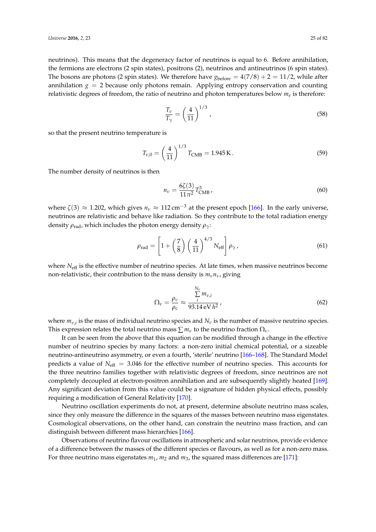neutrinos). This means that the degeneracy factor of neutrinos is equal to 6. Before annihilation, the fermions are electrons (2 spin states), positrons (2), neutrinos and antineutrinos (6 spin states). The bosons are photons (2 spin states). We therefore have  $g_{before} = 4(7/8) + 2 = 11/2$ , while after annihilation  $g = 2$  because only photons remain. Applying entropy conservation and counting relativistic degrees of freedom, the ratio of neutrino and photon temperatures below *m<sup>e</sup>* is therefore:

$$
\frac{T_v}{T_\gamma} = \left(\frac{4}{11}\right)^{1/3},\tag{58}
$$

so that the present neutrino temperature is

$$
T_{\nu,0} = \left(\frac{4}{11}\right)^{1/3} T_{\text{CMB}} = 1.945 \,\text{K} \,. \tag{59}
$$

The number density of neutrinos is then

$$
n_{\nu} = \frac{6\zeta(3)}{11\pi^2} T_{\rm CMB}^3 \,, \tag{60}
$$

where  $\zeta(3) \approx 1.202$ , which gives  $n_v \approx 112 \text{ cm}^{-3}$  at the present epoch [\[166\]](#page-67-10). In the early universe, neutrinos are relativistic and behave like radiation. So they contribute to the total radiation energy density *ρ*rad, which includes the photon energy density *ργ*:

$$
\rho_{\rm rad} = \left[1 + \left(\frac{7}{8}\right) \left(\frac{4}{11}\right)^{4/3} N_{\rm eff}\right] \rho_{\gamma},\tag{61}
$$

where  $N_{\text{eff}}$  is the effective number of neutrino species. At late times, when massive neutrinos become non-relativistic, their contribution to the mass density is  $m_\nu n_\nu$ , giving

$$
\Omega_{\nu} = \frac{\rho_{\nu}}{\rho_{\rm c}} \approx \frac{\sum_{i}^{N_{\nu}} m_{\nu, i}}{93.14 \,\text{eV} \,h^2} \,, \tag{62}
$$

where  $m_{\nu,i}$  is the mass of individual neutrino species and  $N_{\nu}$  is the number of massive neutrino species. This expression relates the total neutrino mass  $\sum m_{\nu}$  to the neutrino fraction  $\Omega_{\nu}$ .

It can be seen from the above that this equation can be modified through a change in the effective number of neutrino species by many factors: a non-zero initial chemical potential, or a sizeable neutrino-antineutrino asymmetry, or even a fourth, 'sterile' neutrino [\[166](#page-67-10)[–168\]](#page-67-11). The Standard Model predicts a value of *N*eff = 3.046 for the effective number of neutrino species. This accounts for the three neutrino families together with relativistic degrees of freedom, since neutrinos are not completely decoupled at electron-positron annihilation and are subsequently slightly heated [\[169\]](#page-67-12). Any significant deviation from this value could be a signature of hidden physical effects, possibly requiring a modification of General Relativity [\[170\]](#page-67-13).

Neutrino oscillation experiments do not, at present, determine absolute neutrino mass scales, since they only measure the difference in the squares of the masses between neutrino mass eigenstates. Cosmological observations, on the other hand, can constrain the neutrino mass fraction, and can distinguish between different mass hierarchies [\[166\]](#page-67-10).

Observations of neutrino flavour oscillations in atmospheric and solar neutrinos, provide evidence of a difference between the masses of the different species or flavours, as well as for a non-zero mass. For three neutrino mass eigenstates  $m_1$ ,  $m_2$  and  $m_3$ , the squared mass differences are [\[171\]](#page-67-14):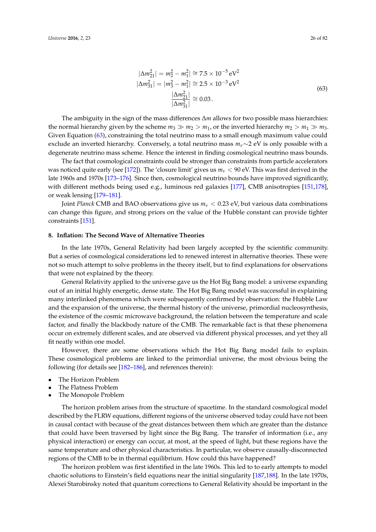$$
|\Delta m_{21}^2| = m_2^2 - m_1^2| \approx 7.5 \times 10^{-5} \text{ eV}^2
$$
  
\n
$$
|\Delta m_{31}^2| = |m_3^2 - m_1^2| \approx 2.5 \times 10^{-3} \text{ eV}^2
$$
  
\n
$$
\frac{|\Delta m_{21}^2|}{|\Delta m_{31}^2|} \approx 0.03.
$$
 (63)

<span id="page-25-0"></span>The ambiguity in the sign of the mass differences ∆*m* allows for two possible mass hierarchies: the normal hierarchy given by the scheme  $m_3 \gg m_2 > m_1$ , or the inverted hierarchy  $m_2 > m_1 \gg m_3$ . Given Equation [\(63\)](#page-25-0), constraining the total neutrino mass to a small enough maximum value could exclude an inverted hierarchy. Conversely, a total neutrino mass *mν*∼2 eV is only possible with a degenerate neutrino mass scheme. Hence the interest in finding cosmological neutrino mass bounds.

The fact that cosmological constraints could be stronger than constraints from particle accelerators was noticed quite early (see [\[172\]](#page-67-15)). The 'closure limit' gives us  $m<sub>V</sub> < 90$  eV. This was first derived in the late 1960s and 1970s [\[173–](#page-67-16)[176\]](#page-67-17). Since then, cosmological neutrino bounds have improved significantly, with different methods being used e.g., luminous red galaxies [\[177\]](#page-67-18), CMB anisotropies [\[151,](#page-66-28)[178\]](#page-67-19), or weak lensing [\[179](#page-67-20)[–181\]](#page-67-21).

Joint *Planck* CMB and BAO observations give us *m<sup>ν</sup>* < 0.23 eV, but various data combinations can change this figure, and strong priors on the value of the Hubble constant can provide tighter constraints [\[151\]](#page-66-28).

#### **8. Inflation: The Second Wave of Alternative Theories**

In the late 1970s, General Relativity had been largely accepted by the scientific community. But a series of cosmological considerations led to renewed interest in alternative theories. These were not so much attempt to solve problems in the theory itself, but to find explanations for observations that were not explained by the theory.

General Relativity applied to the universe gave us the Hot Big Bang model: a universe expanding out of an initial highly energetic, dense state. The Hot Big Bang model was successful in explaining many interlinked phenomena which were subsequently confirmed by observation: the Hubble Law and the expansion of the universe, the thermal history of the universe, primordial nucleosynthesis, the existence of the cosmic microwave background, the relation between the temperature and scale factor, and finally the blackbody nature of the CMB. The remarkable fact is that these phenomena occur on extremely different scales, and are observed via different physical processes, and yet they all fit neatly within one model.

However, there are some observations which the Hot Big Bang model fails to explain. These cosmological problems are linked to the primordial universe, the most obvious being the following (for details see [\[182](#page-67-22)[–186\]](#page-68-0), and references therein):

- The Horizon Problem
- The Flatness Problem
- The Monopole Problem

The horizon problem arises from the structure of spacetime. In the standard cosmological model described by the FLRW equations, different regions of the universe observed today could have not been in causal contact with because of the great distances between them which are greater than the distance that could have been traversed by light since the Big Bang. The transfer of information (i.e., any physical interaction) or energy can occur, at most, at the speed of light, but these regions have the same temperature and other physical characteristics. In particular, we observe causally-disconnected regions of the CMB to be in thermal equilibrium. How could this have happened?

The horizon problem was first identified in the late 1960s. This led to to early attempts to model chaotic solutions to Einstein's field equations near the initial singularity [\[187](#page-68-1)[,188\]](#page-68-2). In the late 1970s, Alexei Starobinsky noted that quantum corrections to General Relativity should be important in the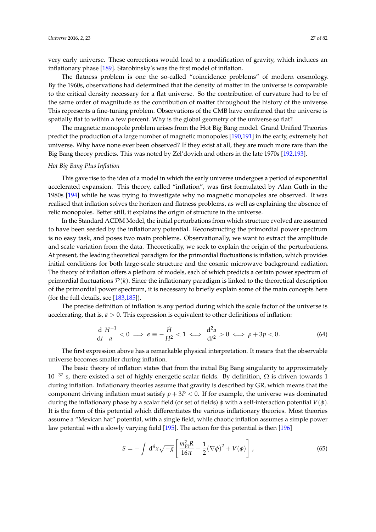very early universe. These corrections would lead to a modification of gravity, which induces an inflationary phase [\[189\]](#page-68-3). Starobinsky's was the first model of inflation.

The flatness problem is one the so-called "coincidence problems" of modern cosmology. By the 1960s, observations had determined that the density of matter in the universe is comparable to the critical density necessary for a flat universe. So the contribution of curvature had to be of the same order of magnitude as the contribution of matter throughout the history of the universe. This represents a fine-tuning problem. Observations of the CMB have confirmed that the universe is spatially flat to within a few percent. Why is the global geometry of the universe so flat?

The magnetic monopole problem arises from the Hot Big Bang model. Grand Unified Theories predict the production of a large number of magnetic monopoles [\[190,](#page-68-4)[191\]](#page-68-5) in the early, extremely hot universe. Why have none ever been observed? If they exist at all, they are much more rare than the Big Bang theory predicts. This was noted by Zel'dovich and others in the late 1970s [\[192](#page-68-6)[,193\]](#page-68-7).

#### *Hot Big Bang Plus Inflation*

This gave rise to the idea of a model in which the early universe undergoes a period of exponential accelerated expansion. This theory, called "inflation", was first formulated by Alan Guth in the 1980s [\[194\]](#page-68-8) while he was trying to investigate why no magnetic monopoles are observed. It was realised that inflation solves the horizon and flatness problems, as well as explaining the absence of relic monopoles. Better still, it explains the origin of structure in the universe.

In the Standard ΛCDM Model, the initial perturbations from which structure evolved are assumed to have been seeded by the inflationary potential. Reconstructing the primordial power spectrum is no easy task, and poses two main problems. Observationally, we want to extract the amplitude and scale variation from the data. Theoretically, we seek to explain the origin of the perturbations. At present, the leading theoretical paradigm for the primordial fluctuations is inflation, which provides initial conditions for both large-scale structure and the cosmic microwave background radiation. The theory of inflation offers a plethora of models, each of which predicts a certain power spectrum of primordial fluctuations  $P(k)$ . Since the inflationary paradigm is linked to the theoretical description of the primordial power spectrum, it is necessary to briefly explain some of the main concepts here (for the full details, see  $[183, 185]$  $[183, 185]$  $[183, 185]$ ).

The precise definition of inflation is any period during which the scale factor of the universe is accelerating, that is,  $\ddot{a} > 0$ . This expression is equivalent to other definitions of inflation:

$$
\frac{\mathrm{d}}{\mathrm{d}t}\frac{H^{-1}}{a}<0\implies\varepsilon\equiv-\frac{\dot{H}}{H^2}<1\iff\frac{\mathrm{d}^2a}{\mathrm{d}t^2}>0\iff\rho+3p<0.\tag{64}
$$

The first expression above has a remarkable physical interpretation. It means that the observable universe becomes smaller during inflation.

The basic theory of inflation states that from the initial Big Bang singularity to approximately  $10^{-37}$  s, there existed a set of highly energetic scalar fields. By definition,  $Ω$  is driven towards 1 during inflation. Inflationary theories assume that gravity is described by GR, which means that the component driving inflation must satisfy  $ρ + 3P < 0$ . If for example, the universe was dominated during the inflationary phase by a scalar field (or set of fields) *φ* with a self-interaction potential *V*(*φ*). It is the form of this potential which differentiates the various inflationary theories. Most theories assume a "Mexican hat" potential, with a single field, while chaotic inflation assumes a simple power law potential with a slowly varying field [\[195\]](#page-68-10). The action for this potential is then [\[196\]](#page-68-11)

$$
S = -\int d^4x \sqrt{-g} \left[ \frac{m_{\rm Pl}^2 R}{16\pi} - \frac{1}{2} (\nabla \phi)^2 + V(\phi) \right],
$$
 (65)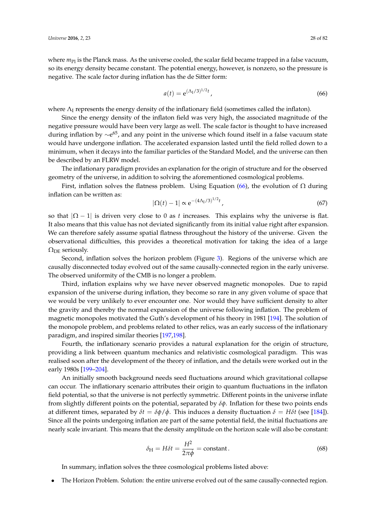where  $m_{\text{Pl}}$  is the Planck mass. As the universe cooled, the scalar field became trapped in a false vacuum, so its energy density became constant. The potential energy, however, is nonzero, so the pressure is negative. The scale factor during inflation has the de Sitter form:

<span id="page-27-0"></span>
$$
a(t) = e^{(\Lambda_1/3)^{1/2}t},
$$
\n(66)

where  $\Lambda_1$  represents the energy density of the inflationary field (sometimes called the inflaton).

Since the energy density of the inflaton field was very high, the associated magnitude of the negative pressure would have been very large as well. The scale factor is thought to have increased during inflation by  $\sim e^{65}$ , and any point in the universe which found itself in a false vacuum state would have undergone inflation. The accelerated expansion lasted until the field rolled down to a minimum, when it decays into the familiar particles of the Standard Model, and the universe can then be described by an FLRW model.

The inflationary paradigm provides an explanation for the origin of structure and for the observed geometry of the universe, in addition to solving the aforementioned cosmological problems.

First, inflation solves the flatness problem. Using Equation [\(66\)](#page-27-0), the evolution of  $\Omega$  during inflation can be written as:

<span id="page-27-1"></span>
$$
|\Omega(t) - 1| \propto e^{-(4\Lambda_1/3)^{1/2}t}, \qquad (67)
$$

so that  $|\Omega - 1|$  is driven very close to 0 as *t* increases. This explains why the universe is flat. It also means that this value has not deviated significantly from its initial value right after expansion. We can therefore safely assume spatial flatness throughout the history of the universe. Given the observational difficulties, this provides a theoretical motivation for taking the idea of a large  $\Omega_{\rm DE}$  seriously.

Second, inflation solves the horizon problem (Figure [3\)](#page-28-0). Regions of the universe which are causally disconnected today evolved out of the same causally-connected region in the early universe. The observed uniformity of the CMB is no longer a problem.

Third, inflation explains why we have never observed magnetic monopoles. Due to rapid expansion of the universe during inflation, they become so rare in any given volume of space that we would be very unlikely to ever encounter one. Nor would they have sufficient density to alter the gravity and thereby the normal expansion of the universe following inflation. The problem of magnetic monopoles motivated the Guth's development of his theory in 1981 [\[194\]](#page-68-8). The solution of the monopole problem, and problems related to other relics, was an early success of the inflationary paradigm, and inspired similar theories [\[197,](#page-68-12)[198\]](#page-68-13).

Fourth, the inflationary scenario provides a natural explanation for the origin of structure, providing a link between quantum mechanics and relativistic cosmological paradigm. This was realised soon after the development of the theory of inflation, and the details were worked out in the early 1980s [\[199](#page-68-14)[–204\]](#page-68-15).

An initially smooth background needs seed fluctuations around which gravitational collapse can occur. The inflationary scenario attributes their origin to quantum fluctuations in the inflaton field potential, so that the universe is not perfectly symmetric. Different points in the universe inflate from slightly different points on the potential, separated by *δφ*. Inflation for these two points ends at different times, separated by  $δt = δφ/φ$ . This induces a density fluctuation  $δ = Hδt$  (see [\[184\]](#page-67-24)). Since all the points undergoing inflation are part of the same potential field, the initial fluctuations are nearly scale invariant. This means that the density amplitude on the horizon scale will also be constant:

$$
\delta_{\rm H} = H \delta t = \frac{H^2}{2\pi \dot{\phi}} = \text{constant}.
$$
\n(68)

In summary, inflation solves the three cosmological problems listed above:

• The Horizon Problem. Solution: the entire universe evolved out of the same causally-connected region.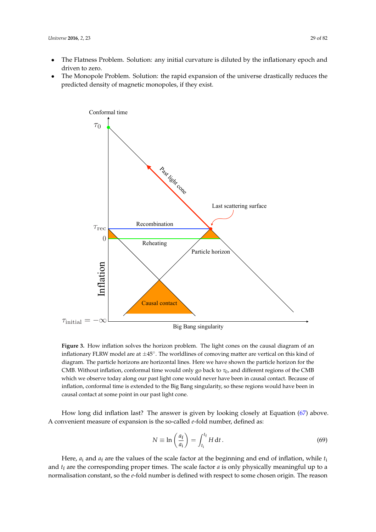- The Flatness Problem. Solution: any initial curvature is diluted by the inflationary epoch and driven to zero.
- The Monopole Problem. Solution: the rapid expansion of the universe drastically reduces the predicted density of magnetic monopoles, if they exist.

<span id="page-28-0"></span>

**Figure 3.** How inflation solves the horizon problem. The light cones on the causal diagram of an inflationary FLRW model are at  $\pm 45^{\circ}$ . The worldlines of comoving matter are vertical on this kind of diagram. The particle horizons are horizontal lines. Here we have shown the particle horizon for the CMB. Without inflation, conformal time would only go back to  $\tau_0$ , and different regions of the CMB which we observe today along our past light cone would never have been in causal contact. Because of inflation, conformal time is extended to the Big Bang singularity, so these regions would have been in causal contact at some point in our past light cone.

How long did inflation last? The answer is given by looking closely at Equation [\(67\)](#page-27-1) above. A convenient measure of expansion is the so-called *e*-fold number, defined as:

$$
N \equiv \ln\left(\frac{a_f}{a_i}\right) = \int_{t_i}^{t_f} H \, \mathrm{d}t \,. \tag{69}
$$

Here,  $a_i$  and  $a_f$  are the values of the scale factor at the beginning and end of inflation, while  $t_i$ and  $t_f$  are the corresponding proper times. The scale factor  $a$  is only physically meaningful up to a normalisation constant, so the *e*-fold number is defined with respect to some chosen origin. The reason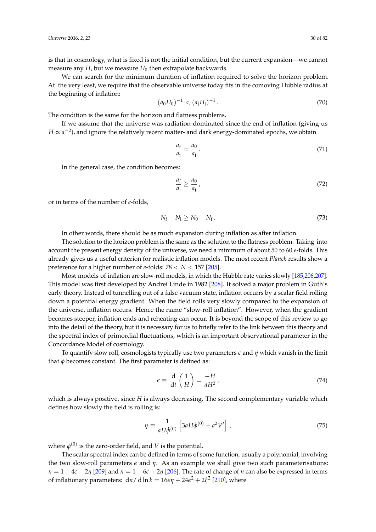is that in cosmology, what is fixed is not the initial condition, but the current expansion—we cannot measure any  $H$ , but we measure  $H_0$  then extrapolate backwards.

We can search for the minimum duration of inflation required to solve the horizon problem. At the very least, we require that the observable universe today fits in the comoving Hubble radius at the beginning of inflation:

$$
(a_0H_0)^{-1} < (a_iH_i)^{-1} \,. \tag{70}
$$

The condition is the same for the horizon and flatness problems.

If we assume that the universe was radiation-dominated since the end of inflation (giving us *H* ∝ *a*<sup>−2</sup>), and ignore the relatively recent matter- and dark energy-dominated epochs, we obtain

$$
\frac{a_{\rm f}}{a_{\rm i}} = \frac{a_0}{a_{\rm f}}\,. \tag{71}
$$

In the general case, the condition becomes:

$$
\frac{a_f}{a_i} \ge \frac{a_0}{a_f} \,,\tag{72}
$$

or in terms of the number of *e*-folds,

$$
N_{\rm f} - N_{\rm i} \ge N_0 - N_{\rm f} \,. \tag{73}
$$

In other words, there should be as much expansion during inflation as after inflation.

The solution to the horizon problem is the same as the solution to the flatness problem. Taking into account the present energy density of the universe, we need a minimum of about 50 to 60 *e*-folds. This already gives us a useful criterion for realistic inflation models. The most recent *Planck* results show a preference for a higher number of *e*-folds: 78 < *N* < 157 [\[205\]](#page-68-16).

Most models of inflation are slow-roll models, in which the Hubble rate varies slowly [\[185,](#page-68-9)[206,](#page-68-17)[207\]](#page-68-18). This model was first developed by Andrei Linde in 1982 [\[208\]](#page-68-19). It solved a major problem in Guth's early theory. Instead of tunnelling out of a false vacuum state, inflation occurrs by a scalar field rolling down a potential energy gradient. When the field rolls very slowly compared to the expansion of the universe, inflation occurs. Hence the name "slow-roll inflation". However, when the gradient becomes steeper, inflation ends and reheating can occur. It is beyond the scope of this review to go into the detail of the theory, but it is necessary for us to briefly refer to the link between this theory and the spectral index of primordial fluctuations, which is an important observational parameter in the Concordance Model of cosmology.

To quantify slow roll, cosmologists typically use two parameters *e* and *η* which vanish in the limit that  $\phi$  becomes constant. The first parameter is defined as:

$$
\epsilon \equiv \frac{\mathrm{d}}{\mathrm{d}t} \left( \frac{1}{H} \right) = \frac{-\dot{H}}{aH^2},\tag{74}
$$

which is always positive, since *H* is always decreasing. The second complementary variable which defines how slowly the field is rolling is:

$$
\eta \equiv \frac{1}{aH\dot{\phi}^{(0)}} \left[ 3aH\dot{\phi}^{(0)} + a^2 V' \right],\tag{75}
$$

where  $\phi^{(0)}$  is the zero-order field, and *V* is the potential.

The scalar spectral index can be defined in terms of some function, usually a polynomial, involving the two slow-roll parameters  $ε$  and  $η$ . As an example we shall give two such parameterisations:  $n = 1 - 4\epsilon - 2\eta$  [\[209\]](#page-68-20) and  $n = 1 - 6\epsilon + 2\eta$  [\[206\]](#page-68-17). The rate of change of *n* can also be expressed in terms of inflationary parameters:  $dn/d \ln k = 16\epsilon \eta + 24\epsilon^2 + 2\zeta^2$  [\[210\]](#page-68-21), where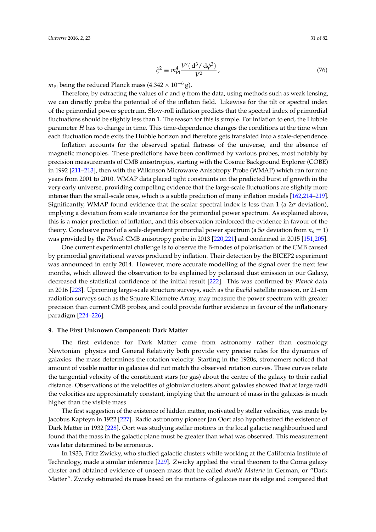$$
\xi^2 \equiv m_{\rm Pl}^4 \frac{V'(d^3/d\phi^3)}{V^2},\tag{76}
$$

*m*<sub>Pl</sub> being the reduced Planck mass (4.342 × 10<sup>-6</sup> g).

Therefore, by extracting the values of *e* and *η* from the data, using methods such as weak lensing, we can directly probe the potential of of the inflaton field. Likewise for the tilt or spectral index of the primordial power spectrum. Slow-roll inflation predicts that the spectral index of primordial fluctuations should be slightly less than 1. The reason for this is simple. For inflation to end, the Hubble parameter *H* has to change in time. This time-dependence changes the conditions at the time when each fluctuation mode exits the Hubble horizon and therefore gets translated into a scale-dependence.

Inflation accounts for the observed spatial flatness of the universe, and the absence of magnetic monopoles. These predictions have been confirmed by various probes, most notably by precision measurements of CMB anisotropies, starting with the Cosmic Background Explorer (COBE) in 1992 [\[211](#page-68-22)[–213\]](#page-68-23), then with the Wilkinson Microwave Anisotropy Probe (WMAP) which ran for nine years from 2001 to 2010. WMAP data placed tight constraints on the predicted burst of growth in the very early universe, providing compelling evidence that the large-scale fluctuations are slightly more intense than the small-scale ones, which is a subtle prediction of many inflation models [\[162](#page-67-7)[,214–](#page-69-0)[219\]](#page-69-1). Significantly, WMAP found evidence that the scalar spectral index is less than 1 (a  $2\sigma$  deviation), implying a deviation from scale invariance for the primordial power spectrum. As explained above, this is a major prediction of inflation, and this observation reinforced the evidence in favour of the theory. Conclusive proof of a scale-dependent primordial power spectrum (a  $5\sigma$  deviation from  $n_s = 1$ ) was provided by the *Planck* CMB anisotropy probe in 2013 [\[220,](#page-69-2)[221\]](#page-69-3) and confirmed in 2015 [\[151](#page-66-28)[,205\]](#page-68-16).

One current experimental challenge is to observe the B-modes of polarisation of the CMB caused by primordial gravitational waves produced by inflation. Their detection by the BICEP2 experiment was announced in early 2014. However, more accurate modelling of the signal over the next few months, which allowed the observation to be explained by polarised dust emission in our Galaxy, decreased the statistical confidence of the initial result [\[222\]](#page-69-4). This was confirmed by *Planck* data in 2016 [\[223\]](#page-69-5). Upcoming large-scale structure surveys, such as the *Euclid* satellite mission, or 21-cm radiation surveys such as the Square Kilometre Array, may measure the power spectrum with greater precision than current CMB probes, and could provide further evidence in favour of the inflationary paradigm [\[224](#page-69-6)[–226\]](#page-69-7).

## **9. The First Unknown Component: Dark Matter**

The first evidence for Dark Matter came from astronomy rather than cosmology. Newtonian physics and General Relativity both provide very precise rules for the dynamics of galaxies: the mass determines the rotation velocity. Starting in the 1920s, stronomers noticed that amount of visible matter in galaxies did not match the observed rotation curves. These curves relate the tangential velocity of the constituent stars (or gas) about the centre of the galaxy to their radial distance. Observations of the velocities of globular clusters about galaxies showed that at large radii the velocities are approximately constant, implying that the amount of mass in the galaxies is much higher than the visible mass.

The first suggestion of the existence of hidden matter, motivated by stellar velocities, was made by Jacobus Kapteyn in 1922 [\[227\]](#page-69-8). Radio astronomy pioneer Jan Oort also hypothesized the existence of Dark Matter in 1932 [\[228\]](#page-69-9). Oort was studying stellar motions in the local galactic neighbourhood and found that the mass in the galactic plane must be greater than what was observed. This measurement was later determined to be erroneous.

In 1933, Fritz Zwicky, who studied galactic clusters while working at the California Institute of Technology, made a similar inference [\[229\]](#page-69-10). Zwicky applied the virial theorem to the Coma galaxy cluster and obtained evidence of unseen mass that he called *dunkle Materie* in German, or "Dark Matter". Zwicky estimated its mass based on the motions of galaxies near its edge and compared that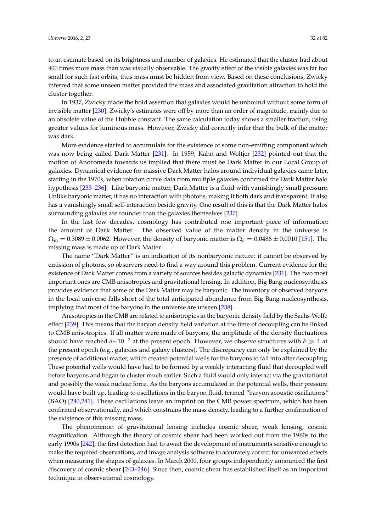to an estimate based on its brightness and number of galaxies. He estimated that the cluster had about 400 times more mass than was visually observable. The gravity effect of the visible galaxies was far too small for such fast orbits, thus mass must be hidden from view. Based on these conclusions, Zwicky inferred that some unseen matter provided the mass and associated gravitation attraction to hold the cluster together.

In 1937, Zwicky made the bold assertion that galaxies would be unbound without some form of invisible matter [\[230\]](#page-69-11). Zwicky's estimates were off by more than an order of magnitude, mainly due to an obsolete value of the Hubble constant. The same calculation today shows a smaller fraction, using greater values for luminous mass. However, Zwicky did correctly infer that the bulk of the matter was dark.

More evidence started to accumulate for the existence of some non-emitting component which was now being called Dark Matter [\[231\]](#page-69-12). In 1959, Kahn and Woltjer [\[232\]](#page-69-13) pointed out that the motion of Andromeda towards us implied that there must be Dark Matter in our Local Group of galaxies. Dynamical evidence for massive Dark Matter halos around individual galaxies came later, starting in the 1970s, when rotation curve data from multiple galaxies confirmed the Dark Matter halo hypothesis [\[233](#page-69-14)[–236\]](#page-69-15). Like baryonic matter, Dark Matter is a fluid with vanishingly small pressure. Unlike baryonic matter, it has no interaction with photons, making it both dark and transparent. It also has a vanishingly small self-interaction beside gravity. One result of this is that the Dark Matter halos surrounding galaxies are rounder than the galaxies themselves [\[237\]](#page-69-16) .

In the last few decades, cosmology has contributed one important piece of information: the amount of Dark Matter. The observed value of the matter density in the universe is  $\Omega_{\rm m} = 0.3089 \pm 0.0062$ . However, the density of baryonic matter is  $\Omega_b = 0.0486 \pm 0.0010$  [\[151\]](#page-66-28). The missing mass is made up of Dark Matter.

The name "Dark Matter" is an indication of its nonbaryonic nature: it cannot be observed by emission of photons, so observers need to find a way around this problem. Current evidence for the existence of Dark Matter comes from a variety of sources besides galactic dynamics [\[231\]](#page-69-12). The two most important ones are CMB anisotropies and gravitational lensing. In addition, Big Bang nucleosynthesis provides evidence that some of the Dark Matter may be baryonic. The inventory of observed baryons in the local universe falls short of the total anticipated abundance from Big Bang nucleosynthesis, implying that most of the baryons in the universe are unseen [\[238\]](#page-69-17).

Anisotropies in the CMB are related to anisotropies in the baryonic density field by the Sachs-Wolfe effect [\[239\]](#page-69-18). This means that the baryon density field variation at the time of decoupling can be linked to CMB anisotropies. If all matter were made of baryons, the amplitude of the density fluctuations should have reached  $\delta \sim 10^{-2}$  at the present epoch. However, we observe structures with  $\delta \gg 1$  at the present epoch (e.g., galaxies and galaxy clusters). The discrepancy can only be explained by the presence of additional matter, which created potential wells for the baryons to fall into after decoupling. These potential wells would have had to be formed by a weakly interacting fluid that decoupled well before baryons and began to cluster much earlier. Such a fluid would only interact via the gravitational and possibly the weak nuclear force. As the baryons accumulated in the potential wells, their pressure would have built up, leading to oscillations in the baryon fluid, termed "baryon acoustic oscillations" (BAO) [\[240,](#page-70-0)[241\]](#page-70-1). These oscillations leave an imprint on the CMB power spectrum, which has been confirmed observationally, and which constrains the mass density, leading to a further confirmation of the existence of this missing mass.

The phenomenon of gravitational lensing includes cosmic shear, weak lensing, cosmic magnification. Although the theory of cosmic shear had been worked out from the 1960s to the early 1990s [\[242\]](#page-70-2), the first detection had to await the development of instruments sensitive enough to make the required observations, and image analysis software to accurately correct for unwanted effects when measuring the shapes of galaxies. In March 2000, four groups independently announced the first discovery of cosmic shear [\[243–](#page-70-3)[246\]](#page-70-4). Since then, cosmic shear has established itself as an important technique in observational cosmology.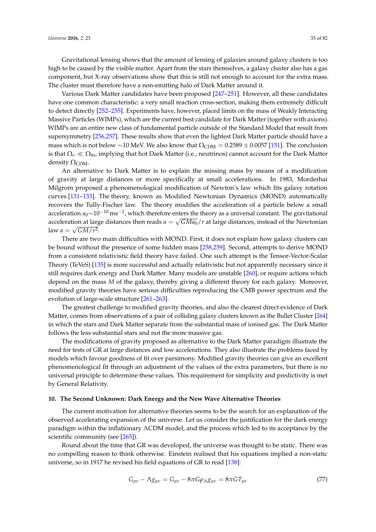Gravitational lensing shows that the amount of lensing of galaxies around galaxy clusters is too high to be caused by the visible matter. Apart from the stars themselves, a galaxy cluster also has a gas component, but X-ray observations show that this is still not enough to account for the extra mass. The cluster must therefore have a non-emitting halo of Dark Matter around it.

Various Dark Matter candidates have been proposed [\[247](#page-70-5)[–251\]](#page-70-6). However, all these candidates have one common characteristic: a very small reaction cross-section, making them extremely difficult to detect directly [\[252](#page-70-7)[–255\]](#page-70-8). Experiments have, however, placed limits on the mass of Weakly Interacting Massive Particles (WIMPs), which are the current best candidate for Dark Matter (together with axions). WIMPs are an entire new class of fundamental particle outside of the Standard Model that result from supersymmetry [\[256](#page-70-9)[,257\]](#page-70-10). These results show that even the lightest Dark Matter particle should have a mass which is not below ~10 MeV. We also know that  $\Omega_{CDM} = 0.2589 \pm 0.0057$  [\[151\]](#page-66-28). The conclusion is that  $\Omega_v \ll \Omega_m$ , implying that hot Dark Matter (i.e., neutrinos) cannot account for the Dark Matter density  $\Omega_{CDM}$ .

An alternative to Dark Matter is to explain the missing mass by means of a modification of gravity at large distances or more specifically at small accelerations. In 1983, Morderhai Milgrom proposed a phenomenological modification of Newton's law which fits galaxy rotation curves [\[131](#page-66-10)[–133\]](#page-66-11). The theory, known as Modified Newtonian Dynamics (MOND) automatically recovers the Tully-Fischer law. The theory modifies the acceleration of a particle below a small acceleration *a*<sub>0</sub>∼10<sup>-10</sup> ms<sup>-2</sup>, which therefore enters the theory as a universal constant. The gravitational acceleration at large distances then reads  $a = \sqrt{GMa_0}/r$  at large distances, instead of the Newtonian law  $a = \sqrt{GM/r^2}$ .

There are two main difficulties with MOND. First, it does not explain how galaxy clusters can be bound without the presence of some hidden mass [\[258](#page-70-11)[,259\]](#page-70-12). Second, attempts to derive MOND from a consistent relativistic field theory have failed. One such attempt is the Tensor-Vector-Scalar Theory (TeVeS) [\[135\]](#page-66-13) is more successful and actually relativistic but not apparently necessary since it still requires dark energy and Dark Matter. Many models are unstable [\[260\]](#page-70-13), or require actions which depend on the mass *M* of the galaxy, thereby giving a different theory for each galaxy. Moreover, modified gravity theories have serious difficulties reproducing the CMB power spectrum and the evolution of large-scale structure [\[261–](#page-70-14)[263\]](#page-70-15).

The greatest challenge to modified gravity theories, and also the clearest direct evidence of Dark Matter, comes from observations of a pair of colliding galaxy clusters known as the Bullet Cluster [\[264\]](#page-70-16) in which the stars and Dark Matter separate from the substantial mass of ionised gas. The Dark Matter follows the less substantial stars and not the more massive gas.

The modifications of gravity proposed as alternative to the Dark Matter paradigm illustrate the need for tests of GR at large distances and low accelerations. They also illustrate the problems faced by models which favour goodness of fit over parsimony. Modified gravity theories can give an excellent phenomenological fit through an adjustment of the values of the extra parameters, but there is no universal principle to determine these values. This requirement for simplicity and predictivity is met by General Relativity.

#### **10. The Second Unknown: Dark Energy and the New Wave Alternative Theories**

The current motivation for alternative theories seems to be the search for an explanation of the observed accelerating expansion of the universe. Let us consider the justification for the dark energy paradigm within the inflationary ΛCDM model, and the process which led to its acceptance by the scientific community (see [\[265\]](#page-70-17)).

Round about the time that GR was developed, the universe was thought to be static. There was no compelling reason to think otherwise. Einstein realised that his equations implied a non-static universe, so in 1917 he revised his field equations of GR to read [\[138\]](#page-66-16):

$$
G_{\mu\nu} - \Lambda g_{\mu\nu} = G_{\mu\nu} - 8\pi G \rho_{\Lambda} g_{\mu\nu} = 8\pi G T_{\mu\nu} \tag{77}
$$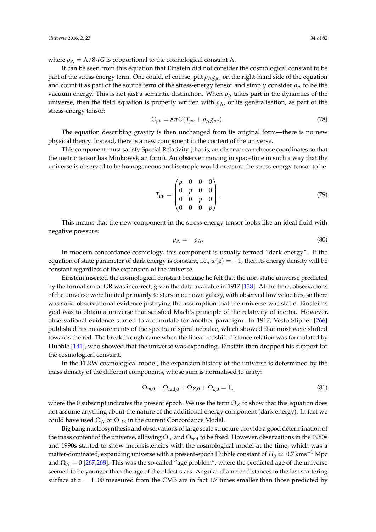where  $\rho_{\Lambda} = \Lambda/8\pi G$  is proportional to the cosmological constant  $\Lambda$ .

It can be seen from this equation that Einstein did not consider the cosmological constant to be part of the stress-energy term. One could, of course, put *ρ*Λ*gµν* on the right-hand side of the equation and count it as part of the source term of the stress-energy tensor and simply consider  $\rho_{\Lambda}$  to be the vacuum energy. This is not just a semantic distinction. When  $\rho_{\Lambda}$  takes part in the dynamics of the universe, then the field equation is properly written with  $\rho_{\Lambda}$ , or its generalisation, as part of the stress-energy tensor:

$$
G_{\mu\nu} = 8\pi G (T_{\mu\nu} + \rho_{\Lambda} g_{\mu\nu}). \qquad (78)
$$

The equation describing gravity is then unchanged from its original form—there is no new physical theory. Instead, there is a new component in the content of the universe.

This component must satisfy Special Relativity (that is, an observer can choose coordinates so that the metric tensor has Minkowskian form). An observer moving in spacetime in such a way that the universe is observed to be homogeneous and isotropic would measure the stress-energy tensor to be

$$
T_{\mu\nu} = \begin{pmatrix} \rho & 0 & 0 & 0 \\ 0 & p & 0 & 0 \\ 0 & 0 & p & 0 \\ 0 & 0 & 0 & p \end{pmatrix} . \tag{79}
$$

This means that the new component in the stress-energy tensor looks like an ideal fluid with negative pressure:

$$
p_{\Lambda} = -\rho_{\Lambda}.\tag{80}
$$

In modern concordance cosmology, this component is usually termed "dark energy". If the equation of state parameter of dark energy is constant, i.e.,  $w(z) = -1$ , then its energy density will be constant regardless of the expansion of the universe.

Einstein inserted the cosmological constant because he felt that the non-static universe predicted by the formalism of GR was incorrect, given the data available in 1917 [\[138\]](#page-66-16). At the time, observations of the universe were limited primarily to stars in our own galaxy, with observed low velocities, so there was solid observational evidence justifying the assumption that the universe was static. Einstein's goal was to obtain a universe that satisfied Mach's principle of the relativity of inertia. However, observational evidence started to accumulate for another paradigm. In 1917, Vesto Slipher [\[266\]](#page-70-18) published his measurements of the spectra of spiral nebulae, which showed that most were shifted towards the red. The breakthrough came when the linear redshift-distance relation was formulated by Hubble [\[141\]](#page-66-19), who showed that the universe was expanding. Einstein then dropped his support for the cosmological constant.

In the FLRW cosmological model, the expansion history of the universe is determined by the mass density of the different components, whose sum is normalised to unity:

<span id="page-33-0"></span>
$$
\Omega_{m,0} + \Omega_{\text{rad},0} + \Omega_{X,0} + \Omega_{k,0} = 1, \qquad (81)
$$

where the 0 subscript indicates the present epoch. We use the term  $\Omega_X$  to show that this equation does not assume anything about the nature of the additional energy component (dark energy). In fact we could have used  $\Omega_{\Lambda}$  or  $\Omega_{\text{DE}}$  in the current Concordance Model.

Big bang nucleosynthesis and observations of large scale structure provide a good determination of the mass content of the universe, allowing  $\Omega_m$  and  $\Omega_{rad}$  to be fixed. However, observations in the 1980s and 1990s started to show inconsistencies with the cosmological model at the time, which was a matter-dominated, expanding universe with a present-epoch Hubble constant of  $H_0 \simeq 0.7 \,\mathrm{km s}^{-1}$  Mpc and  $\Omega_{\Lambda} = 0$  [\[267](#page-70-19)[,268\]](#page-70-20). This was the so-called "age problem", where the predicted age of the universe seemed to be younger than the age of the oldest stars. Angular-diameter distances to the last scattering surface at  $z = 1100$  measured from the CMB are in fact 1.7 times smaller than those predicted by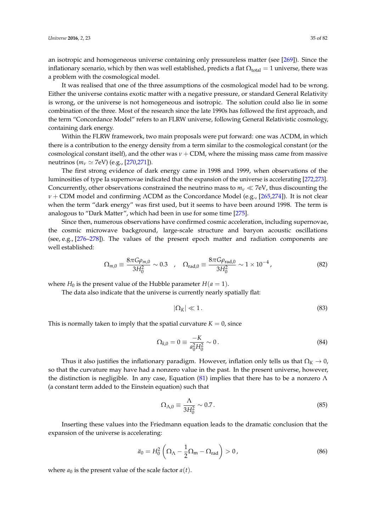an isotropic and homogeneous universe containing only pressureless matter (see [\[269\]](#page-71-0)). Since the inflationary scenario, which by then was well established, predicts a flat  $\Omega_{\text{total}} = 1$  universe, there was a problem with the cosmological model.

It was realised that one of the three assumptions of the cosmological model had to be wrong. Either the universe contains exotic matter with a negative pressure, or standard General Relativity is wrong, or the universe is not homogeneous and isotropic. The solution could also lie in some combination of the three. Most of the research since the late 1990s has followed the first approach, and the term "Concordance Model" refers to an FLRW universe, following General Relativistic cosmology, containing dark energy.

Within the FLRW framework, two main proposals were put forward: one was ΛCDM, in which there is a contribution to the energy density from a term similar to the cosmological constant (or the cosmological constant itself), and the other was  $v + CDM$ , where the missing mass came from massive neutrinos ( $m_V \simeq 7$ eV) (e.g., [\[270](#page-71-1)[,271\]](#page-71-2)).

The first strong evidence of dark energy came in 1998 and 1999, when observations of the luminosities of type Ia supernovae indicated that the expansion of the universe is accelerating [\[272,](#page-71-3)[273\]](#page-71-4). Concurrently, other observations constrained the neutrino mass to  $m<sub>v</sub> \ll 7$ eV, thus discounting the *ν* + CDM model and confirming ΛCDM as the Concordance Model (e.g., [\[265,](#page-70-17)[274\]](#page-71-5)). It is not clear when the term "dark energy" was first used, but it seems to have been around 1998. The term is analogous to "Dark Matter", which had been in use for some time [\[275\]](#page-71-6).

Since then, numerous observations have confirmed cosmic acceleration, including supernovae, the cosmic microwave background, large-scale structure and baryon acoustic oscillations (see, e.g., [\[276–](#page-71-7)[278\]](#page-71-8)). The values of the present epoch matter and radiation components are well established:

$$
\Omega_{m,0} \equiv \frac{8\pi G \rho_{m,0}}{3H_0^2} \sim 0.3 \quad , \quad \Omega_{\text{rad},0} \equiv \frac{8\pi G \rho_{\text{rad},0}}{3H_0^2} \sim 1 \times 10^{-4} \quad , \tag{82}
$$

where  $H_0$  is the present value of the Hubble parameter  $H(a = 1)$ .

The data also indicate that the universe is currently nearly spatially flat:

$$
|\Omega_K| \ll 1. \tag{83}
$$

This is normally taken to imply that the spatial curvature  $K = 0$ , since

$$
\Omega_{k,0} = 0 \equiv \frac{-K}{a_0^2 H_0^2} \sim 0. \tag{84}
$$

Thus it also justifies the inflationary paradigm. However, inflation only tells us that  $\Omega_K \to 0$ , so that the curvature may have had a nonzero value in the past. In the present universe, however, the distinction is negligible. In any case, Equation [\(81\)](#page-33-0) implies that there has to be a nonzero  $\Lambda$ (a constant term added to the Einstein equation) such that

$$
\Omega_{\Lambda,0} \equiv \frac{\Lambda}{3H_0^2} \sim 0.7 \,. \tag{85}
$$

Inserting these values into the Friedmann equation leads to the dramatic conclusion that the expansion of the universe is accelerating:

$$
\ddot{a}_0 = H_0^2 \left( \Omega_\Lambda - \frac{1}{2} \Omega_\mathrm{m} - \Omega_\mathrm{rad} \right) > 0, \tag{86}
$$

where  $a_0$  is the present value of the scale factor  $a(t)$ .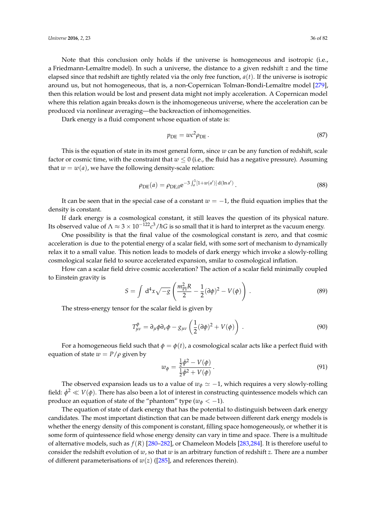Note that this conclusion only holds if the universe is homogeneous and isotropic (i.e., a Friedmann-Lemaître model). In such a universe, the distance to a given redshift *z* and the time elapsed since that redshift are tightly related via the only free function, *a*(*t*). If the universe is isotropic around us, but not homogeneous, that is, a non-Copernican Tolman-Bondi-Lemaître model [\[279\]](#page-71-9), then this relation would be lost and present data might not imply acceleration. A Copernican model where this relation again breaks down is the inhomogeneous universe, where the acceleration can be produced via nonlinear averaging—the backreaction of inhomogeneities.

Dark energy is a fluid component whose equation of state is:

$$
p_{\rm DE} = w c^2 \rho_{\rm DE} \,. \tag{87}
$$

This is the equation of state in its most general form, since *w* can be any function of redshift, scale factor or cosmic time, with the constraint that  $w \le 0$  (i.e., the fluid has a negative pressure). Assuming that  $w = w(a)$ , we have the following density-scale relation:

$$
\rho_{\rm DE}(a) = \rho_{\rm DE,0} e^{-3 \int_a^1 [1 + w(a')] \, d(\ln a')} \,. \tag{88}
$$

It can be seen that in the special case of a constant  $w = -1$ , the fluid equation implies that the density is constant.

If dark energy is a cosmological constant, it still leaves the question of its physical nature. Its observed value of  $\Lambda \approx 3 \times 10^{-122} c^3/\hbar G$  is so small that it is hard to interpret as the vacuum energy.

One possibility is that the final value of the cosmological constant is zero, and that cosmic acceleration is due to the potential energy of a scalar field, with some sort of mechanism to dynamically relax it to a small value. This notion leads to models of dark energy which invoke a slowly-rolling cosmological scalar field to source accelerated expansion, smilar to cosmological inflation.

How can a scalar field drive cosmic acceleration? The action of a scalar field minimally coupled to Einstein gravity is

$$
S = \int d^4x \sqrt{-g} \left( \frac{m_{\rm Pl}^2 R}{2} - \frac{1}{2} (\partial \phi)^2 - V(\phi) \right) . \tag{89}
$$

The stress-energy tensor for the scalar field is given by

$$
T^{\phi}_{\mu\nu} = \partial_{\mu}\phi \partial_{\nu}\phi - g_{\mu\nu}\left(\frac{1}{2}(\partial\phi)^2 + V(\phi)\right) \,. \tag{90}
$$

For a homogeneous field such that  $\phi = \phi(t)$ , a cosmological scalar acts like a perfect fluid with equation of state  $w = P/\rho$  given by

$$
w_{\phi} = \frac{\frac{1}{2}\dot{\phi}^2 - V(\phi)}{\frac{1}{2}\dot{\phi}^2 + V(\phi)}.
$$
\n(91)

The observed expansion leads us to a value of  $w_{\phi} \simeq -1$ , which requires a very slowly-rolling field:  $\dot{\phi}^2 \ll V(\phi)$ . There has also been a lot of interest in constructing quintessence models which can produce an equation of state of the "phantom" type ( $w_{\phi} < -1$ ).

The equation of state of dark energy that has the potential to distinguish between dark energy candidates. The most important distinction that can be made between different dark energy models is whether the energy density of this component is constant, filling space homogeneously, or whether it is some form of quintessence field whose energy density can vary in time and space. There is a multitude of alternative models, such as *f*(*R*) [\[280](#page-71-10)[–282\]](#page-71-11), or Chameleon Models [\[283,](#page-71-12)[284\]](#page-71-13). It is therefore useful to consider the redshift evolution of *w*, so that *w* is an arbitrary function of redshift *z*. There are a number of different parameterisations of  $w(z)$  ([\[285\]](#page-71-14), and references therein).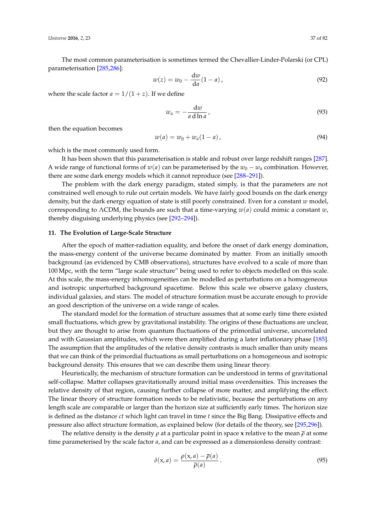The most common parameterisation is sometimes termed the Chevallier-Linder-Polarski (or CPL) parameterisation [\[285](#page-71-0)[,286\]](#page-71-1):

$$
w(z) = w_0 - \frac{\mathrm{d}w}{\mathrm{d}a}(1 - a),\tag{92}
$$

where the scale factor  $a = 1/(1 + z)$ . If we define

$$
w_a = -\frac{\mathrm{d}w}{a\,\mathrm{d}\ln a},\tag{93}
$$

then the equation becomes

$$
w(a) = w_0 + w_a(1 - a), \t\t(94)
$$

which is the most commonly used form.

It has been shown that this parameterisation is stable and robust over large redshift ranges [\[287\]](#page-71-2). A wide range of functional forms of  $w(a)$  can be parameterised by the  $w_0 - w_a$  combination. However, there are some dark energy models which it cannot reproduce (see [\[288](#page-71-3)[–291\]](#page-71-4)).

The problem with the dark energy paradigm, stated simply, is that the parameters are not constrained well enough to rule out certain models. We have fairly good bounds on the dark energy density, but the dark energy equation of state is still poorly constrained. Even for a constant *w* model, corresponding to ΛCDM, the bounds are such that a time-varying *w*(*a*) could mimic a constant *w*, thereby disguising underlying physics (see [\[292](#page-71-5)[–294\]](#page-71-6)).

### **11. The Evolution of Large-Scale Structure**

After the epoch of matter-radiation equality, and before the onset of dark energy domination, the mass-energy content of the universe became dominated by matter. From an initially smooth background (as evidenced by CMB observations), structures have evolved to a scale of more than 100 Mpc, with the term "large scale structure" being used to refer to objects modelled on this scale. At this scale, the mass-energy inhomogeneities can be modelled as perturbations on a homogeneous and isotropic unperturbed background spacetime. Below this scale we observe galaxy clusters, individual galaxies, and stars. The model of structure formation must be accurate enough to provide an good description of the universe on a wide range of scales.

The standard model for the formation of structure assumes that at some early time there existed small fluctuations, which grew by gravitational instability. The origins of these fluctuations are unclear, but they are thought to arise from quantum fluctuations of the primordial universe, uncorrelated and with Gaussian amplitudes, which were then amplified during a later inflationary phase [\[185\]](#page-68-0). The assumption that the amplitudes of the relative density contrasts is much smaller than unity means that we can think of the primordial fluctuations as small perturbations on a homogeneous and isotropic background density. This ensures that we can describe them using linear theory.

Heuristically, the mechanism of structure formation can be understood in terms of gravitational self-collapse. Matter collapses gravitationally around initial mass overdensities. This increases the relative density of that region, causing further collapse of more matter, and amplifying the effect. The linear theory of structure formation needs to be relativistic, because the perturbations on any length scale are comparable or larger than the horizon size at sufficiently early times. The horizon size is defined as the distance *ct* which light can travel in time *t* since the Big Bang. Dissipative effects and pressure also affect structure formation, as explained below (for details of the theory, see [\[295,](#page-71-7)[296\]](#page-72-0)).

The relative density is the density  $\rho$  at a particular point in space **x** relative to the mean  $\overline{\rho}$  at some time parameterised by the scale factor *a*, and can be expressed as a dimensionless density contrast:

$$
\delta(\mathbf{x}, a) = \frac{\rho(\mathbf{x}, a) - \overline{\rho}(a)}{\overline{\rho}(a)}.
$$
\n(95)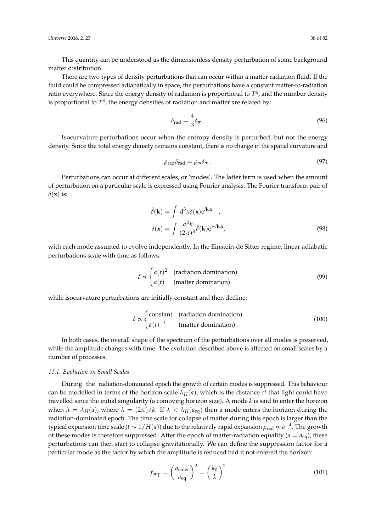This quantity can be understood as the dimensionless density perturbation of some background matter distribution.

There are two types of density perturbations that can occur within a matter-radiation fluid. If the fluid could be compressed adiabatically in space, the perturbations have a constant matter-to-radiation ratio everywhere. Since the energy density of radiation is proportional to *T* 4 , and the number density is proportional to  $T^3$ , the energy densities of radiation and matter are related by:

$$
\delta_{\rm rad} = \frac{4}{3} \delta_{\rm m} \,. \tag{96}
$$

Isocurvature perturbations occur when the entropy density is perturbed, but not the energy density. Since the total energy density remains constant, there is no change in the spatial curvature and

$$
\rho_{\rm rad}\delta_{\rm rad} = \rho_m \delta_{\rm m} \,. \tag{97}
$$

Perturbations can occur at different scales, or 'modes'. The latter term is used when the amount of perturbation on a particular scale is expressed using Fourier analysis. The Fourier transform pair of  $\delta(\mathbf{x})$  is:

$$
\hat{\delta}(\mathbf{k}) = \int d^3x \delta(\mathbf{x}) e^{i\mathbf{k} \cdot \mathbf{x}} \qquad ;
$$

$$
\delta(\mathbf{x}) = \int \frac{d^3k}{(2\pi)^3} \hat{\delta}(\mathbf{k}) e^{-i\mathbf{k} \cdot \mathbf{x}}, \qquad (98)
$$

with each mode assumed to evolve independently. In the Einstein-de Sitter regime, linear adiabatic perturbations scale with time as follows:

$$
\delta \propto \begin{cases}\na(t)^2 & \text{(radiation domination)} \\
a(t) & \text{(matter domination)}\n\end{cases}
$$
\n(99)

while isocurvature perturbations are initially constant and then decline:

$$
\delta \propto \begin{cases}\n\text{constant} & \text{(radiation domination)} \\
a(t)^{-1} & \text{(matter domination)}\n\end{cases} \tag{100}
$$

In both cases, the overall shape of the spectrum of the perturbations over all modes is preserved, while the amplitude changes with time. The evolution described above is affected on small scales by a number of processes.

### *11.1. Evolution on Small Scales*

During the radiation-dominated epoch the growth of certain modes is suppressed. This behaviour can be modelled in terms of the horizon scale  $\lambda_H(a)$ , which is the distance *ct* that light could have travelled since the initial singularity (a comoving horizon size). A mode *k* is said to enter the horizon when  $\lambda = \lambda_H(a)$ , where  $\lambda = (2\pi)/k$ . If  $\lambda < \lambda_H(a_{eq})$  then a mode enters the horizon during the radiation-dominated epoch. The time scale for collapse of matter during this epoch is larger than the typical expansion time scale (*t*  $\sim 1/H(a)$ ) due to the relatively rapid expansion  $\rho_{\rm rad} \propto a^{-4}$ . The growth of these modes is therefore suppressed. After the epoch of matter-radiation equality ( $a = a_{eq}$ ), these perturbations can then start to collapse gravitationally. We can define the suppression factor for a particular mode as the factor by which the amplitude is reduced had it not entered the horizon:

<span id="page-37-0"></span>
$$
f_{\rm sup} = \left(\frac{a_{\rm enter}}{a_{\rm eq}}\right)^2 = \left(\frac{k_0}{k}\right)^2 \tag{101}
$$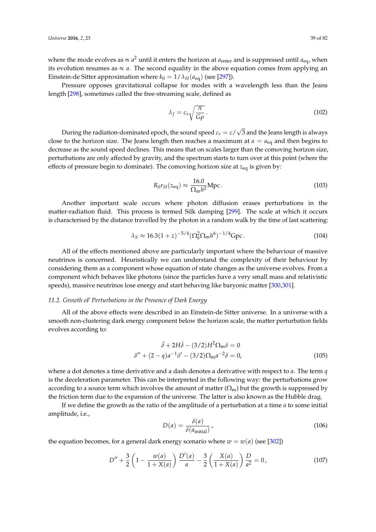where the mode evolves as  $\propto a^2$  until it enters the horizon at  $a_{\text{enter}}$  and is suppressed until  $a_{\text{eq}}$ , when its evolution resumes as  $\alpha$  *a*. The second equality in the above equation comes from applying an Einstein-de Sitter approximation where  $k_0 = 1/\lambda_H(a_{eq})$  (see [\[297\]](#page-72-1)).

Pressure opposes gravitational collapse for modes with a wavelength less than the Jeans length [\[298\]](#page-72-2), sometimes called the free-streaming scale, defined as

$$
\lambda_J = c_s \sqrt{\frac{\pi}{G\rho}}.
$$
\n(102)

During the radiation-dominated epoch, the sound speed  $c_s = c/\sqrt{3}$  and the Jeans length is always close to the horizon size. The Jeans length then reaches a maximum at  $a = a_{eq}$  and then begins to decrease as the sound speed declines. This means that on scales larger than the comoving horizon size, perturbations are only affected by gravity, and the spectrum starts to turn over at this point (where the effects of pressure begin to dominate). The comoving horizon size at *z*eq is given by:

$$
R_0 r_H(z_{\text{eq}}) \approx \frac{16.0}{\Omega_{\text{m}} h^2} \text{Mpc} \,. \tag{103}
$$

Another important scale occurs where photon diffusion erases perturbations in the matter-radiation fluid. This process is termed Silk damping [\[299\]](#page-72-3). The scale at which it occurs is characterised by the distance travelled by the photon in a random walk by the time of last scattering:

$$
\lambda_S \approx 16.3(1+z)^{-5/4} (\Omega_b^2 \Omega_m h^6)^{-1/4} \text{Gpc} \,. \tag{104}
$$

All of the effects mentioned above are particularly important where the behaviour of massive neutrinos is concerned. Heuristically we can understand the complexity of their behaviour by considering them as a component whose equation of state changes as the universe evolves. From a component which behaves like photons (since the particles have a very small mass and relativistic speeds), massive neutrinos lose energy and start behaving like baryonic matter [\[300](#page-72-4)[,301\]](#page-72-5).

### *11.2. Growth oF Perturbations in the Presence of Dark Energy*

All of the above effects were described in an Einstein-de Sitter universe. In a universe with a smooth non-clustering dark energy component below the horizon scale, the matter perturbation fields evolves according to:

$$
\ddot{\delta} + 2H\dot{\delta} - (3/2)H^2\Omega_m \delta = 0
$$
  

$$
\delta'' + (2 - q)a^{-1}\delta' - (3/2)\Omega_m a^{-2}\delta = 0,
$$
 (105)

where a dot denotes a time derivative and a dash denotes a derivative with respect to *a*. The term *q* is the deceleration parameter. This can be interpreted in the following way: the perturbations grow according to a source term which involves the amount of matter  $(\Omega_m)$  but the growth is suppressed by the friction term due to the expansion of the universe. The latter is also known as the Hubble drag.

If we define the growth as the ratio of the amplitude of a perturbation at a time *a* to some initial amplitude, i.e.,

$$
D(a) = \frac{\delta(a)}{\delta(a_{\text{initial}})},
$$
\n(106)

the equation becomes, for a general dark energy scenario where  $w = w(a)$  (see [\[302\]](#page-72-6))

$$
D'' + \frac{3}{2} \left( 1 - \frac{w(a)}{1 + X(a)} \right) \frac{D'(a)}{a} - \frac{3}{2} \left( \frac{X(a)}{1 + X(a)} \right) \frac{D}{a^2} = 0, \tag{107}
$$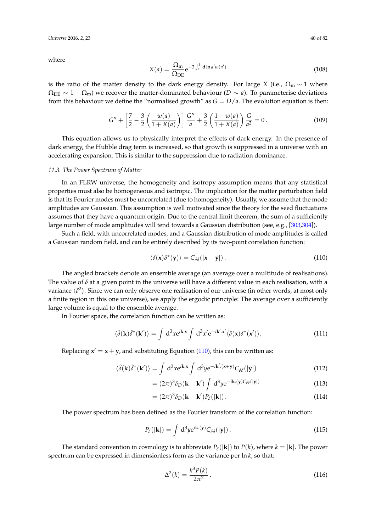where

$$
X(a) = \frac{\Omega_{\rm m}}{\Omega_{\rm DE}} e^{-3 \int_a^1 d \ln a' w(a')}
$$
 (108)

is the ratio of the matter density to the dark energy density. For large *X* (i.e.,  $\Omega_m \sim 1$  where  $\Omega_{\text{DE}} \sim 1 - \Omega_{\text{m}}$ ) we recover the matter-dominated behaviour (*D* ~ *a*). To parameterise deviations from this behaviour we define the "normalised growth" as  $G = D/a$ . The evolution equation is then:

$$
G'' + \left[\frac{7}{2} - \frac{3}{2} \left(\frac{w(a)}{1 + X(a)}\right)\right] \frac{G''}{a} + \frac{3}{2} \left(\frac{1 - w(a)}{1 + X(a)}\right) \frac{G}{a^2} = 0.
$$
 (109)

This equation allows us to physically interpret the effects of dark energy. In the presence of dark energy, the Hubble drag term is increased, so that growth is suppressed in a universe with an accelerating expansion. This is similar to the suppression due to radiation dominance.

### *11.3. The Power Spectrum of Matter*

In an FLRW universe, the homogeneity and isotropy assumption means that any statistical properties must also be homogeneous and isotropic. The implication for the matter perturbation field is that its Fourier modes must be uncorrelated (due to homogeneity). Usually, we assume that the mode amplitudes are Gaussian. This assumption is well motivated since the theory for the seed fluctuations assumes that they have a quantum origin. Due to the central limit theorem, the sum of a sufficiently large number of mode amplitudes will tend towards a Gaussian distribution (see, e.g., [\[303](#page-72-7)[,304\]](#page-72-8)).

Such a field, with uncorrelated modes, and a Gaussian distribution of mode amplitudes is called a Gaussian random field, and can be entirely described by its two-point correlation function:

<span id="page-39-0"></span>
$$
\langle \delta(\mathbf{x}) \delta^*(\mathbf{y}) \rangle = C_{\delta \delta}(|\mathbf{x} - \mathbf{y}|). \tag{110}
$$

The angled brackets denote an ensemble average (an average over a multitude of realisations). The value of *δ* at a given point in the universe will have a different value in each realisation, with a variance  $\langle \delta^2 \rangle$ . Since we can only observe one realisation of our universe (in other words, at most only a finite region in this one universe), we apply the ergodic principle: The average over a sufficiently large volume is equal to the ensemble average.

In Fourier space, the correlation function can be written as:

$$
\langle \hat{\delta}(\mathbf{k}) \hat{\delta}^*(\mathbf{k}') \rangle = \int d^3x e^{i\mathbf{k} \cdot \mathbf{x}} \int d^3x' e^{-i\mathbf{k}' \cdot \mathbf{x}'} \langle \delta(\mathbf{x}) \delta^*(\mathbf{x}') \rangle.
$$
 (111)

Replacing  $\mathbf{x}'=\mathbf{x}+\mathbf{y}$ , and substituting Equation [\(110\)](#page-39-0), this can be written as:

$$
\langle \hat{\delta}(\mathbf{k}) \hat{\delta}^*(\mathbf{k'}) \rangle = \int d^3x e^{i\mathbf{k} \cdot \mathbf{x}} \int d^3y e^{-i\mathbf{k'} \cdot (\mathbf{x} + \mathbf{y})} C_{\delta\delta}(|\mathbf{y}|)
$$
(112)

$$
= (2\pi)^3 \delta_D(\mathbf{k} - \mathbf{k}') \int d^3 y e^{-i\mathbf{k} \cdot (\mathbf{y}) C_{\delta\delta}(|\mathbf{y}|)} \tag{113}
$$

$$
= (2\pi)^3 \delta_D(\mathbf{k} - \mathbf{k}') P_\delta(|\mathbf{k}|) \,. \tag{114}
$$

The power spectrum has been defined as the Fourier transform of the correlation function:

$$
P_{\delta}(|\mathbf{k}|) = \int d^3 y e^{i\mathbf{k} \cdot (\mathbf{y})} C_{\delta\delta}(|\mathbf{y}|) . \tag{115}
$$

The standard convention in cosmology is to abbreviate  $P_\delta(|\mathbf{k}|)$  to  $P(k)$ , where  $k = |\mathbf{k}|$ . The power spectrum can be expressed in dimensionless form as the variance per ln *k*, so that:

$$
\Delta^{2}(k) = \frac{k^{3} P(k)}{2\pi^{2}}.
$$
\n(116)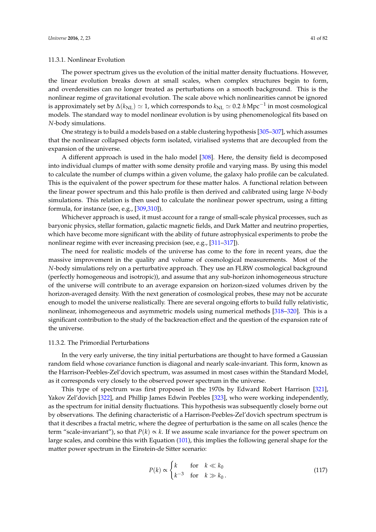### 11.3.1. Nonlinear Evolution

The power spectrum gives us the evolution of the initial matter density fluctuations. However, the linear evolution breaks down at small scales, when complex structures begin to form, and overdensities can no longer treated as perturbations on a smooth background. This is the nonlinear regime of gravitational evolution. The scale above which nonlinearities cannot be ignored is approximately set by  $\Delta(k_{\rm NL}) \simeq 1$ , which corresponds to  $k_{\rm NL} \simeq 0.2\ h\, {\rm Mpc}^{-1}$  in most cosmological models. The standard way to model nonlinear evolution is by using phenomenological fits based on *N*-body simulations.

One strategy is to build a models based on a stable clustering hypothesis [\[305–](#page-72-9)[307\]](#page-72-10), which assumes that the nonlinear collapsed objects form isolated, virialised systems that are decoupled from the expansion of the universe.

A different approach is used in the halo model [\[308\]](#page-72-11). Here, the density field is decomposed into individual clumps of matter with some density profile and varying mass. By using this model to calculate the number of clumps within a given volume, the galaxy halo profile can be calculated. This is the equivalent of the power spectrum for these matter halos. A functional relation between the linear power spectrum and this halo profile is then derived and calibrated using large *N*-body simulations. This relation is then used to calculate the nonlinear power spectrum, using a fitting formula, for instance (see, e.g., [\[309](#page-72-12)[,310\]](#page-72-13)).

Whichever approach is used, it must account for a range of small-scale physical processes, such as baryonic physics, stellar formation, galactic magnetic fields, and Dark Matter and neutrino properties, which have become more significant with the ability of future astrophysical experiments to probe the nonlinear regime with ever increasing precision (see, e.g., [\[311–](#page-72-14)[317\]](#page-72-15)).

The need for realistic models of the universe has come to the fore in recent years, due the massive improvement in the quality and volume of cosmological measurements. Most of the *N*-body simulations rely on a perturbative approach. They use an FLRW cosmological background (perfectly homogeneous and isotropic)), and assume that any sub-horizon inhomogeneous structure of the universe will contribute to an average expansion on horizon-sized volumes driven by the horizon-averaged density. With the next generation of cosmological probes, these may not be accurate enough to model the universe realistically. There are several ongoing efforts to build fully relativistic, nonlinear, inhomogeneous and asymmetric models using numerical methods [\[318–](#page-72-16)[320\]](#page-72-17). This is a significant contribution to the study of the backreaction effect and the question of the expansion rate of the universe.

### 11.3.2. The Primordial Perturbations

In the very early universe, the tiny initial perturbations are thought to have formed a Gaussian random field whose covariance function is diagonal and nearly scale-invariant. This form, known as the Harrison-Peebles-Zel'dovich spectrum, was assumed in most cases within the Standard Model, as it corresponds very closely to the observed power spectrum in the universe.

This type of spectrum was first proposed in the 1970s by Edward Robert Harrison [\[321\]](#page-72-18), Yakov Zel'dovich [\[322\]](#page-72-19), and Phillip James Edwin Peebles [\[323\]](#page-72-20), who were working independently, as the spectrum for initial density fluctuations. This hypothesis was subsequently closely borne out by observations. The defining characteristic of a Harrison-Peebles-Zel'dovich spectrum spectrum is that it describes a fractal metric, where the degree of perturbation is the same on all scales (hence the term "scale-invariant"), so that  $P(k) \propto k$ . If we assume scale invariance for the power spectrum on large scales, and combine this with Equation [\(101\)](#page-37-0), this implies the following general shape for the matter power spectrum in the Einstein-de Sitter scenario:

$$
P(k) \propto \begin{cases} k & \text{for} \quad k \ll k_0 \\ k^{-3} & \text{for} \quad k \gg k_0 \,. \end{cases} \tag{117}
$$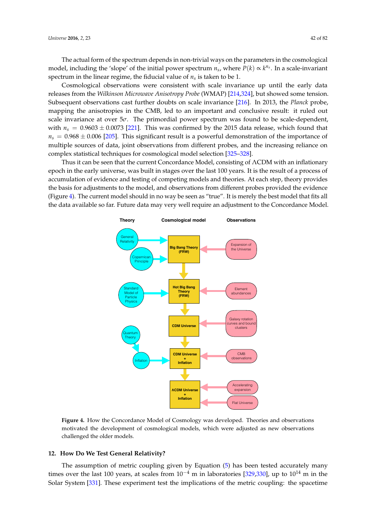The actual form of the spectrum depends in non-trivial ways on the parameters in the cosmological model, including the 'slope' of the initial power spectrum  $n_s$ , where  $P(k) \propto k^{n_s}$ . In a scale-invariant spectrum in the linear regime, the fiducial value of *n<sup>s</sup>* is taken to be 1.

Cosmological observations were consistent with scale invariance up until the early data releases from the *Wilkinson Microwave Anisotropy Probe* (WMAP) [\[214](#page-69-0)[,324\]](#page-73-0), but showed some tension. Subsequent observations cast further doubts on scale invariance [\[216\]](#page-69-1). In 2013, the *Planck* probe, mapping the anisotropies in the CMB, led to an important and conclusive result: it ruled out scale invariance at over 5*σ*. The primordial power spectrum was found to be scale-dependent, with  $n_s = 0.9603 \pm 0.0073$  [\[221\]](#page-69-2). This was confirmed by the 2015 data release, which found that  $n_s = 0.968 \pm 0.006$  [\[205\]](#page-68-1). This significant result is a powerful demonstration of the importance of multiple sources of data, joint observations from different probes, and the increasing reliance on complex statistical techniques for cosmological model selection [\[325](#page-73-1)[–328\]](#page-73-2).

<span id="page-41-0"></span>Thus it can be seen that the current Concordance Model, consisting of ΛCDM with an inflationary epoch in the early universe, was built in stages over the last 100 years. It is the result of a process of accumulation of evidence and testing of competing models and theories. At each step, theory provides the basis for adjustments to the model, and observations from different probes provided the evidence (Figure [4\)](#page-41-0). The current model should in no way be seen as "true". It is merely the best model that fits all the data available so far. Future data may very well require an adjustment to the Concordance Model.



**Figure 4.** How the Concordance Model of Cosmology was developed. Theories and observations motivated the development of cosmological models, which were adjusted as new observations challenged the older models.

#### **12. How Do We Test General Relativity?**

The assumption of metric coupling given by Equation [\(5\)](#page-8-0) has been tested accurately many times over the last 100 years, at scales from  $10^{-4}$  m in laboratories [\[329](#page-73-3)[,330\]](#page-73-4), up to  $10^{14}$  m in the Solar System [\[331\]](#page-73-5). These experiment test the implications of the metric coupling: the spacetime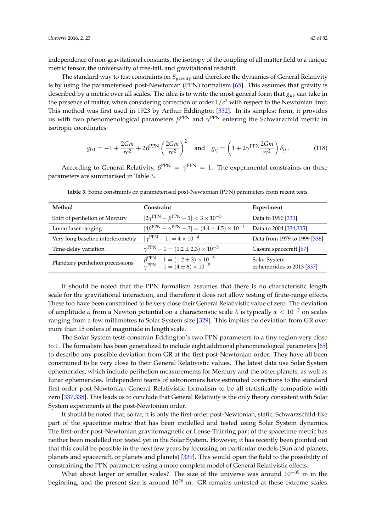independence of non-gravitational constants, the isotropy of the coupling of all matter field to a unique metric tensor, the universality of free-fall, and gravitational redshift.

The standard way to test constraints on *S*gravity and therefore the dynamics of General Relativity is by using the parameterised post-Newtonian (PPN) formalism [\[65\]](#page-64-0). This assumes that gravity is described by a metric over all scales. The idea is to write the most general form that *gµν* can take in the presence of matter, when considering correction of order 1/*c* <sup>2</sup> with respect to the Newtonian limit. This method was first used in 1923 by Arthur Eddington [\[332\]](#page-73-6). In its simplest form, it provides us with two phenomenological parameters  $β^{PPN}$  and  $γ^{PPN}$  entering the Schwarzchild metric in isotropic coordinates:

$$
g_{00} = -1 + \frac{2Gm}{rc^2} + 2\beta^{\rm PPN} \left(\frac{2Gm}{rc^2}\right)^2 \quad \text{and} \quad g_{ij} = \left(1 + 2\gamma^{\rm PPN} \frac{2Gm}{rc^2}\right) \delta_{ij} \,. \tag{118}
$$

According to General Relativity,  $\beta^{\rm PPN} = \gamma^{\rm PPN} = 1$ . The experimental constraints on these parameters are summarised in Table [3.](#page-42-0)

<span id="page-42-0"></span>

| Method                            | Constraint                                                                                             | Experiment                                |
|-----------------------------------|--------------------------------------------------------------------------------------------------------|-------------------------------------------|
| Shift of perihelion of Mercury    | $ 2\gamma$ <sup>PPN</sup> – $\beta$ <sup>PPN</sup> – 1  < 3 × 10 <sup>-3</sup>                         | Data to 1990 [333]                        |
| Lunar laser ranging               | $ 4\beta^{\rm PPN} - \gamma^{\rm PPN} - 3  = (4.4 \pm 4.5) \times 10^{-4}$                             | Data to 2004 [334,335]                    |
| Very long baseline interferometry | $ \gamma^{\rm PPN} - 1  = 4 \times 10^{-4}$                                                            | Data from 1979 to 1999 [336]              |
| Time-delay variation              | $\gamma^{\rm PPN} - 1 = (1.2 \pm 2.3) \times 10^{-5}$                                                  | Cassini spacecraft [67]                   |
| Planetary perihelion precessions  | $\beta^{\rm PPN} - 1 = (-2 \pm 3) \times 10^{-5}$<br>$\gamma^{\rm PPN} - 1 = (4 \pm 6) \times 10^{-5}$ | Solar System<br>ephemerides to 2013 [337] |

**Table 3.** Some constraints on parameterised post-Newtonian (PPN) parameters from recent tests.

It should be noted that the PPN formalism assumes that there is no characteristic length scale for the gravitational interaction, and therefore it does not allow testing of finite-range effects. These too have been constrained to be very close their General Relativistic value of zero. The deviation of amplitude *α* from a Newton potential on a characteristic scale *λ* is typically *α* < 10−<sup>2</sup> on scales ranging from a few millimetres to Solar System size [\[329\]](#page-73-3). This implies no deviation from GR over more than 15 orders of magnitude in length scale.

The Solar System tests constrain Eddington's two PPN parameters to a tiny region very close to 1. The formalism has been generalized to include eight additional phenomenological parameters [\[65\]](#page-64-0) to describe any possible deviation from GR at the first post-Newtonian order. They have all been constrained to be very close to their General Relativistic values. The latest data use Solar System ephemerides, which include perihelion measurements for Mercury and the other planets, as well as lunar ephemerides. Independent teams of astronomers have estimated corrections to the standard first-order post-Newtonian General Relativistic formalism to be all statistically compatible with zero [\[337,](#page-73-11)[338\]](#page-73-12). This leads us to conclude that General Relativity is the only theory consistent with Solar System experiments at the post-Newtonian order.

It should be noted that, so far, it is only the first-order post-Newtonian, static, Schwarzschild-like part of the spacetime metric that has been modelled and tested using Solar System dynamics. The first-order post-Newtonian gravitomagnetic or Lense-Thirring part of the spacetime metric has neither been modelled nor tested yet in the Solar System. However, it has recently been pointed out that this could be possible in the next few years by focussing on particular models (Sun and planets, planets and spacecraft, or planets and planets) [\[339\]](#page-73-13). This would open the field to the possibility of constraining the PPN parameters using a more complete model of General Relativistic effects.

What about larger or smaller scales? The size of the universe was around  $10^{-35}$  m in the beginning, and the present size is around  $10^{26}$  m. GR remains untested at these extreme scales.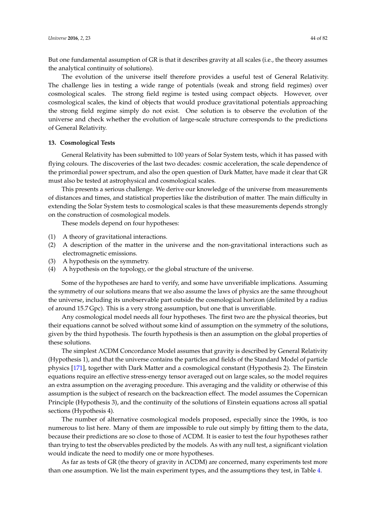But one fundamental assumption of GR is that it describes gravity at all scales (i.e., the theory assumes the analytical continuity of solutions).

The evolution of the universe itself therefore provides a useful test of General Relativity. The challenge lies in testing a wide range of potentials (weak and strong field regimes) over cosmological scales. The strong field regime is tested using compact objects. However, over cosmological scales, the kind of objects that would produce gravitational potentials approaching the strong field regime simply do not exist. One solution is to observe the evolution of the universe and check whether the evolution of large-scale structure corresponds to the predictions of General Relativity.

#### **13. Cosmological Tests**

General Relativity has been submitted to 100 years of Solar System tests, which it has passed with flying colours. The discoveries of the last two decades: cosmic acceleration, the scale dependence of the primordial power spectrum, and also the open question of Dark Matter, have made it clear that GR must also be tested at astrophysical and cosmological scales.

This presents a serious challenge. We derive our knowledge of the universe from measurements of distances and times, and statistical properties like the distribution of matter. The main difficulty in extending the Solar System tests to cosmological scales is that these measurements depends strongly on the construction of cosmological models.

These models depend on four hypotheses:

- (1) A theory of gravitational interactions.
- (2) A description of the matter in the universe and the non-gravitational interactions such as electromagnetic emissions.
- (3) A hypothesis on the symmetry.
- (4) A hypothesis on the topology, or the global structure of the universe.

Some of the hypotheses are hard to verify, and some have unverifiable implications. Assuming the symmetry of our solutions means that we also assume the laws of physics are the same throughout the universe, including its unobservable part outside the cosmological horizon (delimited by a radius of around 15.7 Gpc). This is a very strong assumption, but one that is unverifiable.

Any cosmological model needs all four hypotheses. The first two are the physical theories, but their equations cannot be solved without some kind of assumption on the symmetry of the solutions, given by the third hypothesis. The fourth hypothesis is then an assumption on the global properties of these solutions.

The simplest ΛCDM Concordance Model assumes that gravity is described by General Relativity (Hypothesis 1), and that the universe contains the particles and fields of the Standard Model of particle physics [\[171\]](#page-67-0), together with Dark Matter and a cosmological constant (Hypothesis 2). The Einstein equations require an effective stress-energy tensor averaged out on large scales, so the model requires an extra assumption on the averaging procedure. This averaging and the validity or otherwise of this assumption is the subject of research on the backreaction effect. The model assumes the Copernican Principle (Hypothesis 3), and the continuity of the solutions of Einstein equations across all spatial sections (Hypothesis 4).

The number of alternative cosmological models proposed, especially since the 1990s, is too numerous to list here. Many of them are impossible to rule out simply by fitting them to the data, because their predictions are so close to those of ΛCDM. It is easier to test the four hypotheses rather than trying to test the observables predicted by the models. As with any null test, a significant violation would indicate the need to modify one or more hypotheses.

As far as tests of GR (the theory of gravity in ΛCDM) are concerned, many experiments test more than one assumption. We list the main experiment types, and the assumptions they test, in Table [4.](#page-44-0)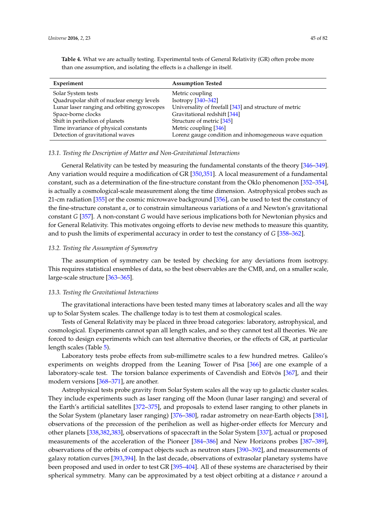| Experiment                                  | <b>Assumption Tested</b>                               |
|---------------------------------------------|--------------------------------------------------------|
| Solar System tests                          | Metric coupling                                        |
| Quadrupolar shift of nuclear energy levels  | Isotropy $[340-342]$                                   |
| Lunar laser ranging and orbiting gyroscopes | Universality of freefall [343] and structure of metric |
| Space-borne clocks                          | Gravitational redshift [344]                           |
| Shift in perihelion of planets              | Structure of metric [345]                              |
| Time invariance of physical constants       | Metric coupling [346]                                  |
| Detection of gravitational waves            | Lorenz gauge condition and inhomogeneous wave equation |

<span id="page-44-0"></span>**Table 4.** What we are actually testing. Experimental tests of General Relativity (GR) often probe more than one assumption, and isolating the effects is a challenge in itself.

# *13.1. Testing the Description of Matter and Non-Gravitational Interactions*

General Relativity can be tested by measuring the fundamental constants of the theory [\[346–](#page-73-19)[349\]](#page-73-20). Any variation would require a modification of GR [\[350,](#page-74-0)[351\]](#page-74-1). A local measurement of a fundamental constant, such as a determination of the fine-structure constant from the Oklo phenomenon [\[352](#page-74-2)[–354\]](#page-74-3), is actually a cosmological-scale measurement along the time dimension. Astrophysical probes such as 21-cm radiation [\[355\]](#page-74-4) or the cosmic microwave background [\[356\]](#page-74-5), can be used to test the constancy of the fine-structure constant *α*, or to constrain simultaneous variations of *α* and Newton's gravitational constant *G* [\[357\]](#page-74-6). A non-constant *G* would have serious implications both for Newtonian physics and for General Relativity. This motivates ongoing efforts to devise new methods to measure this quantity, and to push the limits of experimental accuracy in order to test the constancy of *G* [\[358](#page-74-7)[–362\]](#page-74-8).

## *13.2. Testing the Assumption of Symmetry*

The assumption of symmetry can be tested by checking for any deviations from isotropy. This requires statistical ensembles of data, so the best observables are the CMB, and, on a smaller scale, large-scale structure [\[363–](#page-74-9)[365\]](#page-74-10).

### *13.3. Testing the Gravitational Interactions*

The gravitational interactions have been tested many times at laboratory scales and all the way up to Solar System scales. The challenge today is to test them at cosmological scales.

Tests of General Relativity may be placed in three broad categories: laboratory, astrophysical, and cosmological. Experiments cannot span all length scales, and so they cannot test all theories. We are forced to design experiments which can test alternative theories, or the effects of GR, at particular length scales (Table [5\)](#page-45-0).

Laboratory tests probe effects from sub-millimetre scales to a few hundred metres. Galileo's experiments on weights dropped from the Leaning Tower of Pisa [\[366\]](#page-74-11) are one example of a laboratory-scale test. The torsion balance experiments of Cavendish and Eötvös [\[367\]](#page-74-12), and their modern versions [\[368–](#page-74-13)[371\]](#page-74-14), are another.

Astrophysical tests probe gravity from Solar System scales all the way up to galactic cluster scales. They include experiments such as laser ranging off the Moon (lunar laser ranging) and several of the Earth's artificial satellites [\[372–](#page-74-15)[375\]](#page-74-16), and proposals to extend laser ranging to other planets in the Solar System (planetary laser ranging) [\[376–](#page-75-0)[380\]](#page-75-1), radar astrometry on near-Earth objects [\[381\]](#page-75-2), observations of the precession of the perihelion as well as higher-order effects for Mercury and other planets [\[338](#page-73-12)[,382,](#page-75-3)[383\]](#page-75-4), observations of spacecraft in the Solar System [\[337\]](#page-73-11), actual or proposed measurements of the acceleration of the Pioneer [\[384–](#page-75-5)[386\]](#page-75-6) and New Horizons probes [\[387](#page-75-7)[–389\]](#page-75-8), observations of the orbits of compact objects such as neutron stars [\[390](#page-75-9)[–392\]](#page-75-10), and measurements of galaxy rotation curves [\[393,](#page-75-11)[394\]](#page-75-12). In the last decade, observations of extrasolar planetary systems have been proposed and used in order to test GR [\[395–](#page-75-13)[404\]](#page-76-0). All of these systems are characterised by their spherical symmetry. Many can be approximated by a test object orbiting at a distance *r* around a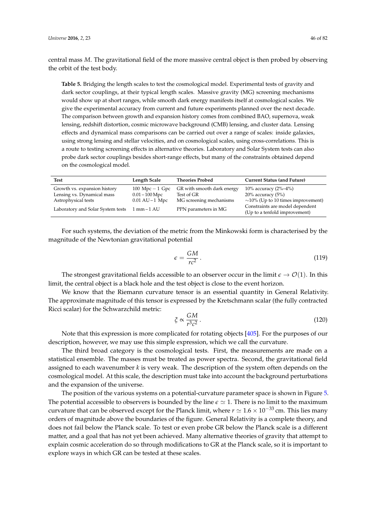central mass *M*. The gravitational field of the more massive central object is then probed by observing the orbit of the test body.

<span id="page-45-0"></span>**Table 5.** Bridging the length scales to test the cosmological model. Experimental tests of gravity and dark sector couplings, at their typical length scales. Massive gravity (MG) screening mechanisms would show up at short ranges, while smooth dark energy manifests itself at cosmological scales. We give the experimental accuracy from current and future experiments planned over the next decade. The comparison between growth and expansion history comes from combined BAO, supernova, weak lensing, redshift distortion, cosmic microwave background (CMB) lensing, and cluster data. Lensing effects and dynamical mass comparisons can be carried out over a range of scales: inside galaxies, using strong lensing and stellar velocities, and on cosmological scales, using cross-correlations. This is a route to testing screening effects in alternative theories. Laboratory and Solar System tests can also probe dark sector couplings besides short-range effects, but many of the constraints obtained depend on the cosmological model.

| Test                                                       | Length Scale                           | <b>Theories Probed</b>                   | <b>Current Status (and Future)</b>                               |  |
|------------------------------------------------------------|----------------------------------------|------------------------------------------|------------------------------------------------------------------|--|
| Growth vs. expansion history<br>Lensing vs. Dynamical mass | $100$ Mpc $-1$ Gpc<br>$0.01 - 100$ Mpc | GR with smooth dark energy<br>Test of GR | 10% accuracy $(2\% - 4\%)$<br>$20\%$ accuracy $(5\%)$            |  |
| Astrophysical tests                                        | $0.01$ AU $-1$ Mpc                     | MG screening mechanisms                  | $\sim$ 10% (Up to 10 times improvement)                          |  |
| Laboratory and Solar System tests                          | $1$ mm $-1$ AU                         | PPN parameters in MG                     | Constraints are model dependent<br>(Up to a tenfold improvement) |  |

For such systems, the deviation of the metric from the Minkowski form is characterised by the magnitude of the Newtonian gravitational potential

$$
\epsilon = \frac{GM}{rc^2} \,. \tag{119}
$$

The strongest gravitational fields accessible to an observer occur in the limit  $\epsilon \to \mathcal{O}(1)$ . In this limit, the central object is a black hole and the test object is close to the event horizon.

We know that the Riemann curvature tensor is an essential quantity in General Relativity. The approximate magnitude of this tensor is expressed by the Kretschmann scalar (the fully contracted Ricci scalar) for the Schwarzchild metric:

$$
\xi \propto \frac{GM}{r^3 c^2} \,. \tag{120}
$$

Note that this expression is more complicated for rotating objects [\[405\]](#page-76-1). For the purposes of our description, however, we may use this simple expression, which we call the curvature.

The third broad category is the cosmological tests. First, the measurements are made on a statistical ensemble. The masses must be treated as power spectra. Second, the gravitational field assigned to each wavenumber *k* is very weak. The description of the system often depends on the cosmological model. At this scale, the description must take into account the background perturbations and the expansion of the universe.

The position of the various systems on a potential-curvature parameter space is shown in Figure [5.](#page-46-0) The potential accessible to observers is bounded by the line  $\epsilon \simeq 1$ . There is no limit to the maximum curvature that can be observed except for the Planck limit, where  $r \approx 1.6 \times 10^{-33}$  cm. This lies many orders of magnitude above the boundaries of the figure. General Relativity is a complete theory, and does not fail below the Planck scale. To test or even probe GR below the Planck scale is a different matter, and a goal that has not yet been achieved. Many alternative theories of gravity that attempt to explain cosmic acceleration do so through modifications to GR at the Planck scale, so it is important to explore ways in which GR can be tested at these scales.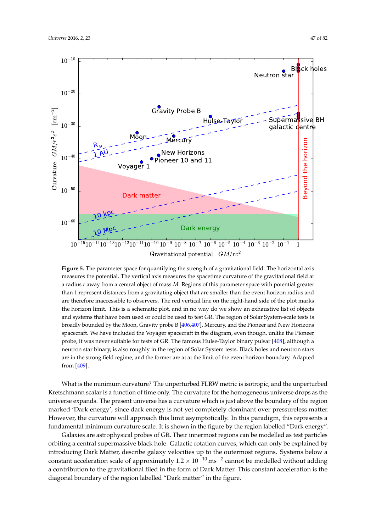

<span id="page-46-0"></span>

**Figure 5.** The parameter space for quantifying the strength of a gravitational field. The horizontal axis measures the potential. The vertical axis measures the spacetime curvature of the gravitational field at a radius *r* away from a central object of mass *M*. Regions of this parameter space with potential greater than 1 represent distances from a gravitating object that are smaller than the event horizon radius and are therefore inaccessible to observers. The red vertical line on the right-hand side of the plot marks the horizon limit. This is a schematic plot, and in no way do we show an exhaustive list of objects and systems that have been used or could be used to test GR. The region of Solar System-scale tests is broadly bounded by the Moon, Gravity probe B [\[406,](#page-76-2)[407\]](#page-76-3), Mercury, and the Pioneer and New Horizons spacecraft. We have included the Voyager spacecraft in the diagram, even though, unlike the Pioneer probe, it was never suitable for tests of GR. The famous Hulse-Taylor binary pulsar [\[408\]](#page-76-4), although a neutron star binary, is also roughly in the region of Solar System tests. Black holes and neutron stars are in the strong field regime, and the former are at at the limit of the event horizon boundary. Adapted from [\[409\]](#page-76-5).

What is the minimum curvature? The unperturbed FLRW metric is isotropic, and the unperturbed Kretschmann scalar is a function of time only. The curvature for the homogeneous universe drops as the universe expands. The present universe has a curvature which is just above the boundary of the region marked 'Dark energy', since dark energy is not yet completely dominant over pressureless matter. However, the curvature will approach this limit asymptotically. In this paradigm, this represents a fundamental minimum curvature scale. It is shown in the figure by the region labelled "Dark energy".

Galaxies are astrophysical probes of GR. Their innermost regions can be modelled as test particles orbiting a central supermassive black hole. Galactic rotation curves, which can only be explained by introducing Dark Matter, describe galaxy velocities up to the outermost regions. Systems below a constant acceleration scale of approximately  $1.2 \times 10^{-10}$  ms<sup>-2</sup> cannot be modelled without adding a contribution to the gravitational filed in the form of Dark Matter. This constant acceleration is the diagonal boundary of the region labelled "Dark matter" in the figure.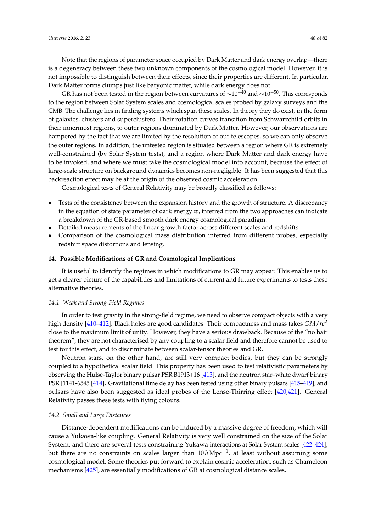Note that the regions of parameter space occupied by Dark Matter and dark energy overlap—there is a degeneracy between these two unknown components of the cosmological model. However, it is not impossible to distinguish between their effects, since their properties are different. In particular, Dark Matter forms clumps just like baryonic matter, while dark energy does not.

GR has not been tested in the region between curvatures of  $\sim$ 10<sup>-40</sup> and  $\sim$ 10<sup>-50</sup>. This corresponds to the region between Solar System scales and cosmological scales probed by galaxy surveys and the CMB. The challenge lies in finding systems which span these scales. In theory they do exist, in the form of galaxies, clusters and superclusters. Their rotation curves transition from Schwarzchild orbits in their innermost regions, to outer regions dominated by Dark Matter. However, our observations are hampered by the fact that we are limited by the resolution of our telescopes, so we can only observe the outer regions. In addition, the untested region is situated between a region where GR is extremely well-constrained (by Solar System tests), and a region where Dark Matter and dark energy have to be invoked, and where we must take the cosmological model into account, because the effect of large-scale structure on background dynamics becomes non-negligible. It has been suggested that this backreaction effect may be at the origin of the observed cosmic acceleration.

Cosmological tests of General Relativity may be broadly classified as follows:

- Tests of the consistency between the expansion history and the growth of structure. A discrepancy in the equation of state parameter of dark energy  $w$ , inferred from the two approaches can indicate a breakdown of the GR-based smooth dark energy cosmological paradigm.
- Detailed measurements of the linear growth factor across different scales and redshifts.
- Comparison of the cosmological mass distribution inferred from different probes, especially redshift space distortions and lensing.

### <span id="page-47-0"></span>**14. Possible Modifications of GR and Cosmological Implications**

It is useful to identify the regimes in which modifications to GR may appear. This enables us to get a clearer picture of the capabilities and limitations of current and future experiments to tests these alternative theories.

### *14.1. Weak and Strong-Field Regimes*

In order to test gravity in the strong-field regime, we need to observe compact objects with a very high density [\[410](#page-76-6)[–412\]](#page-76-7). Black holes are good candidates. Their compactness and mass takes *GM*/*rc*<sup>2</sup> close to the maximum limit of unity. However, they have a serious drawback. Because of the "no hair theorem", they are not characterised by any coupling to a scalar field and therefore cannot be used to test for this effect, and to discriminate between scalar-tensor theories and GR.

Neutron stars, on the other hand, are still very compact bodies, but they can be strongly coupled to a hypothetical scalar field. This property has been used to test relativistic parameters by observing the Hulse-Taylor binary pulsar PSR B1913+16 [\[413\]](#page-76-8), and the neutron star–white dwarf binary PSR J1141-6545 [\[414\]](#page-76-9). Gravitational time delay has been tested using other binary pulsars [\[415–](#page-76-10)[419\]](#page-76-11), and pulsars have also been suggested as ideal probes of the Lense-Thirring effect [\[420](#page-76-12)[,421\]](#page-76-13). General Relativity passes these tests with flying colours.

### *14.2. Small and Large Distances*

Distance-dependent modifications can be induced by a massive degree of freedom, which will cause a Yukawa-like coupling. General Relativity is very well constrained on the size of the Solar System, and there are several tests constraining Yukawa interactions at Solar System scales [\[422–](#page-76-14)[424\]](#page-76-15), but there are no constraints on scales larger than 10 *h* Mpc−<sup>1</sup> , at least without assuming some cosmological model. Some theories put forward to explain cosmic acceleration, such as Chameleon mechanisms [\[425\]](#page-76-16), are essentially modifications of GR at cosmological distance scales.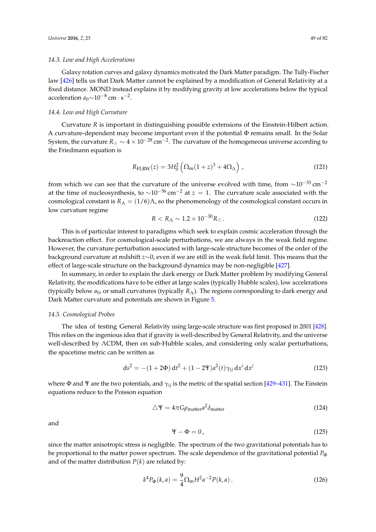#### *14.3. Low and High Accelerations*

Galaxy rotation curves and galaxy dynamics motivated the Dark Matter paradigm. The Tully-Fischer law [\[426\]](#page-76-17) tells us that Dark Matter cannot be explained by a modification of General Relativity at a fixed distance. MOND instead explains it by modifying gravity at low accelerations below the typical acceleration  $a_0$ ~10<sup>-8</sup> cm · s<sup>-2</sup>.

### *14.4. Low and High Curvature*

Curvature *R* is important in distinguishing possible extensions of the Einstein-Hilbert action. A curvature-dependent may become important even if the potential Φ remains small. In the Solar System, the curvature  $R_{\odot} \sim 4 \times 10^{-28}$  cm<sup>-2</sup>. The curvature of the homogeneous universe according to the Friedmann equation is

$$
R_{\rm FLRW}(z) = 3H_0^2 \left(\Omega_{\rm m}(1+z)^3 + 4\Omega_{\Lambda}\right),\tag{121}
$$

from which we can see that the curvature of the universe evolved with time, from  $\sim 10^{-33}$  cm<sup>-2</sup> at the time of nucleosynthesis, to  $\sim 10^{-56}$  cm<sup>-2</sup> at  $z = 1$ . The curvature scale associated with the cosmological constant is  $R_\Lambda = (1/6)\Lambda$ , so the phenomenology of the cosmological constant occurs in low curvature regime

$$
R < R_{\Lambda} \sim 1.2 \times 10^{-30} R_{\odot} \,. \tag{122}
$$

This is of particular interest to paradigms which seek to explain cosmic acceleration through the backreaction effect. For cosmological-scale perturbations, we are always in the weak field regime. However, the curvature perturbation associated with large-scale structure becomes of the order of the background curvature at redshift *z*∼0, even if we are still in the weak field limit. This means that the effect of large-scale structure on the background dynamics may be non-negligible [\[427\]](#page-76-18).

In summary, in order to explain the dark energy or Dark Matter problem by modifying General Relativity, the modifications have to be either at large scales (typically Hubble scales), low accelerations (typically below *a*0, or small curvatures (typically *R*Λ). The regions corresponding to dark energy and Dark Matter curvature and potentials are shown in Figure [5.](#page-46-0)

### *14.5. Cosmological Probes*

The idea of testing General Relativity using large-scale structure was first proposed in 2001 [\[428\]](#page-77-0). This relies on the ingenious idea that if gravity is well-described by General Relativity, and the universe well-described by ΛCDM, then on sub-Hubble scales, and considering only scalar perturbations, the spacetime metric can be written as

$$
ds^{2} = -(1 + 2\Phi) dt^{2} + (1 - 2\Psi)a^{2}(t)\gamma_{ij} dx^{i} dx^{j}
$$
\n(123)

where Φ and Ψ are the two potentials, and *γij* is the metric of the spatial section [\[429–](#page-77-1)[431\]](#page-77-2). The Einstein equations reduce to the Poisson equation

$$
\triangle \Psi = 4\pi G \rho_{\text{matter}} a^2 \delta_{\text{matter}} \tag{124}
$$

and

$$
\Psi - \Phi = 0, \tag{125}
$$

since the matter anisotropic stress is negligible. The spectrum of the two gravitational potentials has to be proportional to the matter power spectrum. The scale dependence of the gravitational potential  $P_{\Phi}$ and of the matter distribution  $P(k)$  are related by:

$$
k^4 P_{\Phi}(k, a) = \frac{9}{4} \Omega_{\rm m} H^2 a^{-2} P(k, a) \,. \tag{126}
$$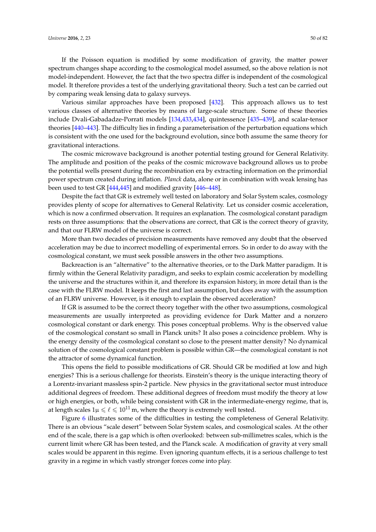If the Poisson equation is modified by some modification of gravity, the matter power spectrum changes shape according to the cosmological model assumed, so the above relation is not model-independent. However, the fact that the two spectra differ is independent of the cosmological model. It therefore provides a test of the underlying gravitational theory. Such a test can be carried out by comparing weak lensing data to galaxy surveys.

Various similar approaches have been proposed [\[432\]](#page-77-3). This approach allows us to test various classes of alternative theories by means of large-scale structure. Some of these theories include Dvali-Gabadadze-Porrati models [\[134,](#page-66-0)[433,](#page-77-4)[434\]](#page-77-5), quintessence [\[435–](#page-77-6)[439\]](#page-77-7), and scalar-tensor theories [\[440](#page-77-8)[–443\]](#page-77-9). The difficulty lies in finding a parameterisation of the perturbation equations which is consistent with the one used for the background evolution, since both assume the same theory for gravitational interactions.

The cosmic microwave background is another potential testing ground for General Relativity. The amplitude and position of the peaks of the cosmic microwave background allows us to probe the potential wells present during the recombination era by extracting information on the primordial power spectrum created during inflation. *Planck* data, alone or in combination with weak lensing has been used to test GR [\[444,](#page-77-10)[445\]](#page-77-11) and modified gravity [\[446](#page-77-12)[–448\]](#page-77-13).

Despite the fact that GR is extremely well tested on laboratory and Solar System scales, cosmology provides plenty of scope for alternatives to General Relativity. Let us consider cosmic acceleration, which is now a confirmed observation. It requires an explanation. The cosmological constant paradigm rests on three assumptions: that the observations are correct, that GR is the correct theory of gravity, and that our FLRW model of the universe is correct.

More than two decades of precision measurements have removed any doubt that the observed acceleration may be due to incorrect modelling of experimental errors. So in order to do away with the cosmological constant, we must seek possible answers in the other two assumptions.

Backreaction is an "alternative" to the alternative theories, or to the Dark Matter paradigm. It is firmly within the General Relativity paradigm, and seeks to explain cosmic acceleration by modelling the universe and the structures within it, and therefore its expansion history, in more detail than is the case with the FLRW model. It keeps the first and last assumption, but does away with the assumption of an FLRW universe. However, is it enough to explain the observed acceleration?

If GR is assumed to be the correct theory together with the other two assumptions, cosmological measurements are usually interpreted as providing evidence for Dark Matter and a nonzero cosmological constant or dark energy. This poses conceptual problems. Why is the observed value of the cosmological constant so small in Planck units? It also poses a coincidence problem. Why is the energy density of the cosmological constant so close to the present matter density? No dynamical solution of the cosmological constant problem is possible within GR—the cosmological constant is not the attractor of some dynamical function.

This opens the field to possible modifications of GR. Should GR be modified at low and high energies? This is a serious challenge for theorists. Einstein's theory is the unique interacting theory of a Lorentz-invariant massless spin-2 particle. New physics in the gravitational sector must introduce additional degrees of freedom. These additional degrees of freedom must modify the theory at low or high energies, or both, while being consistent with GR in the intermediate-energy regime, that is, at length scales  $1\mu \leq \ell \leq 10^{11}$  m, where the theory is extremely well tested.

Figure [6](#page-50-0) illustrates some of the difficulties in testing the completeness of General Relativity. There is an obvious "scale desert" between Solar System scales, and cosmological scales. At the other end of the scale, there is a gap which is often overlooked: between sub-millimetres scales, which is the current limit where GR has been tested, and the Planck scale. A modification of gravity at very small scales would be apparent in this regime. Even ignoring quantum effects, it is a serious challenge to test gravity in a regime in which vastly stronger forces come into play.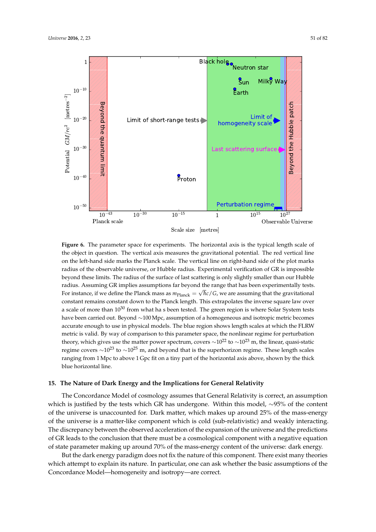<span id="page-50-0"></span>

**Figure 6.** The parameter space for experiments. The horizontal axis is the typical length scale of the object in question. The vertical axis measures the gravitational potential. The red vertical line on the left-hand side marks the Planck scale. The vertical line on right-hand side of the plot marks radius of the observable universe, or Hubble radius. Experimental verification of GR is impossible beyond these limits. The radius of the surface of last scattering is only slightly smaller than our Hubble radius. Assuming GR implies assumptions far beyond the range that has been experimentally tests. For instance, if we define the Planck mass as  $m_{\text{Planck}} = \sqrt{\hbar}c/G$ , we are assuming that the gravitational constant remains constant down to the Planck length. This extrapolates the inverse square law over a scale of more than  $10^{30}$  from what ha s been tested. The green region is where Solar System tests have been carried out. Beyond ∼100 Mpc, assumption of a homogeneous and isotropic metric becomes accurate enough to use in physical models. The blue region shows length scales at which the FLRW metric is valid. By way of comparison to this parameter space, the nonlinear regime for perturbation theory, which gives use the matter power spectrum, covers  $\sim 10^{22}$  to  $\sim 10^{23}$  m, the linear, quasi-static regime covers  $\sim$ 10<sup>25</sup> to  $\sim$ 10<sup>25</sup> m, and beyond that is the superhorizon regime. These length scales ranging from 1 Mpc to above 1 Gpc fit on a tiny part of the horizontal axis above, shown by the thick blue horizontal line.

### **15. The Nature of Dark Energy and the Implications for General Relativity**

The Concordance Model of cosmology assumes that General Relativity is correct, an assumption which is justified by the tests which GR has undergone. Within this model, ∼95% of the content of the universe is unaccounted for. Dark matter, which makes up around 25% of the mass-energy of the universe is a matter-like component which is cold (sub-relativistic) and weakly interacting. The discrepancy between the observed acceleration of the expansion of the universe and the predictions of GR leads to the conclusion that there must be a cosmological component with a negative equation of state parameter making up around 70% of the mass-energy content of the universe: dark energy.

But the dark energy paradigm does not fix the nature of this component. There exist many theories which attempt to explain its nature. In particular, one can ask whether the basic assumptions of the Concordance Model—homogeneity and isotropy—are correct.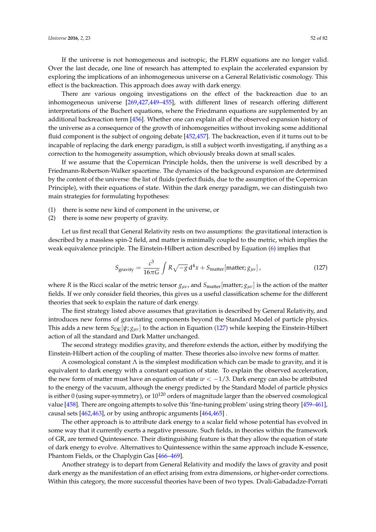If the universe is not homogeneous and isotropic, the FLRW equations are no longer valid. Over the last decade, one line of research has attempted to explain the accelerated expansion by exploring the implications of an inhomogeneous universe on a General Relativistic cosmology. This effect is the backreaction. This approach does away with dark energy.

There are various ongoing investigations on the effect of the backreaction due to an inhomogeneous universe [\[269,](#page-71-8)[427,](#page-76-18)[449](#page-77-14)[–455\]](#page-77-15), with different lines of research offering different interpretations of the Buchert equations, where the Friedmann equations are supplemented by an additional backreaction term [\[456\]](#page-77-16). Whether one can explain all of the observed expansion history of the universe as a consequence of the growth of inhomogeneities without invoking some additional fluid component is the subject of ongoing debate [\[452](#page-77-17)[,457\]](#page-78-0). The backreaction, even if it turns out to be incapable of replacing the dark energy paradigm, is still a subject worth investigating, if anything as a correction to the homogeneity assumption, which obviously breaks down at small scales.

If we assume that the Copernican Principle holds, then the universe is well described by a Friedmann-Robertson-Walker spacetime. The dynamics of the background expansion are determined by the content of the universe: the list of fluids (perfect fluids, due to the assumption of the Copernican Principle), with their equations of state. Within the dark energy paradigm, we can distinguish two main strategies for formulating hypotheses:

- (1) there is some new kind of component in the universe, or
- (2) there is some new property of gravity.

Let us first recall that General Relativity rests on two assumptions: the gravitational interaction is described by a massless spin-2 field, and matter is minimally coupled to the metric, which implies the weak equivalence principle. The Einstein-Hilbert action described by Equation [\(6\)](#page-8-1) implies that

<span id="page-51-0"></span>
$$
S_{\text{gravity}} = \frac{c^3}{16\pi G} \int R\sqrt{-g} \, \mathrm{d}^4 x + S_{\text{matter}}[\text{matter}; g_{\mu\nu}], \qquad (127)
$$

where *R* is the Ricci scalar of the metric tensor  $g_{\mu\nu}$ , and  $S_{\text{matter}}$  [matter;  $g_{\mu\nu}$ ] is the action of the matter fields. If we only consider field theories, this gives us a useful classification scheme for the different theories that seek to explain the nature of dark energy.

The first strategy listed above assumes that gravitation is described by General Relativity, and introduces new forms of gravitating components beyond the Standard Model of particle physics. This adds a new term  $S_{\text{DE}}[\psi; g_{\mu\nu}]$  to the action in Equation [\(127\)](#page-51-0) while keeping the Einstein-Hilbert action of all the standard and Dark Matter unchanged.

The second strategy modifies gravity, and therefore extends the action, either by modifying the Einstein-Hilbert action of the coupling of matter. These theories also involve new forms of matter.

A cosmological constant  $\Lambda$  is the simplest modification which can be made to gravity, and it is equivalent to dark energy with a constant equation of state. To explain the observed acceleration, the new form of matter must have an equation of state  $w < -1/3$ . Dark energy can also be attributed to the energy of the vacuum, although the energy predicted by the Standard Model of particle physics is either 0 (using super-symmetry), or  $10^{120}$  orders of magnitude larger than the observed cosmological value [\[458\]](#page-78-1). There are ongoing attempts to solve this 'fine-tuning problem' using string theory [\[459–](#page-78-2)[461\]](#page-78-3), causal sets [\[462](#page-78-4)[,463\]](#page-78-5), or by using anthropic arguments [\[464,](#page-78-6)[465\]](#page-78-7) .

The other approach is to attribute dark energy to a scalar field whose potential has evolved in some way that it currently exerts a negative pressure. Such fields, in theories within the framework of GR, are termed Quintessence. Their distinguishing feature is that they allow the equation of state of dark energy to evolve. Alternatives to Quintessence within the same approach include K-essence, Phantom Fields, or the Chaplygin Gas [\[466](#page-78-8)[–469\]](#page-78-9).

Another strategy is to depart from General Relativity and modify the laws of gravity and posit dark energy as the manifestation of an effect arising from extra dimensions, or higher-order corrections. Within this category, the more successful theories have been of two types. Dvali-Gabadadze-Porrati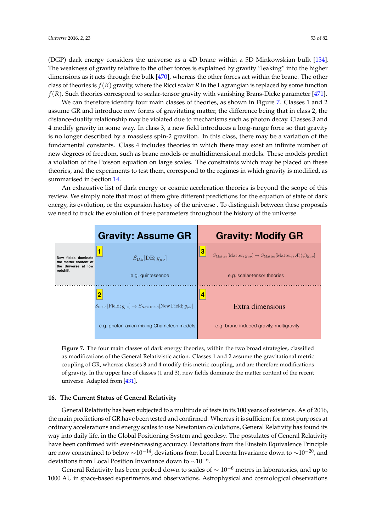(DGP) dark energy considers the universe as a 4D brane within a 5D Minkowskian bulk [\[134\]](#page-66-0). The weakness of gravity relative to the other forces is explained by gravity "leaking" into the higher dimensions as it acts through the bulk [\[470\]](#page-78-10), whereas the other forces act within the brane. The other class of theories is *f*(*R*) gravity, where the Ricci scalar *R* in the Lagrangian is replaced by some function *f*(*R*). Such theories correspond to scalar-tensor gravity with vanishing Brans-Dicke parameter [\[471\]](#page-78-11).

We can therefore identify four main classes of theories, as shown in Figure [7.](#page-52-0) Classes 1 and 2 assume GR and introduce new forms of gravitating matter, the difference being that in class 2, the distance-duality relationship may be violated due to mechanisms such as photon decay. Classes 3 and 4 modify gravity in some way. In class 3, a new field introduces a long-range force so that gravity is no longer described by a massless spin-2 graviton. In this class, there may be a variation of the fundamental constants. Class 4 includes theories in which there may exist an infinite number of new degrees of freedom, such as brane models or multidimensional models. These models predict a violation of the Poisson equation on large scales. The constraints which may be placed on these theories, and the experiments to test them, correspond to the regimes in which gravity is modified, as summarised in Section [14.](#page-47-0)

An exhaustive list of dark energy or cosmic acceleration theories is beyond the scope of this review. We simply note that most of them give different predictions for the equation of state of dark energy, its evolution, or the expansion history of the universe . To distinguish between these proposals we need to track the evolution of these parameters throughout the history of the universe.

<span id="page-52-0"></span>

**Figure 7.** The four main classes of dark energy theories, within the two broad strategies, classified as modifications of the General Relativistic action. Classes 1 and 2 assume the gravitational metric coupling of GR, whereas classes 3 and 4 modify this metric coupling, and are therefore modifications of gravity. In the upper line of classes (1 and 3), new fields dominate the matter content of the recent universe. Adapted from [\[431\]](#page-77-2).

### **16. The Current Status of General Relativity**

General Relativity has been subjected to a multitude of tests in its 100 years of existence. As of 2016, the main predictions of GR have been tested and confirmed. Whereas it is sufficient for most purposes at ordinary accelerations and energy scales to use Newtonian calculations, General Relativity has found its way into daily life, in the Global Positioning System and geodesy. The postulates of General Relativity have been confirmed with ever-increasing accuracy. Deviations from the Einstein Equivalence Principle are now constrained to below  $\sim$ 10<sup>-14</sup>, deviations from Local Lorentz Invariance down to  $\sim$ 10<sup>-20</sup>, and deviations from Local Position Invariance down to  $\sim$ 10<sup>-6</sup>.

General Relativity has been probed down to scales of  $\sim 10^{-6}$  metres in laboratories, and up to 1000 AU in space-based experiments and observations. Astrophysical and cosmological observations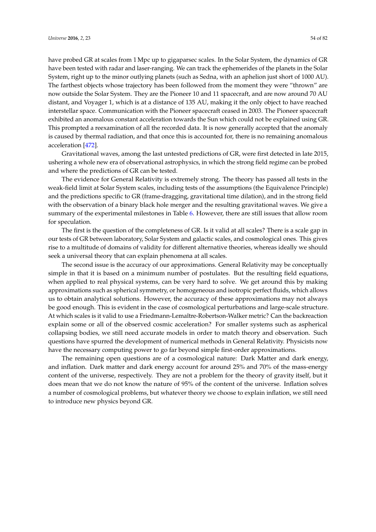have probed GR at scales from 1 Mpc up to gigaparsec scales. In the Solar System, the dynamics of GR have been tested with radar and laser-ranging. We can track the ephemerides of the planets in the Solar System, right up to the minor outlying planets (such as Sedna, with an aphelion just short of 1000 AU). The farthest objects whose trajectory has been followed from the moment they were "thrown" are now outside the Solar System. They are the Pioneer 10 and 11 spacecraft, and are now around 70 AU distant, and Voyager 1, which is at a distance of 135 AU, making it the only object to have reached interstellar space. Communication with the Pioneer spacecraft ceased in 2003. The Pioneer spacecraft exhibited an anomalous constant acceleration towards the Sun which could not be explained using GR. This prompted a reexamination of all the recorded data. It is now generally accepted that the anomaly is caused by thermal radiation, and that once this is accounted for, there is no remaining anomalous acceleration [\[472\]](#page-78-12).

Gravitational waves, among the last untested predictions of GR, were first detected in late 2015, ushering a whole new era of observational astrophysics, in which the strong field regime can be probed and where the predictions of GR can be tested.

The evidence for General Relativity is extremely strong. The theory has passed all tests in the weak-field limit at Solar System scales, including tests of the assumptions (the Equivalence Principle) and the predictions specific to GR (frame-dragging, gravitational time dilation), and in the strong field with the observation of a binary black hole merger and the resulting gravitational waves. We give a summary of the experimental milestones in Table [6.](#page-54-0) However, there are still issues that allow room for speculation.

The first is the question of the completeness of GR. Is it valid at all scales? There is a scale gap in our tests of GR between laboratory, Solar System and galactic scales, and cosmological ones. This gives rise to a multitude of domains of validity for different alternative theories, whereas ideally we should seek a universal theory that can explain phenomena at all scales.

The second issue is the accuracy of our approximations. General Relativity may be conceptually simple in that it is based on a minimum number of postulates. But the resulting field equations, when applied to real physical systems, can be very hard to solve. We get around this by making approximations such as spherical symmetry, or homogeneous and isotropic perfect fluids, which allows us to obtain analytical solutions. However, the accuracy of these approximations may not always be good enough. This is evident in the case of cosmological perturbations and large-scale structure. At which scales is it valid to use a Friedmann-Lemaître-Robertson-Walker metric? Can the backreaction explain some or all of the observed cosmic acceleration? For smaller systems such as aspherical collapsing bodies, we still need accurate models in order to match theory and observation. Such questions have spurred the development of numerical methods in General Relativity. Physicists now have the necessary computing power to go far beyond simple first-order approximations.

The remaining open questions are of a cosmological nature: Dark Matter and dark energy, and inflation. Dark matter and dark energy account for around 25% and 70% of the mass-energy content of the universe, respectively. They are not a problem for the theory of gravity itself, but it does mean that we do not know the nature of 95% of the content of the universe. Inflation solves a number of cosmological problems, but whatever theory we choose to explain inflation, we still need to introduce new physics beyond GR.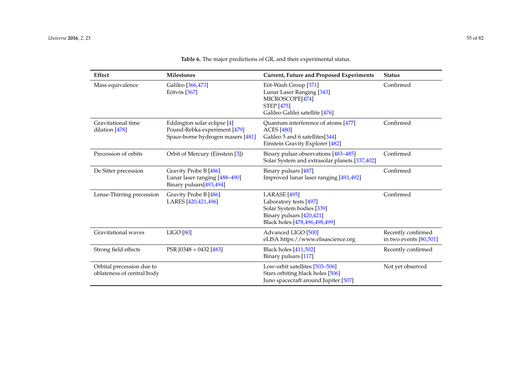<span id="page-54-0"></span>

| Effect                                                  | <b>Milestones</b>                                                                                | <b>Current, Future and Proposed Experiments</b>                                                                                         | <b>Status</b>                                  |
|---------------------------------------------------------|--------------------------------------------------------------------------------------------------|-----------------------------------------------------------------------------------------------------------------------------------------|------------------------------------------------|
| Mass equivalence                                        | Galileo [366,473]<br>Eötvös [367]                                                                | Eöt-Wash Group [371]<br>Lunar Laser Ranging [343]<br>MICROSCOPE[474]<br><b>STEP</b> [475]<br>Galileo Galilei satellite [476]            | Confirmed                                      |
| Gravitational time<br>dilation [478]                    | Eddington solar eclipse [4]<br>Pound-Rebka experiment [479]<br>Space-borne hydrogen masers [481] | Quantum interference of atoms [477]<br><b>ACES</b> [480]<br>Galileo 5 and 6 satellites[344]<br>Einstein Gravity Explorer [482]          | Confirmed                                      |
| Precession of orbits                                    | Orbit of Mercury (Einstein [3])                                                                  | Binary pulsar observations [483-485]<br>Solar System and extrasolar planets [337,402]                                                   | Confirmed                                      |
| De Sitter precession                                    | Gravity Probe B [486]<br>Lunar laser ranging [488-490]<br>Binary pulsars[493,494]                | Binary pulsars [487]<br>Improved lunar laser ranging [491,492]                                                                          | Confirmed                                      |
| Lense-Thirring precession                               | Gravity Probe B [486]<br>LARES [420,421,496]                                                     | <b>LARASE</b> [495]<br>Laboratory tests [497]<br>Solar System bodies [339]<br>Binary pulsars [420,421]<br>Black holes [478,496,498,499] | Confirmed                                      |
| Gravitational waves                                     | <b>LIGO</b> [80]                                                                                 | Advanced LIGO [500]<br>eLISA https://www.elisascience.org                                                                               | Recently confirmed<br>in two events $[80,501]$ |
| Strong field effects                                    | PSR [0348 + 0432 [483]                                                                           | Black holes [411,502]<br>Binary pulsars [117]                                                                                           | Recently confirmed                             |
| Orbital precession due to<br>oblateness of central body |                                                                                                  | Low-orbit satellites [503-506]<br>Stars orbiting black holes [506]<br>Juno spacecraft around Jupiter [507]                              | Not yet observed                               |

**Table 6.** The major predictions of GR, and their experimental status.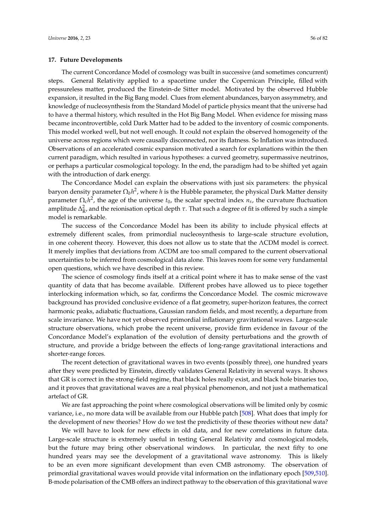### **17. Future Developments**

The current Concordance Model of cosmology was built in successive (and sometimes concurrent) steps. General Relativity applied to a spacetime under the Copernican Principle, filled with pressureless matter, produced the Einstein-de Sitter model. Motivated by the observed Hubble expansion, it resulted in the Big Bang model. Clues from element abundances, baryon assymmetry, and knowledge of nucleosynthesis from the Standard Model of particle physics meant that the universe had to have a thermal history, which resulted in the Hot Big Bang Model. When evidence for missing mass became incontrovertible, cold Dark Matter had to be added to the inventory of cosmic components. This model worked well, but not well enough. It could not explain the observed homogeneity of the universe across regions which were causally disconnected, nor its flatness. So Inflation was introduced. Observations of an accelerated cosmic expansion motivated a search for explanations within the then current paradigm, which resulted in various hypotheses: a curved geometry, supermassive neutrinos, or perhaps a particular cosmological topology. In the end, the paradigm had to be shifted yet again with the introduction of dark energy.

The Concordance Model can explain the observations with just six parameters: the physical baryon density parameter Ω*bh* 2 , where *h* is the Hubble parameter, the physical Dark Matter density parameter Ωc*h* 2 , the age of the universe *t*0, the scalar spectral index *n<sup>s</sup>* , the curvature fluctuation amplitude ∆ 2 R , and the reionisation optical depth *τ*. That such a degree of fit is offered by such a simple model is remarkable.

The success of the Concordance Model has been its ability to include physical effects at extremely different scales, from primordial nucleosynthesis to large-scale structure evolution, in one coherent theory. However, this does not allow us to state that the ΛCDM model is correct. It merely implies that deviations from ΛCDM are too small compared to the current observational uncertainties to be inferred from cosmological data alone. This leaves room for some very fundamental open questions, which we have described in this review.

The science of cosmology finds itself at a critical point where it has to make sense of the vast quantity of data that has become available. Different probes have allowed us to piece together interlocking information which, so far, confirms the Concordance Model. The cosmic microwave background has provided conclusive evidence of a flat geometry, super-horizon features, the correct harmonic peaks, adiabatic fluctuations, Gaussian random fields, and most recently, a departure from scale invariance. We have not yet observed primordial inflationary gravitational waves. Large-scale structure observations, which probe the recent universe, provide firm evidence in favour of the Concordance Model's explanation of the evolution of density perturbations and the growth of structure, and provide a bridge between the effects of long-range gravitational interactions and shorter-range forces.

The recent detection of gravitational waves in two events (possibly three), one hundred years after they were predicted by Einstein, directly validates General Relativity in several ways. It shows that GR is correct in the strong-field regime, that black holes really exist, and black hole binaries too, and it proves that gravitational waves are a real physical phenomenon, and not just a mathematical artefact of GR.

We are fast approaching the point where cosmological observations will be limited only by cosmic variance, i.e., no more data will be available from our Hubble patch [\[508\]](#page-79-19). What does that imply for the development of new theories? How do we test the predictivity of these theories without new data?

We will have to look for new effects in old data, and for new correlations in future data. Large-scale structure is extremely useful in testing General Relativity and cosmological models, but the future may bring other observational windows. In particular, the next fifty to one hundred years may see the development of a gravitational wave astronomy. This is likely to be an even more significant development than even CMB astronomy. The observation of primordial gravitational waves would provide vital information on the inflationary epoch [\[509,](#page-79-20)[510\]](#page-79-21). B-mode polarisation of the CMB offers an indirect pathway to the observation of this gravitational wave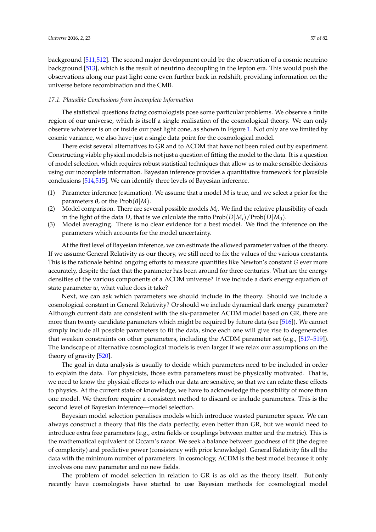background [\[511](#page-80-0)[,512\]](#page-80-1). The second major development could be the observation of a cosmic neutrino background [\[513\]](#page-80-2), which is the result of neutrino decoupling in the lepton era. This would push the observations along our past light cone even further back in redshift, providing information on the universe before recombination and the CMB.

### *17.1. Plausible Conclusions from Incomplete Information*

The statistical questions facing cosmologists pose some particular problems. We observe a finite region of our universe, which is itself a single realisation of the cosmological theory. We can only observe whatever is on or inside our past light cone, as shown in Figure [1.](#page-1-0) Not only are we limited by cosmic variance, we also have just a single data point for the cosmological model.

There exist several alternatives to GR and to ΛCDM that have not been ruled out by experiment. Constructing viable physical models is not just a question of fitting the model to the data. It is a question of model selection, which requires robust statistical techniques that allow us to make sensible decisions using our incomplete information. Bayesian inference provides a quantitative framework for plausible conclusions [\[514](#page-80-3)[,515\]](#page-80-4). We can identify three levels of Bayesian inference.

- (1) Parameter inference (estimation). We assume that a model *M* is true, and we select a prior for the parameters *θ*, or the Prob(*θ*|*M*).
- (2) Model comparison. There are several possible models  $M_i$ . We find the relative plausibility of each in the light of the data *D*, that is we calculate the ratio  $Prob(D|M_i)/Prob(D|M_0)$ .
- (3) Model averaging. There is no clear evidence for a best model. We find the inference on the parameters which accounts for the model uncertainty.

At the first level of Bayesian inference, we can estimate the allowed parameter values of the theory. If we assume General Relativity as our theory, we still need to fix the values of the various constants. This is the rationale behind ongoing efforts to measure quantities like Newton's constant *G* ever more accurately, despite the fact that the parameter has been around for three centuries. What are the energy densities of the various components of a ΛCDM universe? If we include a dark energy equation of state parameter *w*, what value does it take?

Next, we can ask which parameters we should include in the theory. Should we include a cosmological constant in General Relativity? Or should we include dynamical dark energy parameter? Although current data are consistent with the six-parameter ΛCDM model based on GR, there are more than twenty candidate parameters which might be required by future data (see [\[516\]](#page-80-5)). We cannot simply include all possible parameters to fit the data, since each one will give rise to degeneracies that weaken constraints on other parameters, including the ΛCDM parameter set (e.g., [\[517](#page-80-6)[–519\]](#page-80-7)). The landscape of alternative cosmological models is even larger if we relax our assumptions on the theory of gravity [\[520\]](#page-80-8).

The goal in data analysis is usually to decide which parameters need to be included in order to explain the data. For physicists, those extra parameters must be physically motivated. That is, we need to know the physical effects to which our data are sensitive, so that we can relate these effects to physics. At the current state of knowledge, we have to acknowledge the possibility of more than one model. We therefore require a consistent method to discard or include parameters. This is the second level of Bayesian inference—model selection.

Bayesian model selection penalises models which introduce wasted parameter space. We can always construct a theory that fits the data perfectly, even better than GR, but we would need to introduce extra free parameters (e.g., extra fields or couplings between matter and the metric). This is the mathematical equivalent of Occam's razor. We seek a balance between goodness of fit (the degree of complexity) and predictive power (consistency with prior knowledge). General Relativity fits all the data with the minimum number of parameters. In cosmology, ΛCDM is the best model because it only involves one new parameter and no new fields.

The problem of model selection in relation to GR is as old as the theory itself. But only recently have cosmologists have started to use Bayesian methods for cosmological model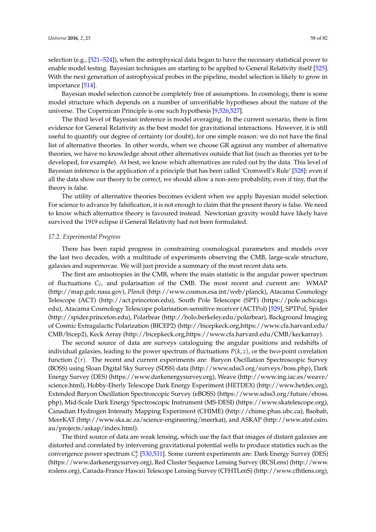selection (e.g., [\[521](#page-80-9)[–524\]](#page-80-10)), when the astrophysical data began to have the necessary statistical power to enable model testing. Bayesian techniques are starting to be applied to General Relativity itself [\[525\]](#page-80-11). With the next generation of astrophysical probes in the pipeline, model selection is likely to grow in importance [\[514\]](#page-80-3).

Bayesian model selection cannot be completely free of assumptions. In cosmology, there is some model structure which depends on a number of unverifiable hypotheses about the nature of the universe. The Copernican Principle is one such hypothesis [\[9](#page-62-2)[,526,](#page-80-12)[527\]](#page-80-13).

The third level of Bayesian inference is model averaging. In the current scenario, there is firm evidence for General Relativity as the best model for gravitational interactions. However, it is still useful to quantify our degree of certainty (or doubt), for one simple reason: we do not have the final list of alternative theories. In other words, when we choose GR against any number of alternative theories, we have no knowledge about other alternatives outside that list (such as theories yet to be developed, for example). At best, we know which alternatives are ruled out by the data. This level of Bayesian inference is the application of a principle that has been called 'Cromwell's Rule' [\[528\]](#page-80-14): even if all the data show our theory to be correct, we should allow a non-zero probability, even if tiny, that the theory is false.

The utility of alternative theories becomes evident when we apply Bayesian model selection. For science to advance by falsification, it is not enough to claim that the present theory is false. We need to know which alternative theory is favoured instead. Newtonian gravity would have likely have survived the 1919 eclipse if General Relativity had not been formulated.

#### *17.2. Experimental Progress*

There has been rapid progress in constraining cosmological parameters and models over the last two decades, with a multitude of experiments observing the CMB, large-scale structure, galaxies and supernovae. We will just provide a summary of the most recent data sets.

The first are anisotropies in the CMB, where the main statistic is the angular power spectrum of fluctuations  $C_\ell$ , and polarisation of the CMB. The most recent and current are: WMAP [\(http://map.gsfc.nasa.gov\)](http://map.gsfc.nasa.gov), *Planck* [\(http://www.cosmos.esa.int/web/planck\)](http://www.cosmos.esa.int/web/planck), Atacama Cosmology Telescope (ACT) [\(http://act.princeton.edu\)](http://act.princeton.edu), South Pole Telescope (SPT) [\(https://pole.uchicago.](https://pole.uchicago.edu) [edu\)](https://pole.uchicago.edu), Atacama Cosmology Telescope polarisation-sensitive receiver (ACTPol) [\[529\]](#page-80-15), SPTPol, Spider [\(http://spider.princeton.edu\)](http://spider.princeton.edu), Polarbear [\(http://bolo.berkeley.edu/polarbear\)](http://bolo.berkeley.edu/polarbear), Background Imaging of Cosmic Extragalactic Polarization (BICEP2) [\(http://bicepkeck.org,](http://bicepkeck.org)[https://www.cfa.harvard.edu/](https://www.cfa.harvard.edu/CMB/bicep2) [CMB/bicep2\)](https://www.cfa.harvard.edu/CMB/bicep2), Keck Array [\(http://bicepkeck.org](http://bicepkeck.org)[,https://www.cfa.harvard.edu/CMB/keckarray\)](https://www.cfa.harvard.edu/CMB/keckarray).

The second source of data are surveys cataloguing the angular positions and redshifts of individual galaxies, leading to the power spectrum of fluctuations  $P(k, z)$ , or the two-point correlation function *ξ*(*r*). The recent and current experiments are: Baryon Oscillation Spectroscopic Survey (BOSS) using Sloan Digital Sky Survey (SDSS) data [\(http://www.sdss3.org/surveys/boss.php\)](http://www.sdss3.org/surveys/boss.php), Dark Energy Survey (DES) [\(https://www.darkenergysurvey.org\)](https://www.darkenergysurvey.org), Weave [\(http://www.ing.iac.es/weave/](http://www.ing.iac.es/weave/science.html) [science.html\)](http://www.ing.iac.es/weave/science.html), Hobby-Eberly Telescope Dark Energy Experiment (HETDEX) [\(http://www.hetdex.org\)](http://www.hetdex.org), Extended Baryon Oscillation Spectroscopic Survey (eBOSS) [\(https://www.sdss3.org/future/eboss.](https://www.sdss3.org/future/eboss.php) [php\)](https://www.sdss3.org/future/eboss.php), Mid-Scale Dark Energy Spectroscopic Instrument (MS-DESI) [\(https://www.skatelescope.org\)](https://www.skatelescope.org), Canadian Hydrogen Intensity Mapping Experiment (CHIME) [\(http://chime.phas.ubc.ca\)](http://chime.phas.ubc.ca), Baobab, MeerKAT [\(http://www.ska.ac.za/science-engineering/meerkat\)](http://www.ska.ac.za/science-engineering/meerkat), and ASKAP [\(http://www.atnf.csiro.](http://www.atnf.csiro.au/projects/askap/index.html) [au/projects/askap/index.html\)](http://www.atnf.csiro.au/projects/askap/index.html).

The third source of data are weak lensing, which use the fact that images of distant galaxies are distorted and correlated by intervening gravitational potential wells to produce statistics such as the convergence power spectrum *C*<sup>*κ*</sup> [\[530,](#page-80-16)[531\]](#page-80-17). Some current experiments are: Dark Energy Survey (DES) [\(https://www.darkenergysurvey.org\)](https://www.darkenergysurvey.org), Red Cluster Sequence Lensing Survey (RCSLens) [\(http://www.](http://www.rcslens.org) [rcslens.org\)](http://www.rcslens.org), Canada-France Hawaii Telescope Lensing Survey (CFHTLenS) [\(http://www.cfhtlens.org\)](http://www.cfhtlens.org),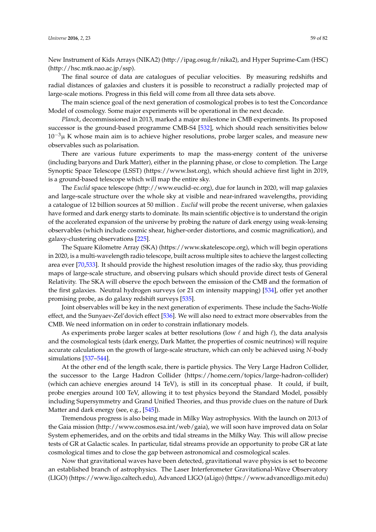New Instrument of Kids Arrays (NIKA2) [\(http://ipag.osug.fr/nika2\)](http://ipag.osug.fr/nika2), and Hyper Suprime-Cam (HSC) [\(http://hsc.mtk.nao.ac.jp/ssp\)](http://hsc.mtk.nao.ac.jp/ssp).

The final source of data are catalogues of peculiar velocities. By measuring redshifts and radial distances of galaxies and clusters it is possible to reconstruct a radially projected map of large-scale motions. Progress in this field will come from all three data sets above.

The main science goal of the next generation of cosmological probes is to test the Concordance Model of cosmology. Some major experiments will be operational in the next decade.

*Planck*, decommissioned in 2013, marked a major milestone in CMB experiments. Its proposed successor is the ground-based programme CMB-S4 [\[532\]](#page-80-18), which should reach sensitivities below  $10^{-3}$ µ K whose main aim is to achieve higher resolutions, probe larger scales, and measure new observables such as polarisation.

There are various future experiments to map the mass-energy content of the universe (including baryons and Dark Matter), either in the planning phase, or close to completion. The Large Synoptic Space Telescope (LSST) [\(https://www.lsst.org\)](https://www.lsst.org), which should achieve first light in 2019, is a ground-based telescope which will map the entire sky.

The *Euclid* space telescope [\(http://www.euclid-ec.org\)](http://www.euclid-ec.org), due for launch in 2020, will map galaxies and large-scale structure over the whole sky at visible and near-infrared wavelengths, providing a catalogue of 12 billion sources at 50 million . *Euclid* will probe the recent universe, when galaxies have formed and dark energy starts to dominate. Its main scientific objective is to understand the origin of the accelerated expansion of the universe by probing the nature of dark energy using weak-lensing observables (which include cosmic shear, higher-order distortions, and cosmic magnification), and galaxy-clustering observations [\[225\]](#page-69-3).

The Square Kilometre Array (SKA) [\(https://www.skatelescope.org\)](https://www.skatelescope.org), which will begin operations in 2020, is a multi-wavelength radio telescope, built across multiple sites to achieve the largest collecting area ever [\[70,](#page-64-3)[533\]](#page-80-19). It should provide the highest resolution images of the radio sky, thus providing maps of large-scale structure, and observing pulsars which should provide direct tests of General Relativity. The SKA will observe the epoch between the emission of the CMB and the formation of the first galaxies. Neutral hydrogen surveys (or 21 cm intensity mapping) [\[534\]](#page-80-20), offer yet another promising probe, as do galaxy redshift surveys [\[535\]](#page-80-21).

Joint observables will be key in the next generation of experiments. These include the Sachs-Wolfe effect, and the Sunyaev-Zel'dovich effect [\[536\]](#page-80-22). We will also need to extract more observables from the CMB. We need information on in order to constrain inflationary models.

As experiments probe larger scales at better resolutions (low  $\ell$  and high  $\ell$ ), the data analysis and the cosmological tests (dark energy, Dark Matter, the properties of cosmic neutrinos) will require accurate calculations on the growth of large-scale structure, which can only be achieved using *N*-body simulations [\[537–](#page-80-23)[544\]](#page-81-0).

At the other end of the length scale, there is particle physics. The Very Large Hadron Collider, the successor to the Large Hadron Collider [\(https://home.cern/topics/large-hadron-collider\)](https://home.cern/topics/large-hadron-collider) (which can achieve energies around 14 TeV), is still in its conceptual phase. It could, if built, probe energies around 100 TeV, allowing it to test physics beyond the Standard Model, possibly including Supersymmetry and Grand Unified Theories, and thus provide clues on the nature of Dark Matter and dark energy (see, e.g., [\[545\]](#page-81-1)).

Tremendous progress is also being made in Milky Way astrophysics. With the launch on 2013 of the Gaia mission [\(http://www.cosmos.esa.int/web/gaia\)](http://www.cosmos.esa.int/web/gaia), we will soon have improved data on Solar System ephemerides, and on the orbits and tidal streams in the Milky Way. This will allow precise tests of GR at Galactic scales. In particular, tidal streams provide an opportunity to probe GR at late cosmological times and to close the gap between astronomical and cosmological scales.

Now that gravitational waves have been detected, gravitational wave physics is set to become an established branch of astrophysics. The Laser Interferometer Gravitational-Wave Observatory (LIGO) [\(https://www.ligo.caltech.edu\)](https://www.ligo.caltech.edu), Advanced LIGO (aLigo) [\(https://www.advancedligo.mit.edu\)](https://www.advancedligo.mit.edu)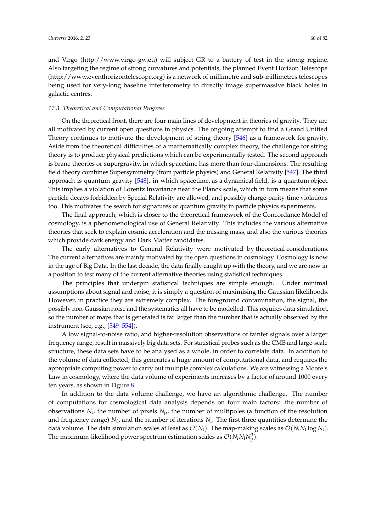and Virgo [\(http://www.virgo-gw.eu\)](http://www.virgo-gw.eu) will subject GR to a battery of test in the strong regime. Also targeting the regime of strong curvatures and potentials, the planned Event Horizon Telescope [\(http://www.eventhorizontelescope.org\)](http://www.eventhorizontelescope.org) is a network of millimetre and sub-millimetres telescopes being used for very-long baseline interferometry to directly image supermassive black holes in galactic centres.

### *17.3. Theoretical and Computational Progress*

On the theoretical front, there are four main lines of development in theories of gravity. They are all motivated by current open questions in physics. The ongoing attempt to find a Grand Unified Theory continues to motivate the development of string theory [\[546\]](#page-81-2) as a framework for gravity. Aside from the theoretical difficulties of a mathematically complex theory, the challenge for string theory is to produce physical predictions which can be experimentally tested. The second approach is brane theories or supergravity, in which spacetime has more than four dimensions. The resulting field theory combines Supersymmetry (from particle physics) and General Relativity [\[547\]](#page-81-3). The third approach is quantum gravity [\[548\]](#page-81-4), in which spacetime, as a dynamical field, is a quantum object. This implies a violation of Lorentz Invariance near the Planck scale, which in turn means that some particle decays forbidden by Special Relativity are allowed, and possibly charge-parity-time violations too. This motivates the search for signatures of quantum gravity in particle physics experiments.

The final approach, which is closer to the theoretical framework of the Concordance Model of cosmology, is a phenomenological use of General Relativity. This includes the various alternative theories that seek to explain cosmic acceleration and the missing mass, and also the various theories which provide dark energy and Dark Matter candidates.

The early alternatives to General Relativity were motivated by theoretical considerations. The current alternatives are mainly motivated by the open questions in cosmology. Cosmology is now in the age of Big Data. In the last decade, the data finally caught up with the theory, and we are now in a position to test many of the current alternative theories using statistical techniques.

The principles that underpin statistical techniques are simple enough. Under minimal assumptions about signal and noise, it is simply a question of maximising the Gaussian likelihoods. However, in practice they are extremely complex. The foreground contamination, the signal, the possibly non-Gaussian noise and the systematics all have to be modelled. This requires data simulation, so the number of maps that is generated is far larger than the number that is actually observed by the instrument (see, e.g., [\[549](#page-81-5)[–554\]](#page-81-6)).

A low signal-to-noise ratio, and higher-resolution observations of fainter signals over a larger frequency range, result in massively big data sets. For statistical probes such as the CMB and large-scale structure, these data sets have to be analysed as a whole, in order to correlate data. In addition to the volume of data collected, this generates a huge amount of computational data, and requires the appropriate computing power to carry out multiple complex calculations. We are witnessing a Moore's Law in cosmology, where the data volume of experiments increases by a factor of around 1000 every ten years, as shown in Figure [8.](#page-60-0)

In addition to the data volume challenge, we have an algorithmic challenge. The number of computations for cosmological data analysis depends on four main factors: the number of observations *N*<sup>t</sup> , the number of pixels *N*p, the number of multipoles (a function of the resolution and frequency range)  $N_\ell$ , and the number of iterations  $N_i$ . The first three quantities determine the data volume. The data simulation scales at least as  $\mathcal{O}(N_{\rm t})$ . The map-making scales as  $\mathcal{O}(N_{\rm i}N_{\rm t}\log N_{\rm t})$ . The maximum-likelihood power spectrum estimation scales as  $\mathcal{O}(N_\text{i}N_\text{j}N_\text{p}^3)$ .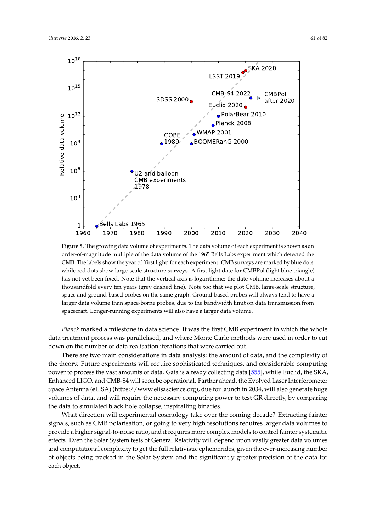<span id="page-60-0"></span>

**Figure 8.** The growing data volume of experiments. The data volume of each experiment is shown as an order-of-magnitude multiple of the data volume of the 1965 Bells Labs experiment which detected the CMB. The labels show the year of 'first light' for each experiment. CMB surveys are marked by blue dots, while red dots show large-scale structure surveys. A first light date for CMBPol (light blue triangle) has not yet been fixed. Note that the vertical axis is logarithmic: the date volume increases about a thousandfold every ten years (grey dashed line). Note too that we plot CMB, large-scale structure, space and ground-based probes on the same graph. Ground-based probes will always tend to have a larger data volume than space-borne probes, due to the bandwidth limit on data transmission from spacecraft. Longer-running experiments will also have a larger data volume.

*Planck* marked a milestone in data science. It was the first CMB experiment in which the whole data treatment process was parallelised, and where Monte Carlo methods were used in order to cut down on the number of data realisation iterations that were carried out.

There are two main considerations in data analysis: the amount of data, and the complexity of the theory. Future experiments will require sophisticated techniques, and considerable computing power to process the vast amounts of data. Gaia is already collecting data [\[555\]](#page-81-7), while Euclid, the SKA, Enhanced LIGO, and CMB-S4 will soon be operational. Farther ahead, the Evolved Laser Interferometer Space Antenna (eLISA) [\(https://www.elisascience.org\)](https://www.elisascience.org), due for launch in 2034, will also generate huge volumes of data, and will require the necessary computing power to test GR directly, by comparing the data to simulated black hole collapse, inspiralling binaries.

What direction will experimental cosmology take over the coming decade? Extracting fainter signals, such as CMB polarisation, or going to very high resolutions requires larger data volumes to provide a higher signal-to-noise ratio, and it requires more complex models to control fainter systematic effects. Even the Solar System tests of General Relativity will depend upon vastly greater data volumes and computational complexity to get the full relativistic ephemerides, given the ever-increasing number of objects being tracked in the Solar System and the significantly greater precision of the data for each object.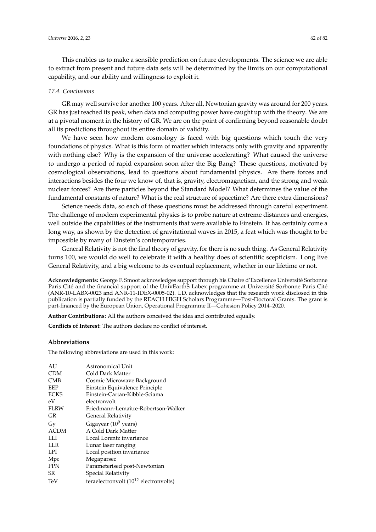This enables us to make a sensible prediction on future developments. The science we are able to extract from present and future data sets will be determined by the limits on our computational capability, and our ability and willingness to exploit it.

### *17.4. Conclusions*

GR may well survive for another 100 years. After all, Newtonian gravity was around for 200 years. GR has just reached its peak, when data and computing power have caught up with the theory. We are at a pivotal moment in the history of GR. We are on the point of confirming beyond reasonable doubt all its predictions throughout its entire domain of validity.

We have seen how modern cosmology is faced with big questions which touch the very foundations of physics. What is this form of matter which interacts only with gravity and apparently with nothing else? Why is the expansion of the universe accelerating? What caused the universe to undergo a period of rapid expansion soon after the Big Bang? These questions, motivated by cosmological observations, lead to questions about fundamental physics. Are there forces and interactions besides the four we know of, that is, gravity, electromagnetism, and the strong and weak nuclear forces? Are there particles beyond the Standard Model? What determines the value of the fundamental constants of nature? What is the real structure of spacetime? Are there extra dimensions?

Science needs data, so each of these questions must be addressed through careful experiment. The challenge of modern experimental physics is to probe nature at extreme distances and energies, well outside the capabilities of the instruments that were available to Einstein. It has certainly come a long way, as shown by the detection of gravitational waves in 2015, a feat which was thought to be impossible by many of Einstein's contemporaries.

General Relativity is not the final theory of gravity, for there is no such thing. As General Relativity turns 100, we would do well to celebrate it with a healthy does of scientific scepticism. Long live General Relativity, and a big welcome to its eventual replacement, whether in our lifetime or not.

**Acknowledgments:** George F. Smoot acknowledges support through his Chaire d'Excellence Université Sorbonne Paris Cité and the financial support of the UnivEarthS Labex programme at Université Sorbonne Paris Cité (ANR-10-LABX-0023 and ANR-11-IDEX-0005-02). I.D. acknowledges that the research work disclosed in this publication is partially funded by the REACH HIGH Scholars Programme—Post-Doctoral Grants. The grant is part-financed by the European Union, Operational Programme II—Cohesion Policy 2014–2020.

**Author Contributions:** All the authors conceived the idea and contributed equally.

**Conflicts of Interest:** The authors declare no conflict of interest.

### **Abbreviations**

The following abbreviations are used in this work:

| AU            | Astronomical Unit                          |
|---------------|--------------------------------------------|
| <b>CDM</b>    | Cold Dark Matter                           |
| CMB           | Cosmic Microwave Background                |
| EEP           | Einstein Equivalence Principle             |
| <b>ECKS</b>   | Einstein-Cartan-Kibble-Sciama              |
| eV            | electronvolt                               |
| <b>FLRW</b>   | Friedmann-Lemaître-Robertson-Walker        |
| GR            | General Relativity                         |
| Gy            | Gigayear $(10^9 \text{ years})$            |
| $\Lambda$ CDM | A Cold Dark Matter                         |
| LLI           | Local Lorentz invariance                   |
| LLR           | Lunar laser ranging                        |
| <b>LPI</b>    | Local position invariance                  |
| Mpc           | Megaparsec                                 |
| <b>PPN</b>    | Parameterised post-Newtonian               |
| SR.           | Special Relativity                         |
| TeV           | teraelectronvolt $(10^{12}$ electronvolts) |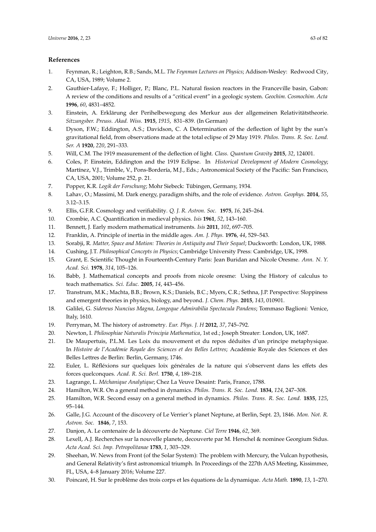# <span id="page-62-1"></span><span id="page-62-0"></span>**References**

- 1. Feynman, R.; Leighton, R.B.; Sands, M.L. *The Feynman Lectures on Physics*; Addison-Wesley: Redwood City, CA, USA, 1989; Volume 2.
- 2. Gauthier-Lafaye, F.; Holliger, P.; Blanc, P.L. Natural fission reactors in the Franceville basin, Gabon: A review of the conditions and results of a "critical event" in a geologic system. *Geochim. Cosmochim. Acta* **1996**, *60*, 4831–4852.
- 3. Einstein, A. Erklärung der Perihelbewegung des Merkur aus der allgemeinen Relativitätstheorie. *Sitzungsber. Preuss. Akad. Wiss.* **1915**, *1915*, 831–839. (In German)
- 4. Dyson, F.W.; Eddington, A.S.; Davidson, C. A Determination of the deflection of light by the sun's gravitational field, from observations made at the total eclipse of 29 May 1919. *Philos. Trans. R. Soc. Lond. Ser. A* **1920**, *220*, 291–333.
- 5. Will, C.M. The 1919 measurement of the deflection of light. *Class. Quantum Gravity* **2015**, *32*, 124001.
- 6. Coles, P. Einstein, Eddington and the 1919 Eclipse. In *Historical Development of Modern Cosmology*; Martínez, V.J., Trimble, V., Pons-Bordería, M.J., Eds.; Astronomical Society of the Pacific: San Francisco, CA, USA, 2001; Volume 252, p. 21.
- 7. Popper, K.R. *Logik der Forschung*; Mohr Siebeck: Tübingen, Germany, 1934.
- 8. Lahav, O.; Massimi, M. Dark energy, paradigm shifts, and the role of evidence. *Astron. Geophys.* **2014**, *55*, 3.12–3.15.
- <span id="page-62-2"></span>9. Ellis, G.F.R. Cosmology and verifiability. *Q. J. R. Astron. Soc.* **1975**, *16*, 245–264.
- 10. Crombie, A.C. Quantification in medieval physics. *Isis* **1961**, *52*, 143–160.
- 11. Bennett, J. Early modern mathematical instruments. *Isis* **2011**, *102*, 697–705.
- 12. Franklin, A. Principle of inertia in the middle ages. *Am. J. Phys.* **1976**, *44*, 529–543.
- 13. Sorabji, R. *Matter, Space and Motion: Theories in Antiquity and Their Sequel*; Duckworth: London, UK, 1988.
- 14. Cushing, J.T. *Philosophical Concepts in Physics*; Cambridge University Press: Cambridge, UK, 1998.
- 15. Grant, E. Scientific Thought in Fourteenth-Century Paris: Jean Buridan and Nicole Oresme. *Ann. N. Y. Acad. Sci.* **1978**, *314*, 105–126.
- 16. Babb, J. Mathematical concepts and proofs from nicole oresme: Using the History of calculus to teach mathematics. *Sci. Educ.* **2005**, *14*, 443–456.
- 17. Transtrum, M.K.; Machta, B.B.; Brown, K.S.; Daniels, B.C.; Myers, C.R.; Sethna, J.P. Perspective: Sloppiness and emergent theories in physics, biology, and beyond. *J. Chem. Phys.* **2015**, *143*, 010901.
- 18. Galilei, G. *Sidereus Nuncius Magna, Longeque Admirabilia Spectacula Pandens*; Tommaso Baglioni: Venice, Italy, 1610.
- 19. Perryman, M. The history of astrometry. *Eur. Phys. J. H* **2012**, *37*, 745–792.
- 20. Newton, I. *Philosophiae Naturalis Principia Mathematica*, 1st ed.; Joseph Streater: London, UK, 1687.
- 21. De Maupertuis, P.L.M. Les Loix du mouvement et du repos déduites d'un principe metaphysique. In *Histoire de l'Académie Royale des Sciences et des Belles Lettres*; Académie Royale des Sciences et des Belles Lettres de Berlin: Berlin, Germany, 1746.
- 22. Euler, L. Réfléxions sur quelques loix générales de la nature qui s'observent dans les effets des forces quelconques. *Acad. R. Sci. Berl.* **1750**, *4*, 189–218.
- 23. Lagrange, L. *Méchanique Analytique*; Chez La Veuve Desaint: Paris, France, 1788.
- 24. Hamilton, W.R. On a general method in dynamics. *Philos. Trans. R. Soc. Lond.* **1834**, *124*, 247–308.
- 25. Hamilton, W.R. Second essay on a general method in dynamics. *Philos. Trans. R. Soc. Lond.* **1835**, *125*, 95–144.
- 26. Galle, J.G. Account of the discovery of Le Verrier's planet Neptune, at Berlin, Sept. 23, 1846. *Mon. Not. R. Astron. Soc.* **1846**, *7*, 153.
- 27. Danjon, A. Le centenaire de la découverte de Neptune. *Ciel Terre* **1946**, *62*, 369.
- 28. Lexell, A.J. Recherches sur la nouvelle planete, decouverte par M. Herschel & nominee Georgium Sidus. *Acta Acad. Sci. Imp. Petropolitanae* **1783**, *1*, 303–329.
- 29. Sheehan, W. News from Front (of the Solar System): The problem with Mercury, the Vulcan hypothesis, and General Relativity's first astronomical triumph. In Proceedings of the 227th AAS Meeting, Kissimmee, FL, USA, 4–8 January 2016; Volume 227.
- 30. Poincaré, H. Sur le problème des trois corps et les équations de la dynamique. *Acta Math.* **1890**, *13*, 1–270.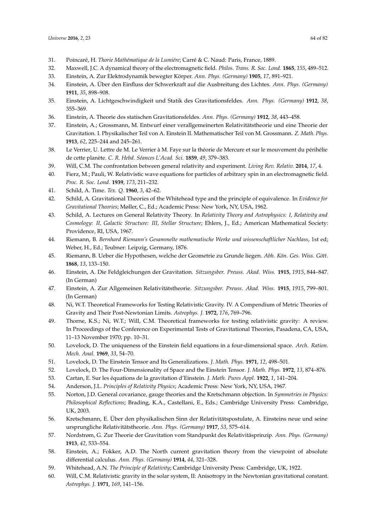- 31. Poincaré, H. *Thorie Mathématique de la Lumiére*; Carré & C. Naud: Paris, France, 1889.
- 32. Maxwell, J.C. A dynamical theory of the electromagnetic field. *Philos. Trans. R. Soc. Lond.* **1865**, *155*, 489–512.
- 33. Einstein, A. Zur Elektrodynamik bewegter Körper. *Ann. Phys. (Germany)* **1905**, *17*, 891–921.
- 34. Einstein, A. Über den Einfluss der Schwerkraft auf die Ausbreitung des Lichtes. *Ann. Phys. (Germany)* **1911**, *35*, 898–908.
- 35. Einstein, A. Lichtgeschwindigkeit und Statik des Gravitationsfeldes. *Ann. Phys. (Germany)* **1912**, *38*, 355–369.
- 36. Einstein, A. Theorie des statischen Gravitationsfeldes. *Ann. Phys. (Germany)* **1912**, *38*, 443–458.
- 37. Einstein, A.; Grossmann, M. Entwurf einer verallgemeinerten Relativitätstheorie und eine Theorie der Gravitation. I. Physikalischer Teil von A. Einstein II. Mathematischer Teil von M. Grossmann. *Z. Math. Phys.* **1913**, *62*, 225–244 and 245–261.
- 38. Le Verrier, U. Lettre de M. Le Verrier à M. Faye sur la théorie de Mercure et sur le mouvement du périhélie de cette planète. *C. R. Hebd. Séances L'Acad. Sci.* **1859**, *49*, 379–383.
- 39. Will, C.M. The confrontation between general relativity and experiment. *Living Rev. Relativ.* **2014**, *17*, 4.
- 40. Fierz, M.; Pauli, W. Relativistic wave equations for particles of arbitrary spin in an electromagnetic field. *Proc. R. Soc. Lond.* **1939**, *173*, 211–232.
- 41. Schild, A. Time. *Tex. Q.* **1960**, *3*, 42–62.
- 42. Schild, A. Gravitational Theories of the Whitehead type and the principle of equivalence. In *Evidence for Gravitational Theories*; Møller, C., Ed.; Academic Press: New York, NY, USA, 1962.
- 43. Schild, A. Lectures on General Relativity Theory. In *Relativity Theory and Astrophysics: I, Relativity and Cosmology: II, Galactic Structure: III, Stellar Structure*; Ehlers, J., Ed.; American Mathematical Society: Providence, RI, USA, 1967.
- 44. Riemann, B. *Bernhard Riemann's Gesammelte mathematische Werke und wissenschaftlicher Nachlass*, 1st ed; Weber, H., Ed.; Teubner: Leipzig, Germany, 1876.
- 45. Riemann, B. Ueber die Hypothesen, welche der Geometrie zu Grunde liegen. *Abh. Kön. Ges. Wiss. Gött.* **1868**, *13*, 133–150.
- 46. Einstein, A. Die Feldgleichungen der Gravitation. *Sitzungsber. Preuss. Akad. Wiss.* **1915**, *1915*, 844–847. (In German)
- 47. Einstein, A. Zur Allgemeinen Relativitätstheorie. *Sitzungsber. Preuss. Akad. Wiss.* **1915**, *1915*, 799–801. (In German)
- 48. Ni, W.T. Theoretical Frameworks for Testing Relativistic Gravity. IV. A Compendium of Metric Theories of Gravity and Their Post-Newtonian Limits. *Astrophys. J.* **1972**, *176*, 769–796.
- 49. Thorne, K.S.; Ni, W.T.; Will, C.M. Theoretical frameworks for testing relativistic gravity: A review. In Proceedings of the Conference on Experimental Tests of Gravitational Theories, Pasadena, CA, USA, 11–13 November 1970; pp. 10–31.
- 50. Lovelock, D. The uniqueness of the Einstein field equations in a four-dimensional space. *Arch. Ration. Mech. Anal.* **1969**, *33*, 54–70.
- 51. Lovelock, D. The Einstein Tensor and Its Generalizations. *J. Math. Phys.* **1971**, *12*, 498–501.
- 52. Lovelock, D. The Four-Dimensionality of Space and the Einstein Tensor. *J. Math. Phys.* **1972**, *13*, 874–876.
- 53. Cartan, E. Sur les équations de la gravitation d'Einstein. *J. Math. Pures Appl.* **1922**, *1*, 141–204.
- 54. Anderson, J.L. *Principles of Relativity Physics*; Academic Press: New York, NY, USA, 1967.
- 55. Norton, J.D. General covariance, gauge theories and the Kretschmann objection. In *Symmetries in Physics: Philosophical Reflections*; Brading, K.A., Castellani, E., Eds.; Cambridge University Press: Cambridge, UK, 2003.
- 56. Kretschmann, E. Über den physikalischen Sinn der Relativitätspostulate, A. Einsteins neue und seine ursprungliche Relativitätstheorie. *Ann. Phys. (Germany)* **1917**, *53*, 575–614.
- 57. Nordstrøm, G. Zur Theorie der Gravitation vom Standpunkt des Relativitäsprinzip. *Ann. Phys. (Germany)* **1913**, *42*, 533–554.
- 58. Einstein, A.; Fokker, A.D. The North current gravitation theory from the viewpoint of absolute differential calculus. *Ann. Phys. (Germany)* **1914**, *44*, 321–328.
- 59. Whitehead, A.N. *The Principle of Relativity*; Cambridge University Press: Cambridge, UK, 1922.
- 60. Will, C.M. Relativistic gravity in the solar system, II: Anisotropy in the Newtonian gravitational constant. *Astrophys. J.* **1971**, *169*, 141–156.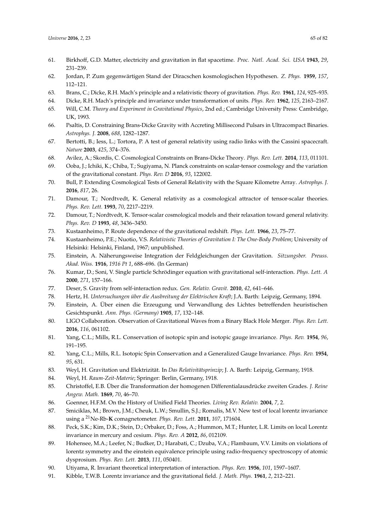- 61. Birkhoff, G.D. Matter, electricity and gravitation in flat spacetime. *Proc. Natl. Acad. Sci. USA* **1943**, *29*, 231–239.
- 62. Jordan, P. Zum gegenwärtigen Stand der Diracschen kosmologischen Hypothesen. *Z. Phys.* **1959**, *157*, 112–121.
- 63. Brans, C.; Dicke, R.H. Mach's principle and a relativistic theory of gravitation. *Phys. Rev.* **1961**, *124*, 925–935.
- 64. Dicke, R.H. Mach's principle and invariance under transformation of units. *Phys. Rev.* **1962**, *125*, 2163–2167.
- <span id="page-64-0"></span>65. Will, C.M. *Theory and Experiment in Gravitational Physics*, 2nd ed.; Cambridge University Press: Cambridge, UK, 1993.
- 66. Psaltis, D. Constraining Brans-Dicke Gravity with Accreting Millisecond Pulsars in Ultracompact Binaries. *Astrophys. J.* **2008**, *688*, 1282–1287.
- <span id="page-64-1"></span>67. Bertotti, B.; Iess, L.; Tortora, P. A test of general relativity using radio links with the Cassini spacecraft. *Nature* **2003**, *425*, 374–376.
- 68. Avilez, A.; Skordis, C. Cosmological Constraints on Brans-Dicke Theory. *Phys. Rev. Lett.* **2014**, *113*, 011101.
- <span id="page-64-2"></span>69. Ooba, J.; Ichiki, K.; Chiba, T.; Sugiyama, N. Planck constraints on scalar-tensor cosmology and the variation of the gravitational constant. *Phys. Rev. D* **2016**, *93*, 122002.
- <span id="page-64-3"></span>70. Bull, P. Extending Cosmological Tests of General Relativity with the Square Kilometre Array. *Astrophys. J.* **2016**, *817*, 26.
- 71. Damour, T.; Nordtvedt, K. General relativity as a cosmological attractor of tensor-scalar theories. *Phys. Rev. Lett.* **1993**, *70*, 2217–2219.
- 72. Damour, T.; Nordtvedt, K. Tensor-scalar cosmological models and their relaxation toward general relativity. *Phys. Rev. D* **1993**, *48*, 3436–3450.
- 73. Kustaanheimo, P. Route dependence of the gravitational redshift. *Phys. Lett.* **1966**, *23*, 75–77.
- 74. Kustaanheimo, P.E.; Nuotio, V.S. *Relativistic Theories of Gravitation I: The One-Body Problem*; University of Helsinki: Helsinki, Finland, 1967; unpublished.
- 75. Einstein, A. Näherungsweise Integration der Feldgleichungen der Gravitation. *Sitzungsber. Preuss. Akad. Wiss.* **1916**, *1916 Pt 1*, 688–696. (In German)
- 76. Kumar, D.; Soni, V. Single particle Schrödinger equation with gravitational self-interaction. *Phys. Lett. A* **2000**, *271*, 157–166.
- 77. Deser, S. Gravity from self-interaction redux. *Gen. Relativ. Gravit.* **2010**, *42*, 641–646.
- 78. Hertz, H. *Untersuchungen über die Ausbreitung der Elektrischen Kraft*; J.A. Barth: Leipzig, Germany, 1894.
- 79. Einstein, A. Über einen die Erzeugung und Verwandlung des Lichtes betreffenden heuristischen Gesichtspunkt. *Ann. Phys. (Germany)* **1905**, *17*, 132–148.
- 80. LIGO Collaboration. Observation of Gravitational Waves from a Binary Black Hole Merger. *Phys. Rev. Lett.* **2016**, *116*, 061102.
- 81. Yang, C.L.; Mills, R.L. Conservation of isotopic spin and isotopic gauge invariance. *Phys. Rev.* **1954**, *96*, 191–195.
- 82. Yang, C.L.; Mills, R.L. Isotopic Spin Conservation and a Generalized Gauge Invariance. *Phys. Rev.* **1954**, *95*, 631.
- 83. Weyl, H. Gravitation und Elektrizität. In *Das Relativitätsprinzip*; J. A. Barth: Leipzig, Germany, 1918.
- 84. Weyl, H. *Raum-Zeit-Materie*; Springer: Berlin, Germany, 1918.
- 85. Christoffel, E.B. Über die Transformation der homogenen Differentialausdrücke zweiten Grades. *J. Reine Angew. Math.* **1869**, *70*, 46–70.
- 86. Goenner, H.F.M. On the History of Unified Field Theories. *Living Rev. Relativ.* **2004**, *7*, 2.
- 87. Smiciklas, M.; Brown, J.M.; Cheuk, L.W.; Smullin, S.J.; Romalis, M.V. New test of local lorentz invariance using a <sup>21</sup>Ne-Rb-**K** comagnetometer. *Phys. Rev. Lett.* **2011**, *107*, 171604.
- 88. Peck, S.K.; Kim, D.K.; Stein, D.; Orbaker, D.; Foss, A.; Hummon, M.T.; Hunter, L.R. Limits on local Lorentz invariance in mercury and cesium. *Phys. Rev. A* **2012**, *86*, 012109.
- 89. Hohensee, M.A.; Leefer, N.; Budker, D.; Harabati, C.; Dzuba, V.A.; Flambaum, V.V. Limits on violations of lorentz symmetry and the einstein equivalence principle using radio-frequency spectroscopy of atomic dysprosium. *Phys. Rev. Lett.* **2013**, *111*, 050401.
- 90. Utiyama, R. Invariant theoretical interpretation of interaction. *Phys. Rev.* **1956**, *101*, 1597–1607.
- 91. Kibble, T.W.B. Lorentz invariance and the gravitational field. *J. Math. Phys.* **1961**, *2*, 212–221.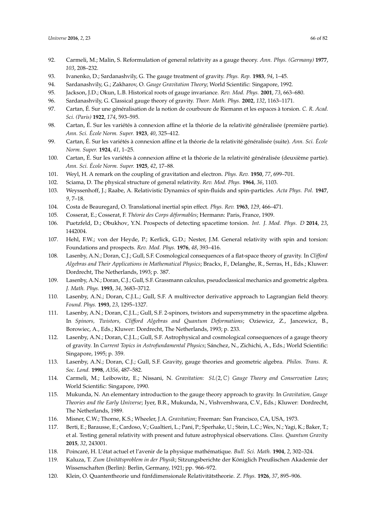- 92. Carmeli, M.; Malin, S. Reformulation of general relativity as a gauge theory. *Ann. Phys. (Germany)* **1977**, *103*, 208–232.
- 93. Ivanenko, D.; Sardanashvily, G. The gauge treatment of gravity. *Phys. Rep.* **1983**, *94*, 1–45.
- 94. Sardanashvily, G.; Zakharov, O. *Gauge Gravitation Theory*; World Scientific: Singapore, 1992.
- 95. Jackson, J.D.; Okun, L.B. Historical roots of gauge invariance. *Rev. Mod. Phys.* **2001**, *73*, 663–680.
- 96. Sardanashvily, G. Classical gauge theory of gravity. *Theor. Math. Phys.* **2002**, *132*, 1163–1171.
- 97. Cartan, É. Sur une généralisation de la notion de courboure de Riemann et les espaces à torsion. *C. R. Acad. Sci. (Paris)* **1922**, *174*, 593–595.
- 98. Cartan, É. Sur les variétés à connexion affine et la théorie de la relativité généralisée (première partie). *Ann. Sci. École Norm. Super.* **1923**, *40*, 325–412.
- 99. Cartan, É. Sur les variétés à connexion affine et la théorie de la relativité généralisée (suite). *Ann. Sci. École Norm. Super.* **1924**, *41*, 1–25.
- 100. Cartan, É. Sur les variétés à connexion affine et la théorie de la relativité généralisée (deuxième partie). *Ann. Sci. École Norm. Super.* **1925**, *42*, 17–88.
- 101. Weyl, H. A remark on the coupling of gravitation and electron. *Phys. Rev.* **1950**, *77*, 699–701.
- 102. Sciama, D. The physical structure of general relativity. *Rev. Mod. Phys.* **1964**, *36*, 1103.
- 103. Weyssenhoff, J.; Raabe, A. Relativistic Dynamics of spin-fluids and spin-particles. *Acta Phys. Pol.* **1947**, *9*, 7–18.
- 104. Costa de Beauregard, O. Translational inertial spin effect. *Phys. Rev.* **1963**, *129*, 466–471.
- 105. Cosserat, E.; Cosserat, F. *Théorie des Corps déformables*; Hermann: Paris, France, 1909.
- 106. Puetzfeld, D.; Obukhov, Y.N. Prospects of detecting spacetime torsion. *Int. J. Mod. Phys. D* **2014**, *23*, 1442004.
- 107. Hehl, F.W.; von der Heyde, P.; Kerlick, G.D.; Nester, J.M. General relativity with spin and torsion: Foundations and prospects. *Rev. Mod. Phys.* **1976**, *48*, 393–416.
- 108. Lasenby, A.N.; Doran, C.J.; Gull, S.F. Cosmological consequences of a flat-space theory of gravity. In *Clifford Algebras and Their Applications in Mathematical Physics*; Brackx, F., Delanghe, R., Serras, H., Eds.; Kluwer: Dordrecht, The Netherlands, 1993; p. 387.
- <span id="page-65-0"></span>109. Lasenby, A.N.; Doran, C.J.; Gull, S.F. Grassmann calculus, pseudoclassical mechanics and geometric algebra. *J. Math. Phys.* **1993**, *34*, 3683–3712.
- 110. Lasenby, A.N.; Doran, C.J.L.; Gull, S.F. A multivector derivative approach to Lagrangian field theory. *Found. Phys.* **1993**, *23*, 1295–1327.
- 111. Lasenby, A.N.; Doran, C.J.L.; Gull, S.F. 2-spinors, twistors and supersymmetry in the spacetime algebra. In *Spinors, Twistors, Clifford Algebras and Quantum Deformations*; Oziewicz, Z., Jancewicz, B., Borowiec, A., Eds.; Kluwer: Dordrecht, The Netherlands, 1993; p. 233.
- 112. Lasenby, A.N.; Doran, C.J.L.; Gull, S.F. Astrophysical and cosmological consequences of a gauge theory of gravity. In *Current Topics in Astrofundamental Physics*; Sánchez, N., Zichichi, A., Eds.; World Scientific: Singapore, 1995; p. 359.
- 113. Lasenby, A.N.; Doran, C.J.; Gull, S.F. Gravity, gauge theories and geometric algebra. *Philos. Trans. R. Soc. Lond.* **1998**, *A356*, 487–582.
- 114. Carmeli, M.; Leibowitz, E.; Nissani, N. *Gravitation: SL*(2, C) *Gauge Theory and Conservation Laws*; World Scientific: Singapore, 1990.
- 115. Mukunda, N. An elementary introduction to the gauge theory approach to gravity. In *Gravitation, Gauge Theories and the Early Universe*; Iyer, B.R., Mukunda, N., Vishvershwara, C.V., Eds.; Kluwer: Dordrecht, The Netherlands, 1989.
- 116. Misner, C.W.; Thorne, K.S.; Wheeler, J.A. *Gravitation*; Freeman: San Francisco, CA, USA, 1973.
- 117. Berti, E.; Barausse, E.; Cardoso, V.; Gualtieri, L.; Pani, P.; Sperhake, U.; Stein, L.C.; Wex, N.; Yagi, K.; Baker, T.; et al. Testing general relativity with present and future astrophysical observations. *Class. Quantum Gravity* **2015**, *32*, 243001.
- 118. Poincaré, H. L'état actuel et l'avenir de la physique mathématique. *Bull. Sci. Math.* **1904**, *2*, 302–324.
- 119. Kaluza, T. *Zum Unitätsproblem in der Physik*; Sitzungsberichte der Königlich Preußischen Akademie der Wissenschaften (Berlin): Berlin, Germany, 1921; pp. 966–972.
- 120. Klein, O. Quantentheorie und fünfdimensionale Relativitätstheorie. *Z. Phys.* **1926**, *37*, 895–906.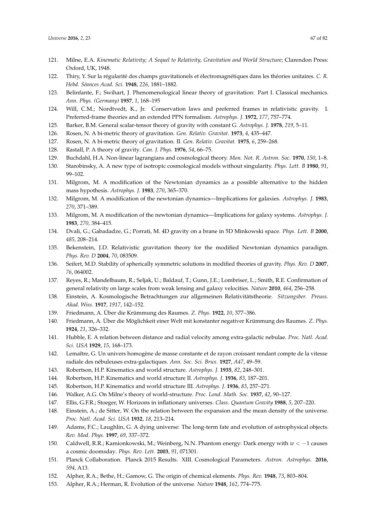- 121. Milne, E.A. *Kinematic Relativity; A Sequel to Relativity, Gravitation and World Structure*; Clarendon Press: Oxford, UK, 1948.
- 122. Thiry, Y. Sur la régularité des champs gravitationels et électromagnétiques dans les théories unitaires. *C. R. Hebd. Séances Acad. Sci.* **1948**, *226*, 1881–1882.
- 123. Belinfante, F.; Swihart, J. Phenomenological linear theory of gravitation: Part I. Classical mechanics. *Ann. Phys. (Germany)* **1957**, *1*, 168–195
- 124. Will, C.M.; Nordtvedt, K., Jr. Conservation laws and preferred frames in relativistic gravity. I. Preferred-frame theories and an extended PPN formalism. *Astrophys. J.* **1972**, *177*, 757–774.
- 125. Barker, B.M. General scalar-tensor theory of gravity with constant G. *Astrophys. J.* **1978**, *219*, 5–11.
- 126. Rosen, N. A bi-metric theory of gravitation. *Gen. Relativ. Gravitat.* **1973**, *4*, 435–447.
- 127. Rosen, N. A bi-metric theory of gravitation. II. *Gen. Relativ. Gravitat.* **1975**, *6*, 259–268.
- 128. Rastall, P. A theory of gravity. *Can. J. Phys.* **1976**, *54*, 66–75.
- 129. Buchdahl, H.A. Non-linear lagrangians and cosmological theory. *Mon. Not. R. Astron. Soc.* **1970**, *150*, 1–8.
- 130. Starobinsky, A. A new type of isotropic cosmological models without singularity. *Phys. Lett. B* **1980**, *91*, 99–102.
- 131. Milgrom, M. A modification of the Newtonian dynamics as a possible alternative to the hidden mass hypothesis. *Astrophys. J.* **1983**, *270*, 365–370.
- 132. Milgrom, M. A modification of the newtonian dynamics—Implications for galaxies. *Astrophys. J.* **1983**, *270*, 371–389.
- 133. Milgrom, M. A modification of the newtonian dynamics—Implications for galaxy systems. *Astrophys. J.* **1983**, *270*, 384–415.
- <span id="page-66-0"></span>134. Dvali, G.; Gabadadze, G.; Porrati, M. 4D gravity on a brane in 5D Minkowski space. *Phys. Lett. B* **2000**, *485*, 208–214.
- 135. Bekenstein, J.D. Relativistic gravitation theory for the modified Newtonian dynamics paradigm. *Phys. Rev. D* **2004**, *70*, 083509.
- 136. Seifert, M.D. Stability of spherically symmetric solutions in modified theories of gravity. *Phys. Rev. D* **2007**, *76*, 064002.
- 137. Reyes, R.; Mandelbaum, R.; Seljak, U.; Baldauf, T.; Gunn, J.E.; Lombriser, L.; Smith, R.E. Confirmation of general relativity on large scales from weak lensing and galaxy velocities. *Nature* **2010**, *464*, 256–258.
- 138. Einstein, A. Kosmologische Betrachtungen zur allgemeinen Relativitätstheorie. *Sitzungsber. Preuss. Akad. Wiss.* **1917**, *1917*, 142–152.
- 139. Friedmann, A. Über die Krümmung des Raumes. *Z. Phys.* **1922**, *10*, 377–386.
- 140. Friedmann, A. Über die Möglichkeit einer Welt mit konstanter negativer Krümmung des Raumes. *Z. Phys.* **1924**, *21*, 326–332.
- 141. Hubble, E. A relation between distance and radial velocity among extra-galactic nebulae. *Proc. Natl. Acad. Sci. USA* **1929**, *15*, 168–173.
- 142. Lemaître, G. Un univers homogène de masse constante et de rayon croissant rendant compte de la vitesse radiale des nébuleuses extra-galactiques. *Ann. Soc. Sci. Brux.* **1927**, *A47*, 49–59.
- 143. Robertson, H.P. Kinematics and world structure. *Astrophys. J.* **1935**, *82*, 248–301.
- 144. Robertson, H.P. Kinematics and world structure II. *Astrophys. J.* **1936**, *83*, 187–201.
- 145. Robertson, H.P. Kinematics and world structure III. *Astrophys. J.* **1936**, *83*, 257–271.
- 146. Walker, A.G. On Milne's theory of world-structure. *Proc. Lond. Math. Soc.* **1937**, *42*, 90–127.
- 147. Ellis, G.F.R.; Stoeger, W. Horizons in inflationary universes. *Class. Quantum Gravity* **1988**, *5*, 207–220.
- 148. Einstein, A.; de Sitter, W. On the relation between the expansion and the mean density of the universe. *Proc. Natl. Acad. Sci. USA* **1932**, *18*, 213–214.
- 149. Adams, F.C.; Laughlin, G. A dying universe: The long-term fate and evolution of astrophysical objects. *Rev. Mod. Phys.* **1997**, *69*, 337–372.
- 150. Caldwell, R.R.; Kamionkowski, M.; Weinberg, N.N. Phantom energy: Dark energy with *w* < −1 causes a cosmic doomsday. *Phys. Rev. Lett.* **2003**, *91*, 071301.
- 151. Planck Collaboration. Planck 2015 Results. XIII. Cosmological Parameters. *Astron. Astrophys.* **2016**, *594*, A13.
- 152. Alpher, R.A.; Bethe, H.; Gamow, G. The origin of chemical elements. *Phys. Rev.* **1948**, *73*, 803–804.
- 153. Alpher, R.A.; Herman, R. Evolution of the universe. *Nature* **1948**, *162*, 774–775.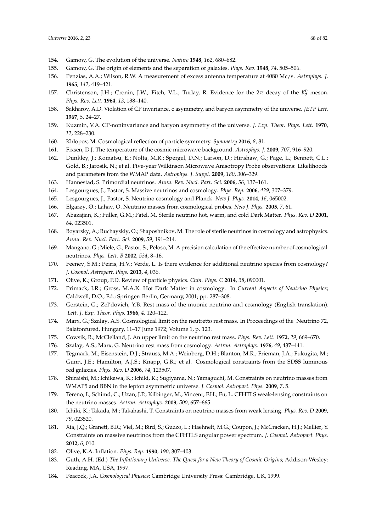- 154. Gamow, G. The evolution of the universe. *Nature* **1948**, *162*, 680–682.
- 155. Gamow, G. The origin of elements and the separation of galaxies. *Phys. Rev.* **1948**, *74*, 505–506.
- 156. Penzias, A.A.; Wilson, R.W. A measurement of excess antenna temperature at 4080 Mc/s. *Astrophys. J.* **1965**, *142*, 419–421.
- 157. Christenson, J.H.; Cronin, J.W.; Fitch, V.L.; Turlay, R. Evidence for the  $2\pi$  decay of the  $K_2^0$  meson. *Phys. Rev. Lett.* **1964**, *13*, 138–140.
- 158. Sakharov, A.D. Violation of CP invariance, c asymmetry, and baryon asymmetry of the universe. *JETP Lett.* **1967**, *5*, 24–27.
- 159. Kuzmin, V.A. CP-noninvariance and baryon asymmetry of the universe. *J. Exp. Theor. Phys. Lett.* **1970**, *12*, 228–230.
- 160. Khlopov, M. Cosmological reflection of particle symmetry. *Symmetry* **2016**, *8*, 81.
- 161. Fixsen, D.J. The temperature of the cosmic microwave background. *Astrophys. J.* **2009**, *707*, 916–920.
- 162. Dunkley, J.; Komatsu, E.; Nolta, M.R.; Spergel, D.N.; Larson, D.; Hinshaw, G.; Page, L.; Bennett, C.L.; Gold, B.; Jarosik, N.; et al. Five-year Wilkinson Microwave Anisotropy Probe observations: Likelihoods and parameters from the WMAP data. *Astrophys. J. Suppl.* **2009**, *180*, 306–329.
- 163. Hannestad, S. Primordial neutrinos. *Annu. Rev. Nucl. Part. Sci.* **2006**, *56*, 137–161.
- 164. Lesgourgues, J.; Pastor, S. Massive neutrinos and cosmology. *Phys. Rep.* **2006**, *429*, 307–379.
- 165. Lesgourgues, J.; Pastor, S. Neutrino cosmology and Planck. *New J. Phys.* **2014**, *16*, 065002.
- 166. Elgarøy, Ø.; Lahav, O. Neutrino masses from cosmological probes. *New J. Phys.* **2005**, *7*, 61.
- 167. Abazajian, K.; Fuller, G.M.; Patel, M. Sterile neutrino hot, warm, and cold Dark Matter. *Phys. Rev. D* **2001**, *64*, 023501.
- 168. Boyarsky, A.; Ruchayskiy, O.; Shaposhnikov, M. The role of sterile neutrinos in cosmology and astrophysics. *Annu. Rev. Nucl. Part. Sci.* **2009**, *59*, 191–214.
- 169. Mangano, G.; Miele, G.; Pastor, S.; Peloso, M. A precision calculation of the effective number of cosmological neutrinos. *Phys. Lett. B* **2002**, *534*, 8–16.
- 170. Feeney, S.M.; Peiris, H.V.; Verde, L. Is there evidence for additional neutrino species from cosmology? *J. Cosmol. Astropart. Phys.* **2013**, *4*, 036.
- <span id="page-67-0"></span>171. Olive, K.; Group, P.D. Review of particle physics. *Chin. Phys. C* **2014**, *38*, 090001.
- 172. Primack, J.R.; Gross, M.A.K. Hot Dark Matter in cosmology. In *Current Aspects of Neutrino Physics*; Caldwell, D.O., Ed.; Springer: Berlin, Germany, 2001; pp. 287–308.
- 173. Gerstein, G.; Zel'dovich, Y.B. Rest mass of the muonic neutrino and cosmology (English translation). *Lett. J. Exp. Theor. Phys.* **1966**, *4*, 120–122.
- 174. Marx, G.; Szalay, A.S. Cosmological limit on the neutretto rest mass. In Proceedings of the Neutrino 72, Balatonfured, Hungary, 11–17 June 1972; Volume 1, p. 123.
- 175. Cowsik, R.; McClelland, J. An upper limit on the neutrino rest mass. *Phys. Rev. Lett.* **1972**, *29*, 669–670.
- 176. Szalay, A.S.; Marx, G. Neutrino rest mass from cosmology. *Astron. Astrophys.* **1976**, *49*, 437–441.
- 177. Tegmark, M.; Eisenstein, D.J.; Strauss, M.A.; Weinberg, D.H.; Blanton, M.R.; Frieman, J.A.; Fukugita, M.; Gunn, J.E.; Hamilton, A.J.S.; Knapp, G.R.; et al. Cosmological constraints from the SDSS luminous red galaxies. *Phys. Rev. D* **2006**, *74*, 123507.
- 178. Shiraishi, M.; Ichikawa, K.; Ichiki, K.; Sugiyama, N.; Yamaguchi, M. Constraints on neutrino masses from WMAP5 and BBN in the lepton asymmetric universe. *J. Cosmol. Astropart. Phys.* **2009**, *7*, 5.
- 179. Tereno, I.; Schimd, C.; Uzan, J.P.; Kilbinger, M.; Vincent, F.H.; Fu, L. CFHTLS weak-lensing constraints on the neutrino masses. *Astron. Astrophys.* **2009**, *500*, 657–665.
- 180. Ichiki, K.; Takada, M.; Takahashi, T. Constraints on neutrino masses from weak lensing. *Phys. Rev. D* **2009**, *79*, 023520.
- 181. Xia, J.Q.; Granett, B.R.; Viel, M.; Bird, S.; Guzzo, L.; Haehnelt, M.G.; Coupon, J.; McCracken, H.J.; Mellier, Y. Constraints on massive neutrinos from the CFHTLS angular power spectrum. *J. Cosmol. Astropart. Phys.* **2012**, *6*, 010.
- 182. Olive, K.A. Inflation. *Phys. Rep.* **1990**, *190*, 307–403.
- 183. Guth, A.H. (Ed.) *The Inflationary Universe. The Quest for a New Theory of Cosmic Origins*; Addison-Wesley: Reading, MA, USA, 1997.
- 184. Peacock, J.A. *Cosmological Physics*; Cambridge University Press: Cambridge, UK, 1999.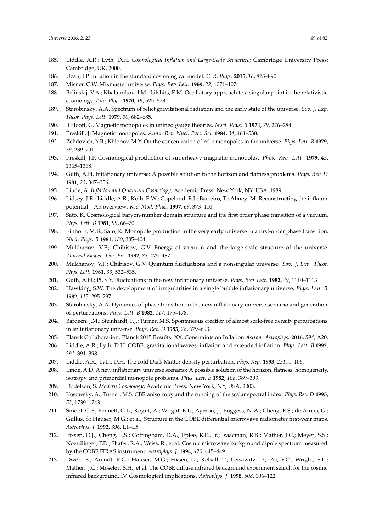- <span id="page-68-0"></span>185. Liddle, A.R.; Lyth, D.H. *Cosmological Inflation and Large-Scale Structure*; Cambridge University Press: Cambridge, UK, 2000.
- 186. Uzan, J.P. Inflation in the standard cosmological model. *C. R. Phys.* **2015**, *16*, 875–890.
- 187. Misner, C.W. Mixmaster universe. *Phys. Rev. Lett.* **1969**, *22*, 1071–1074.
- 188. Belinskij, V.A.; Khalatnikov, I.M.; Lifshits, E.M. Oscillatory approach to a singular point in the relativistic cosmology. *Adv. Phys.* **1970**, *19*, 525–573.
- 189. Starobinsky, A.A. Spectrum of relict gravitational radiation and the early state of the universe. *Sov. J. Exp. Theor. Phys. Lett.* **1979**, *30*, 682–685.
- 190. 't Hooft, G. Magnetic monopoles in unified gauge theories. *Nucl. Phys. B* **1974**, *79*, 276–284.
- 191. Preskill, J. Magnetic monopoles. *Annu. Rev. Nucl. Part. Sci.* **1984**, *34*, 461–530.
- 192. Zel'dovich, Y.B.; Khlopov, M.Y. On the concentration of relic monopoles in the universe. *Phys. Lett. B* **1979**, *79*, 239–241.
- 193. Preskill, J.P. Cosmological production of superheavy magnetic monopoles. *Phys. Rev. Lett.* **1979**, *43*, 1365–1368.
- 194. Guth, A.H. Inflationary universe: A possible solution to the horizon and flatness problems. *Phys. Rev. D* **1981**, *23*, 347–356.
- 195. Linde, A. *Inflation and Quantum Cosmology*; Academic Press: New York, NY, USA, 1989.
- 196. Lidsey, J.E.; Liddle, A.R.; Kolb, E.W.; Copeland, E.J.; Barreiro, T.; Abney, M. Reconstructing the inflaton potential—An overview. *Rev. Mod. Phys.* **1997**, *69*, 373–410.
- 197. Sato, K. Cosmological baryon-number domain structure and the first order phase transition of a vacuum. *Phys. Lett. B* **1981**, *99*, 66–70.
- 198. Einhorn, M.B.; Sato, K. Monopole production in the very early universe in a first-order phase transition. *Nucl. Phys. B* **1981**, *180*, 385–404.
- 199. Mukhanov, V.F.; Chibisov, G.V. Energy of vacuum and the large-scale structure of the universe. *Zhurnal Eksper. Teor. Fiz.* **1982**, *83*, 475–487.
- 200. Mukhanov, V.F.; Chibisov, G.V. Quantum fluctuations and a nonsingular universe. *Sov. J. Exp. Theor. Phys. Lett.* **1981**, *33*, 532–535.
- 201. Guth, A.H.; Pi, S.Y. Fluctuations in the new inflationary universe. *Phys. Rev. Lett.* **1982**, *49*, 1110–1113.
- 202. Hawking, S.W. The development of irregularities in a single bubble inflationary universe. *Phys. Lett. B* **1982**, *115*, 295–297.
- 203. Starobinsky, A.A. Dynamics of phase transition in the new inflationary universe scenario and generation of perturbations. *Phys. Lett. B* **1982**, *117*, 175–178.
- 204. Bardeen, J.M.; Steinhardt, P.J.; Turner, M.S. Spontaneous creation of almost scale-free density perturbations in an inflationary universe. *Phys. Rev. D* **1983**, *28*, 679–693.
- <span id="page-68-1"></span>205. Planck Collaboration. Planck 2015 Results. XX. Constraints on Inflation *Astron. Astrophys.* **2016**, *594*, A20.
- 206. Liddle, A.R.; Lyth, D.H. COBE, gravitational waves, inflation and extended inflation. *Phys. Lett. B* **1992**, *291*, 391–398.
- 207. Liddle, A.R.; Lyth, D.H. The cold Dark Matter density perturbation. *Phys. Rep.* **1993**, *231*, 1–105.
- 208. Linde, A.D. A new inflationary universe scenario: A possible solution of the horizon, flatness, homogeneity, isotropy and primordial monopole problems. *Phys. Lett. B* **1982**, *108*, 389–393.
- 209. Dodelson, S. *Modern Cosmology*; Academic Press: New York, NY, USA, 2003.
- 210. Kosowsky, A.; Turner, M.S. CBR anisotropy and the running of the scalar spectral index. *Phys. Rev. D* **1995**, *52*, 1739–1743.
- 211. Smoot, G.F.; Bennett, C.L.; Kogut, A.; Wright, E.L.; Aymon, J.; Boggess, N.W.; Cheng, E.S.; de Amici, G.; Gulkis, S.; Hauser, M.G.; et al.; Structure in the COBE differential microwave radiometer first-year maps. *Astrophys. J.* **1992**, *396*, L1–L5.
- 212. Fixsen, D.J.; Cheng, E.S.; Cottingham, D.A.; Eplee, R.E., Jr.; Isaacman, R.B.; Mather, J.C.; Meyer, S.S.; Noerdlinger, P.D.; Shafer, R.A.; Weiss, R.; et al. Cosmic microwave background dipole spectrum measured by the COBE FIRAS instrument. *Astrophys. J.* **1994**, *420*, 445–449.
- 213. Dwek, E.; Arendt, R.G.; Hauser, M.G.; Fixsen, D.; Kelsall, T.; Leisawitz, D.; Pei, Y.C.; Wright, E.L.; Mather, J.C.; Moseley, S.H.; et al. The COBE diffuse infrared background experiment search for the cosmic infrared background. IV. Cosmological implications. *Astrophys. J.* **1998**, *508*, 106–122.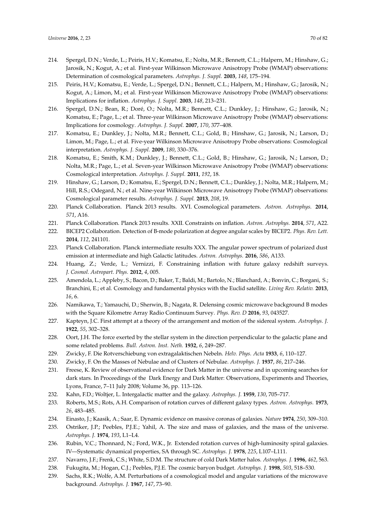- <span id="page-69-0"></span>214. Spergel, D.N.; Verde, L.; Peiris, H.V.; Komatsu, E.; Nolta, M.R.; Bennett, C.L.; Halpern, M.; Hinshaw, G.; Jarosik, N.; Kogut, A.; et al. First-year Wilkinson Microwave Anisotropy Probe (WMAP) observations: Determination of cosmological parameters. *Astrophys. J. Suppl.* **2003**, *148*, 175–194.
- 215. Peiris, H.V.; Komatsu, E.; Verde, L.; Spergel, D.N.; Bennett, C.L.; Halpern, M.; Hinshaw, G.; Jarosik, N.; Kogut, A.; Limon, M.; et al. First-year Wilkinson Microwave Anisotropy Probe (WMAP) observations: Implications for inflation. *Astrophys. J. Suppl.* **2003**, *148*, 213–231.
- <span id="page-69-1"></span>216. Spergel, D.N.; Bean, R.; Doré, O.; Nolta, M.R.; Bennett, C.L.; Dunkley, J.; Hinshaw, G.; Jarosik, N.; Komatsu, E.; Page, L.; et al. Three-year Wilkinson Microwave Anisotropy Probe (WMAP) observations: Implications for cosmology. *Astrophys. J. Suppl.* **2007**, *170*, 377–408.
- 217. Komatsu, E.; Dunkley, J.; Nolta, M.R.; Bennett, C.L.; Gold, B.; Hinshaw, G.; Jarosik, N.; Larson, D.; Limon, M.; Page, L.; et al. Five-year Wilkinson Microwave Anisotropy Probe observations: Cosmological interpretation. *Astrophys. J. Suppl.* **2009**, *180*, 330–376.
- 218. Komatsu, E.; Smith, K.M.; Dunkley, J.; Bennett, C.L.; Gold, B.; Hinshaw, G.; Jarosik, N.; Larson, D.; Nolta, M.R.; Page, L.; et al. Seven-year Wilkinson Microwave Anisotropy Probe (WMAP) observations: Cosmological interpretation. *Astrophys. J. Suppl.* **2011**, *192*, 18.
- 219. Hinshaw, G.; Larson, D.; Komatsu, E.; Spergel, D.N.; Bennett, C.L.; Dunkley, J.; Nolta, M.R.; Halpern, M.; Hill, R.S.; Odegard, N.; et al. Nine-year Wilkinson Microwave Anisotropy Probe (WMAP) observations: Cosmological parameter results. *Astrophys. J. Suppl.* **2013**, *208*, 19.
- 220. Planck Collaboration. Planck 2013 results. XVI. Cosmological parameters. *Astron. Astrophys.* **2014**, *571*, A16.
- <span id="page-69-2"></span>221. Planck Collaboration. Planck 2013 results. XXII. Constraints on inflation. *Astron. Astrophys.* **2014**, *571*, A22.
- 222. BICEP2 Collaboration. Detection of B-mode polarization at degree angular scales by BICEP2. *Phys. Rev. Lett.* **2014**, *112*, 241101.
- 223. Planck Collaboration. Planck intermediate results XXX. The angular power spectrum of polarized dust emission at intermediate and high Galactic latitudes. *Astron. Astrophys.* **2016**, *586*, A133.
- 224. Huang, Z.; Verde, L.; Vernizzi, F. Constraining inflation with future galaxy redshift surveys. *J. Cosmol. Astropart. Phys.* **2012**, *4*, 005.
- <span id="page-69-3"></span>225. Amendola, L.; Appleby, S.; Bacon, D.; Baker, T.; Baldi, M.; Bartolo, N.; Blanchard, A.; Bonvin, C.; Borgani, S.; Branchini, E.; et al. Cosmology and fundamental physics with the Euclid satellite. *Living Rev. Relativ.* **2013**, *16*, 6.
- 226. Namikawa, T.; Yamauchi, D.; Sherwin, B.; Nagata, R. Delensing cosmic microwave background B modes with the Square Kilometre Array Radio Continuum Survey. *Phys. Rev. D* **2016**, *93*, 043527.
- 227. Kapteyn, J.C. First attempt at a theory of the arrangement and motion of the sidereal system. *Astrophys. J.* **1922**, *55*, 302–328.
- 228. Oort, J.H. The force exerted by the stellar system in the direction perpendicular to the galactic plane and some related problems. *Bull. Astron. Inst. Neth.* **1932**, *6*, 249–287.
- 229. Zwicky, F. Die Rotverschiebung von extragalaktischen Nebeln. *Helv. Phys. Acta* **1933**, *6*, 110–127.
- 230. Zwicky, F. On the Masses of Nebulae and of Clusters of Nebulae. *Astrophys. J.* **1937**, *86*, 217–246.
- 231. Freese, K. Review of observational evidence for Dark Matter in the universe and in upcoming searches for dark stars. In Proceedings of the Dark Energy and Dark Matter: Observations, Experiments and Theories, Lyons, France, 7–11 July 2008; Volume 36, pp. 113–126.
- 232. Kahn, F.D.; Woltjer, L. Intergalactic matter and the galaxy. *Astrophys. J.* **1959**, *130*, 705–717.
- 233. Roberts, M.S.; Rots, A.H. Comparison of rotation curves of different galaxy types. *Astron. Astrophys.* **1973**, *26*, 483–485.
- 234. Einasto, J.; Kaasik, A.; Saar, E. Dynamic evidence on massive coronas of galaxies. *Nature* **1974**, *250*, 309–310.
- 235. Ostriker, J.P.; Peebles, P.J.E.; Yahil, A. The size and mass of galaxies, and the mass of the universe. *Astrophys. J.* **1974**, *193*, L1–L4.
- 236. Rubin, V.C.; Thonnard, N.; Ford, W.K., Jr. Extended rotation curves of high-luminosity spiral galaxies. IV—Systematic dynamical properties, SA through SC. *Astrophys. J.* **1978**, *225*, L107–L111.
- 237. Navarro, J.F.; Frenk, C.S.; White, S.D.M. The structure of cold Dark Matter halos. *Astrophys. J.* **1996**, *462*, 563.
- 238. Fukugita, M.; Hogan, C.J.; Peebles, P.J.E. The cosmic baryon budget. *Astrophys. J.* **1998**, *503*, 518–530.
- 239. Sachs, R.K.; Wolfe, A.M. Perturbations of a cosmological model and angular variations of the microwave background. *Astrophys. J.* **1967**, *147*, 73–90.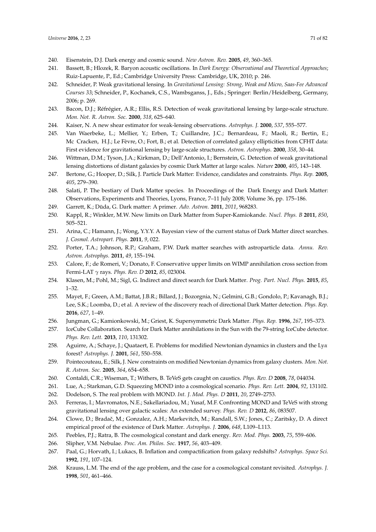- 240. Eisenstein, D.J. Dark energy and cosmic sound. *New Astron. Rev.* **2005**, *49*, 360–365.
- 241. Bassett, B.; Hlozek, R. Baryon acoustic oscillations. In *Dark Energy: Observational and Theoretical Approaches*; Ruiz-Lapuente, P., Ed.; Cambridge University Press: Cambridge, UK, 2010; p. 246.
- 242. Schneider, P. Weak gravitational lensing. In *Gravitational Lensing: Strong, Weak and Micro, Saas-Fee Advanced Courses 33*; Schneider, P., Kochanek, C.S., Wambsganss, J., Eds.; Springer: Berlin/Heidelberg, Germany, 2006; p. 269.
- 243. Bacon, D.J.; Réfrégier, A.R.; Ellis, R.S. Detection of weak gravitational lensing by large-scale structure. *Mon. Not. R. Astron. Soc.* **2000**, *318*, 625–640.
- 244. Kaiser, N. A new shear estimator for weak-lensing observations. *Astrophys. J.* **2000**, *537*, 555–577.
- 245. Van Waerbeke, L.; Mellier, Y.; Erben, T.; Cuillandre, J.C.; Bernardeau, F.; Maoli, R.; Bertin, E.; Mc Cracken, H.J.; Le Fèvre, O.; Fort, B.; et al. Detection of correlated galaxy ellipticities from CFHT data: First evidence for gravitational lensing by large-scale structures. *Astron. Astrophys.* **2000**, *358*, 30–44.
- 246. Wittman, D.M.; Tyson, J.A.; Kirkman, D.; Dell'Antonio, I.; Bernstein, G. Detection of weak gravitational lensing distortions of distant galaxies by cosmic Dark Matter at large scales. *Nature* **2000**, *405*, 143–148.
- 247. Bertone, G.; Hooper, D.; Silk, J. Particle Dark Matter: Evidence, candidates and constraints. *Phys. Rep.* **2005**, *405*, 279–390.
- 248. Salati, P. The bestiary of Dark Matter species. In Proceedings of the Dark Energy and Dark Matter: Observations, Experiments and Theories, Lyons, France, 7–11 July 2008; Volume 36, pp. 175–186.
- 249. Garrett, K.; Dūda, G. Dark matter: A primer. Adv. Astron. 2011, 2011, 968283.
- 250. Kappl, R.; Winkler, M.W. New limits on Dark Matter from Super-Kamiokande. *Nucl. Phys. B* **2011**, *850*, 505–521.
- 251. Arina, C.; Hamann, J.; Wong, Y.Y.Y. A Bayesian view of the current status of Dark Matter direct searches. *J. Cosmol. Astropart. Phys.* **2011**, *9*, 022.
- 252. Porter, T.A.; Johnson, R.P.; Graham, P.W. Dark matter searches with astroparticle data. *Annu. Rev. Astron. Astrophys.* **2011**, *49*, 155–194.
- 253. Calore, F.; de Romeri, V.; Donato, F. Conservative upper limits on WIMP annihilation cross section from Fermi-LAT *γ* rays. *Phys. Rev. D* **2012**, *85*, 023004.
- 254. Klasen, M.; Pohl, M.; Sigl, G. Indirect and direct search for Dark Matter. *Prog. Part. Nucl. Phys.* **2015**, *85*, 1–32.
- 255. Mayet, F.; Green, A.M.; Battat, J.B.R.; Billard, J.; Bozorgnia, N.; Gelmini, G.B.; Gondolo, P.; Kavanagh, B.J.; Lee, S.K.; Loomba, D.; et al. A review of the discovery reach of directional Dark Matter detection. *Phys. Rep.* **2016**, *627*, 1–49.
- 256. Jungman, G.; Kamionkowski, M.; Griest, K. Supersymmetric Dark Matter. *Phys. Rep.* **1996**, *267*, 195–373.
- 257. IceCube Collaboration. Search for Dark Matter annihilations in the Sun with the 79-string IceCube detector. *Phys. Rev. Lett.* **2013**, *110*, 131302.
- 258. Aguirre, A.; Schaye, J.; Quataert, E. Problems for modified Newtonian dynamics in clusters and the Ly*α* forest? *Astrophys. J.* **2001**, *561*, 550–558.
- 259. Pointecouteau, E.; Silk, J. New constraints on modified Newtonian dynamics from galaxy clusters. *Mon. Not. R. Astron. Soc.* **2005**, *364*, 654–658.
- 260. Contaldi, C.R.; Wiseman, T.; Withers, B. TeVeS gets caught on caustics. *Phys. Rev. D* **2008**, *78*, 044034.
- 261. Lue, A.; Starkman, G.D. Squeezing MOND into a cosmological scenario. *Phys. Rev. Lett.* **2004**, *92*, 131102.
- 262. Dodelson, S. The real problem with MOND. *Int. J. Mod. Phys. D* **2011**, *20*, 2749–2753.
- 263. Ferreras, I.; Mavromatos, N.E.; Sakellariadou, M.; Yusaf, M.F. Confronting MOND and TeVeS with strong gravitational lensing over galactic scales: An extended survey. *Phys. Rev. D* **2012**, *86*, 083507.
- 264. Clowe, D.; Bradač, M.; Gonzalez, A.H.; Markevitch, M.; Randall, S.W.; Jones, C.; Zaritsky, D. A direct empirical proof of the existence of Dark Matter. *Astrophys. J.* **2006**, *648*, L109–L113.
- 265. Peebles, P.J.; Ratra, B. The cosmological constant and dark energy. *Rev. Mod. Phys.* **2003**, *75*, 559–606.
- 266. Slipher, V.M. Nebulae. *Proc. Am. Philos. Soc.* **1917**, *56*, 403–409.
- 267. Paal, G.; Horvath, I.; Lukacs, B. Inflation and compactification from galaxy redshifts? *Astrophys. Space Sci.* **1992**, *191*, 107–124.
- 268. Krauss, L.M. The end of the age problem, and the case for a cosmological constant revisited. *Astrophys. J.* **1998**, *501*, 461–466.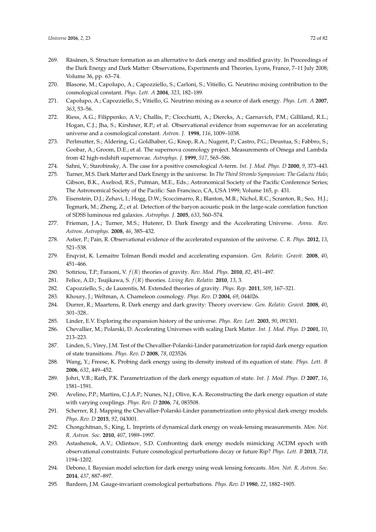- <span id="page-71-8"></span>269. Räsänen, S. Structure formation as an alternative to dark energy and modified gravity. In Proceedings of the Dark Energy and Dark Matter: Observations, Experiments and Theories, Lyons, France, 7–11 July 2008; Volume 36, pp. 63–74.
- 270. Blasone, M.; Capolupo, A.; Capozziello, S.; Carloni, S.; Vitiello, G. Neutrino mixing contribution to the cosmological constant. *Phys. Lett. A* **2004**, *323*, 182–189.
- 271. Capolupo, A.; Capozziello, S.; Vitiello, G. Neutrino mixing as a source of dark energy. *Phys. Lett. A* **2007**, *363*, 53–56.
- 272. Riess, A.G.; Filippenko, A.V.; Challis, P.; Clocchiatti, A.; Diercks, A.; Garnavich, P.M.; Gilliland, R.L.; Hogan, C.J.; Jha, S.; Kirshner, R.P.; et al. Observational evidence from supernovae for an accelerating universe and a cosmological constant. *Astron. J.* **1998**, *116*, 1009–1038.
- 273. Perlmutter, S.; Aldering, G.; Goldhaber, G.; Knop, R.A.; Nugent, P.; Castro, P.G.; Deustua, S.; Fabbro, S.; Goobar, A.; Groom, D.E.; et al. The supernova cosmology project. Measurements of Omega and Lambda from 42 high-redshift supernovae. *Astrophys. J.* **1999**, *517*, 565–586.
- 274. Sahni, V.; Starobinsky, A. The case for a positive cosmological Λ-term. *Int. J. Mod. Phys. D* **2000**, *9*, 373–443.
- 275. Turner, M.S. Dark Matter and Dark Energy in the universe. In *The Third Stromlo Symposium: The Galactic Halo*; Gibson, B.K., Axelrod, R.S., Putman, M.E., Eds.; Astronomical Society of the Pacific Conference Series; The Astronomical Society of the Pacific: San Francisco, CA, USA 1999; Volume 165, p. 431.
- 276. Eisenstein, D.J.; Zehavi, I.; Hogg, D.W.; Scoccimarro, R.; Blanton, M.R.; Nichol, R.C.; Scranton, R.; Seo, H.J.; Tegmark, M.; Zheng, Z.; et al. Detection of the baryon acoustic peak in the large-scale correlation function of SDSS luminous red galaxies. *Astrophys. J.* **2005**, *633*, 560–574.
- 277. Frieman, J.A.; Turner, M.S.; Huterer, D. Dark Energy and the Accelerating Universe. *Annu. Rev. Astron. Astrophys.* **2008**, *46*, 385–432.
- 278. Astier, P.; Pain, R. Observational evidence of the accelerated expansion of the universe. *C. R. Phys.* **2012**, *13*, 521–538.
- 279. Enqvist, K. Lemaitre Tolman Bondi model and accelerating expansion. *Gen. Relativ. Gravit.* **2008**, *40*, 451–466.
- 280. Sotiriou, T.P.; Faraoni, V. *f*(*R*) theories of gravity. *Rev. Mod. Phys.* **2010**, *82*, 451–497.
- 281. Felice, A.D.; Tsujikawa, S. *f*(*R*) theories. *Living Rev. Relativ.* **2010**, *13*, 3.
- 282. Capozziello, S.; de Laurentis, M. Extended theories of gravity. *Phys. Rep.* **2011**, *509*, 167–321.
- 283. Khoury, J.; Weltman, A. Chameleon cosmology. *Phys. Rev. D* **2004**, *69*, 044026.
- 284. Durrer, R.; Maartens, R. Dark energy and dark gravity: Theory overview. *Gen. Relativ. Gravit.* **2008**, *40*, 301–328..
- <span id="page-71-0"></span>285. Linder, E.V. Exploring the expansion history of the universe. *Phys. Rev. Lett.* **2003**, *90*, 091301.
- <span id="page-71-1"></span>286. Chevallier, M.; Polarski, D. Accelerating Universes with scaling Dark Matter. *Int. J. Mod. Phys. D* **2001**, *10*, 213–223.
- <span id="page-71-2"></span>287. Linden, S.; Virey, J.M. Test of the Chevallier-Polarski-Linder parametrization for rapid dark energy equation of state transitions. *Phys. Rev. D* **2008**, *78*, 023526.
- <span id="page-71-3"></span>288. Wang, Y.; Freese, K. Probing dark energy using its density instead of its equation of state. *Phys. Lett. B* **2006**, *632*, 449–452.
- 289. Johri, V.B.; Rath, P.K. Parametrization of the dark energy equation of state. *Int. J. Mod. Phys. D* **2007**, *16*, 1581–1591.
- 290. Avelino, P.P.; Martins, C.J.A.P.; Nunes, N.J.; Olive, K.A. Reconstructing the dark energy equation of state with varying couplings. *Phys. Rev. D* **2006**, *74*, 083508.
- <span id="page-71-4"></span>291. Scherrer, R.J. Mapping the Chevallier-Polarski-Linder parametrization onto physical dark energy models. *Phys. Rev. D* **2015**, *92*, 043001.
- <span id="page-71-5"></span>292. Chongchitnan, S.; King, L. Imprints of dynamical dark energy on weak-lensing measurements. *Mon. Not. R. Astron. Soc.* **2010**, *407*, 1989–1997.
- 293. Astashenok, A.V.; Odintsov, S.D. Confronting dark energy models mimicking ΛCDM epoch with observational constraints: Future cosmological perturbations decay or future Rip? *Phys. Lett. B* **2013**, *718*, 1194–1202.
- <span id="page-71-6"></span>294. Debono, I. Bayesian model selection for dark energy using weak lensing forecasts. *Mon. Not. R. Astron. Soc.* **2014**, *437*, 887–897.
- <span id="page-71-7"></span>295. Bardeen, J.M. Gauge-invariant cosmological perturbations. *Phys. Rev. D* **1980**, *22*, 1882–1905.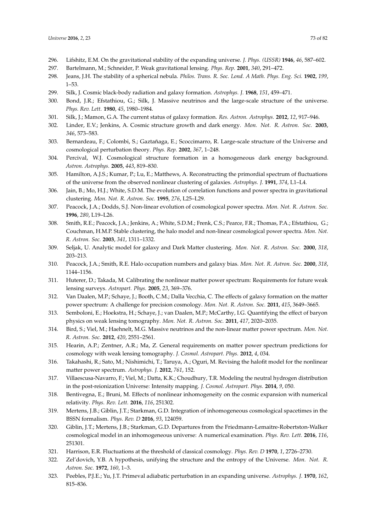- 296. Lifshitz, E.M. On the gravitational stability of the expanding universe. *J. Phys. (USSR)* **1946**, *46*, 587–602.
- 297. Bartelmann, M.; Schneider, P. Weak gravitational lensing. *Phys. Rep.* **2001**, *340*, 291–472.
- 298. Jeans, J.H. The stability of a spherical nebula. *Philos. Trans. R. Soc. Lond. A Math. Phys. Eng. Sci.* **1902**, *199*, 1–53.
- 299. Silk, J. Cosmic black-body radiation and galaxy formation. *Astrophys. J.* **1968**, *151*, 459–471.
- 300. Bond, J.R.; Efstathiou, G.; Silk, J. Massive neutrinos and the large-scale structure of the universe. *Phys. Rev. Lett.* **1980**, *45*, 1980–1984.
- 301. Silk, J.; Mamon, G.A. The current status of galaxy formation. *Res. Astron. Astrophys.* **2012**, *12*, 917–946.
- 302. Linder, E.V.; Jenkins, A. Cosmic structure growth and dark energy. *Mon. Not. R. Astron. Soc.* **2003**, *346*, 573–583.
- 303. Bernardeau, F.; Colombi, S.; Gaztañaga, E.; Scoccimarro, R. Large-scale structure of the Universe and cosmological perturbation theory. *Phys. Rep.* **2002**, *367*, 1–248.
- 304. Percival, W.J. Cosmological structure formation in a homogeneous dark energy background. *Astron. Astrophys.* **2005**, *443*, 819–830.
- 305. Hamilton, A.J.S.; Kumar, P.; Lu, E.; Matthews, A. Reconstructing the primordial spectrum of fluctuations of the universe from the observed nonlinear clustering of galaxies. *Astrophys. J.* **1991**, *374*, L1–L4.
- 306. Jain, B.; Mo, H.J.; White, S.D.M. The evolution of correlation functions and power spectra in gravitational clustering. *Mon. Not. R. Astron. Soc.* **1995**, *276*, L25–L29.
- 307. Peacock, J.A.; Dodds, S.J. Non-linear evolution of cosmological power spectra. *Mon. Not. R. Astron. Soc.* **1996**, *280*, L19–L26.
- 308. Smith, R.E.; Peacock, J.A.; Jenkins, A.; White, S.D.M.; Frenk, C.S.; Pearce, F.R.; Thomas, P.A.; Efstathiou, G.; Couchman, H.M.P. Stable clustering, the halo model and non-linear cosmological power spectra. *Mon. Not. R. Astron. Soc.* **2003**, *341*, 1311–1332.
- 309. Seljak, U. Analytic model for galaxy and Dark Matter clustering. *Mon. Not. R. Astron. Soc.* **2000**, *318*, 203–213.
- 310. Peacock, J.A.; Smith, R.E. Halo occupation numbers and galaxy bias. *Mon. Not. R. Astron. Soc.* **2000**, *318*, 1144–1156.
- 311. Huterer, D.; Takada, M. Calibrating the nonlinear matter power spectrum: Requirements for future weak lensing surveys. *Astropart. Phys.* **2005**, *23*, 369–376.
- 312. Van Daalen, M.P.; Schaye, J.; Booth, C.M.; Dalla Vecchia, C. The effects of galaxy formation on the matter power spectrum: A challenge for precision cosmology. *Mon. Not. R. Astron. Soc.* **2011**, *415*, 3649–3665.
- 313. Semboloni, E.; Hoekstra, H.; Schaye, J.; van Daalen, M.P.; McCarthy, I.G. Quantifying the effect of baryon physics on weak lensing tomography. *Mon. Not. R. Astron. Soc.* **2011**, *417*, 2020–2035.
- 314. Bird, S.; Viel, M.; Haehnelt, M.G. Massive neutrinos and the non-linear matter power spectrum. *Mon. Not. R. Astron. Soc.* **2012**, *420*, 2551–2561.
- 315. Hearin, A.P.; Zentner, A.R.; Ma, Z. General requirements on matter power spectrum predictions for cosmology with weak lensing tomography. *J. Cosmol. Astropart. Phys.* **2012**, *4*, 034.
- 316. Takahashi, R.; Sato, M.; Nishimichi, T.; Taruya, A.; Oguri, M. Revising the halofit model for the nonlinear matter power spectrum. *Astrophys. J.* **2012**, *761*, 152.
- 317. Villaescusa-Navarro, F.; Viel, M.; Datta, K.K.; Choudhury, T.R. Modeling the neutral hydrogen distribution in the post-reionization Universe: Intensity mapping. *J. Cosmol. Astropart. Phys.* **2014**, *9*, 050.
- 318. Bentivegna, E.; Bruni, M. Effects of nonlinear inhomogeneity on the cosmic expansion with numerical relativity. *Phys. Rev. Lett.* **2016**, *116*, 251302.
- 319. Mertens, J.B.; Giblin, J.T.; Starkman, G.D. Integration of inhomogeneous cosmological spacetimes in the BSSN formalism. *Phys. Rev. D* **2016**, *93*, 124059.
- 320. Giblin, J.T.; Mertens, J.B.; Starkman, G.D. Departures from the Friedmann-Lemaitre-Robertston-Walker cosmological model in an inhomogeneous universe: A numerical examination. *Phys. Rev. Lett.* **2016**, *116*, 251301.
- 321. Harrison, E.R. Fluctuations at the threshold of classical cosmology. *Phys. Rev. D* **1970**, *1*, 2726–2730.
- 322. Zel'dovich, Y.B. A hypothesis, unifying the structure and the entropy of the Universe. *Mon. Not. R. Astron. Soc.* **1972**, *160*, 1–3.
- 323. Peebles, P.J.E.; Yu, J.T. Primeval adiabatic perturbation in an expanding universe. *Astrophys. J.* **1970**, *162*, 815–836.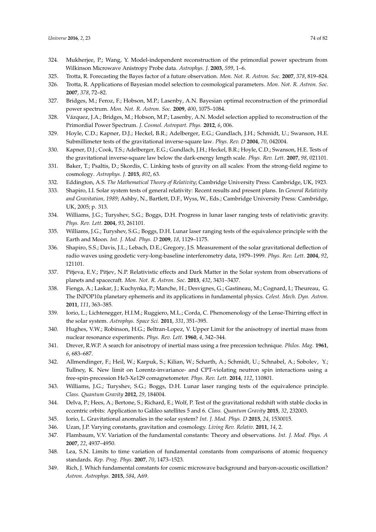- 324. Mukherjee, P.; Wang, Y. Model-independent reconstruction of the primordial power spectrum from Wilkinson Microwave Anistropy Probe data. *Astrophys. J.* **2003**, *599*, 1–6.
- 325. Trotta, R. Forecasting the Bayes factor of a future observation. *Mon. Not. R. Astron. Soc.* **2007**, *378*, 819–824.
- 326. Trotta, R. Applications of Bayesian model selection to cosmological parameters. *Mon. Not. R. Astron. Soc.* **2007**, *378*, 72–82.
- 327. Bridges, M.; Feroz, F.; Hobson, M.P.; Lasenby, A.N. Bayesian optimal reconstruction of the primordial power spectrum. *Mon. Not. R. Astron. Soc.* **2009**, *400*, 1075–1084.
- 328. Vázquez, J.A.; Bridges, M.; Hobson, M.P.; Lasenby, A.N. Model selection applied to reconstruction of the Primordial Power Spectrum. *J. Cosmol. Astropart. Phys.* **2012**, *6*, 006.
- 329. Hoyle, C.D.; Kapner, D.J.; Heckel, B.R.; Adelberger, E.G.; Gundlach, J.H.; Schmidt, U.; Swanson, H.E. Submillimeter tests of the gravitational inverse-square law. *Phys. Rev. D* **2004**, *70*, 042004.
- 330. Kapner, D.J.; Cook, T.S.; Adelberger, E.G.; Gundlach, J.H.; Heckel, B.R.; Hoyle, C.D.; Swanson, H.E. Tests of the gravitational inverse-square law below the dark-energy length scale. *Phys. Rev. Lett.* **2007**, *98*, 021101.
- 331. Baker, T.; Psaltis, D.; Skordis, C. Linking tests of gravity on all scales: From the strong-field regime to cosmology. *Astrophys. J.* **2015**, *802*, 63.
- 332. Eddington, A.S. *The Mathematical Theory of Relativity*; Cambridge University Press: Cambridge, UK, 1923.
- 333. Shapiro, I.I. Solar system tests of general relativity: Recent results and present plans. In *General Relativity and Gravitation, 1989*; Ashby, N., Bartlett, D.F., Wyss, W., Eds.; Cambridge University Press: Cambridge, UK, 2005; p. 313.
- 334. Williams, J.G.; Turyshev, S.G.; Boggs, D.H. Progress in lunar laser ranging tests of relativistic gravity. *Phys. Rev. Lett.* **2004**, *93*, 261101.
- 335. Williams, J.G.; Turyshev, S.G.; Boggs, D.H. Lunar laser ranging tests of the equivalence principle with the Earth and Moon. *Int. J. Mod. Phys. D* **2009**, *18*, 1129–1175.
- 336. Shapiro, S.S.; Davis, J.L.; Lebach, D.E.; Gregory, J.S. Measurement of the solar gravitational deflection of radio waves using geodetic very-long-baseline interferometry data, 1979–1999. *Phys. Rev. Lett.* **2004**, *92*, 121101.
- 337. Pitjeva, E.V.; Pitjev, N.P. Relativistic effects and Dark Matter in the Solar system from observations of planets and spacecraft. *Mon. Not. R. Astron. Soc.* **2013**, *432*, 3431–3437.
- 338. Fienga, A.; Laskar, J.; Kuchynka, P.; Manche, H.; Desvignes, G.; Gastineau, M.; Cognard, I.; Theureau, G. The INPOP10a planetary ephemeris and its applications in fundamental physics. *Celest. Mech. Dyn. Astron.* **2011**, *111*, 363–385.
- 339. Iorio, L.; Lichtenegger, H.I.M.; Ruggiero, M.L.; Corda, C. Phenomenology of the Lense-Thirring effect in the solar system. *Astrophys. Space Sci.* **2011**, *331*, 351–395.
- 340. Hughes, V.W.; Robinson, H.G.; Beltran-Lopez, V. Upper Limit for the anisotropy of inertial mass from nuclear resonance experiments. *Phys. Rev. Lett.* **1960**, *4*, 342–344.
- 341. Drever, R.W.P. A search for anisotropy of inertial mass using a free precession technique. *Philos. Mag.* **1961**, *6*, 683–687.
- 342. Allmendinger, F.; Heil, W.; Karpuk, S.; Kilian, W.; Scharth, A.; Schmidt, U.; Schnabel, A.; Sobolev, Y.; Tullney, K. New limit on Lorentz-invariance- and CPT-violating neutron spin interactions using a free-spin-precession He3-Xe129 comagnetometer. *Phys. Rev. Lett.* **2014**, *112*, 110801.
- 343. Williams, J.G.; Turyshev, S.G.; Boggs, D.H. Lunar laser ranging tests of the equivalence principle. *Class. Quantum Gravity* **2012**, *29*, 184004.
- 344. Delva, P.; Hees, A.; Bertone, S.; Richard, E.; Wolf, P. Test of the gravitational redshift with stable clocks in eccentric orbits: Application to Galileo satellites 5 and 6. *Class. Quantum Gravity* **2015**, *32*, 232003.
- 345. Iorio, L. Gravitational anomalies in the solar system? *Int. J. Mod. Phys. D* **2015**, *24*, 1530015.
- 346. Uzan, J.P. Varying constants, gravitation and cosmology. *Living Rev. Relativ.* **2011**, *14*, 2.
- 347. Flambaum, V.V. Variation of the fundamental constants: Theory and observations. *Int. J. Mod. Phys. A* **2007**, *22*, 4937–4950.
- 348. Lea, S.N. Limits to time variation of fundamental constants from comparisons of atomic frequency standards. *Rep. Prog. Phys.* **2007**, *70*, 1473–1523.
- 349. Rich, J. Which fundamental constants for cosmic microwave background and baryon-acoustic oscillation? *Astron. Astrophys.* **2015**, *584*, A69.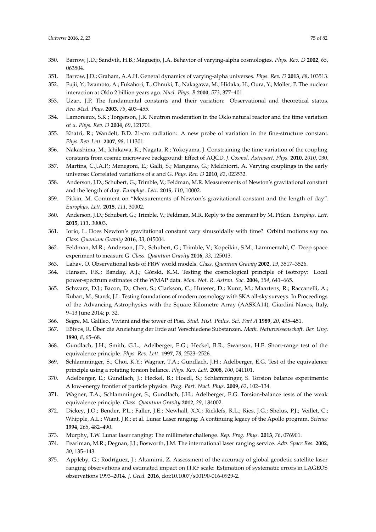- 350. Barrow, J.D.; Sandvik, H.B.; Magueijo, J.A. Behavior of varying-alpha cosmologies. *Phys. Rev. D* **2002**, *65*, 063504.
- 351. Barrow, J.D.; Graham, A.A.H. General dynamics of varying-alpha universes. *Phys. Rev. D* **2013**, *88*, 103513.
- 352. Fujii, Y.; Iwamoto, A.; Fukahori, T.; Ohnuki, T.; Nakagawa, M.; Hidaka, H.; Oura, Y.; Möller, P. The nuclear interaction at Oklo 2 billion years ago. *Nucl. Phys. B* **2000**, *573*, 377–401.
- 353. Uzan, J.P. The fundamental constants and their variation: Observational and theoretical status. *Rev. Mod. Phys.* **2003**, *75*, 403–455.
- 354. Lamoreaux, S.K.; Torgerson, J.R. Neutron moderation in the Oklo natural reactor and the time variation of *α*. *Phys. Rev. D* **2004**, *69*, 121701.
- 355. Khatri, R.; Wandelt, B.D. 21-cm radiation: A new probe of variation in the fine-structure constant. *Phys. Rev. Lett.* **2007**, *98*, 111301.
- 356. Nakashima, M.; Ichikawa, K.; Nagata, R.; Yokoyama, J. Constraining the time variation of the coupling constants from cosmic microwave background: Effect of ΛQCD. *J. Cosmol. Astropart. Phys.* **2010**, *2010*, 030.
- 357. Martins, C.J.A.P.; Menegoni, E.; Galli, S.; Mangano, G.; Melchiorri, A. Varying couplings in the early universe: Correlated variations of *α* and G. *Phys. Rev. D* **2010**, *82*, 023532.
- 358. Anderson, J.D.; Schubert, G.; Trimble, V.; Feldman, M.R. Measurements of Newton's gravitational constant and the length of day. *Europhys. Lett.* **2015**, *110*, 10002.
- 359. Pitkin, M. Comment on "Measurements of Newton's gravitational constant and the length of day". *Europhys. Lett.* **2015**, *111*, 30002.
- 360. Anderson, J.D.; Schubert, G.; Trimble, V.; Feldman, M.R. Reply to the comment by M. Pitkin. *Europhys. Lett.* **2015**, *111*, 30003.
- 361. Iorio, L. Does Newton's gravitational constant vary sinusoidally with time? Orbital motions say no. *Class. Quantum Gravity* **2016**, *33*, 045004.
- 362. Feldman, M.R.; Anderson, J.D.; Schubert, G.; Trimble, V.; Kopeikin, S.M.; Lämmerzahl, C. Deep space experiment to measure G. *Class. Quantum Gravity* **2016**, *33*, 125013.
- 363. Lahav, O. Observational tests of FRW world models. *Class. Quantum Gravity* **2002**, *19*, 3517–3526.
- 364. Hansen, F.K.; Banday, A.J.; Górski, K.M. Testing the cosmological principle of isotropy: Local power-spectrum estimates of the WMAP data. *Mon. Not. R. Astron. Soc.* **2004**, *354*, 641–665.
- 365. Schwarz, D.J.; Bacon, D.; Chen, S.; Clarkson, C.; Huterer, D.; Kunz, M.; Maartens, R.; Raccanelli, A.; Rubart, M.; Starck, J.L. Testing foundations of modern cosmology with SKA all-sky surveys. In Proceedings of the Advancing Astrophysics with the Square Kilometre Array (AASKA14), Giardini Naxos, Italy, 9–13 June 2014; p. 32.
- 366. Segre, M. Galileo, Viviani and the tower of Pisa. *Stud. Hist. Philos. Sci. Part A* **1989**, *20*, 435–451.
- 367. Eötvos, R. Über die Anziehung der Erde auf Verschiedene Substanzen. *Math. Naturwissenschaft. Ber. Ung.* **1890**, *8*, 65–68.
- 368. Gundlach, J.H.; Smith, G.L.; Adelberger, E.G.; Heckel, B.R.; Swanson, H.E. Short-range test of the equivalence principle. *Phys. Rev. Lett.* **1997**, *78*, 2523–2526.
- 369. Schlamminger, S.; Choi, K.Y.; Wagner, T.A.; Gundlach, J.H.; Adelberger, E.G. Test of the equivalence principle using a rotating torsion balance. *Phys. Rev. Lett.* **2008**, *100*, 041101.
- 370. Adelberger, E.; Gundlach, J.; Heckel, B.; Hoedl, S.; Schlamminger, S. Torsion balance experiments: A low-energy frontier of particle physics. *Prog. Part. Nucl. Phys.* **2009**, *62*, 102–134.
- 371. Wagner, T.A.; Schlamminger, S.; Gundlach, J.H.; Adelberger, E.G. Torsion-balance tests of the weak equivalence principle. *Class. Quantum Gravity* **2012**, *29*, 184002.
- 372. Dickey, J.O.; Bender, P.L.; Faller, J.E.; Newhall, X.X.; Ricklefs, R.L.; Ries, J.G.; Shelus, P.J.; Veillet, C.; Whipple, A.L.; Wiant, J.R.; et al. Lunar Laser ranging: A continuing legacy of the Apollo program. *Science* **1994**, *265*, 482–490.
- 373. Murphy, T.W. Lunar laser ranging: The millimeter challenge. *Rep. Prog. Phys.* **2013**, *76*, 076901.
- 374. Pearlman, M.R.; Degnan, J.J.; Bosworth, J.M. The international laser ranging service. *Adv. Space Res.* **2002**, *30*, 135–143.
- 375. Appleby, G.; Rodríguez, J.; Altamimi, Z. Assessment of the accuracy of global geodetic satellite laser ranging observations and estimated impact on ITRF scale: Estimation of systematic errors in LAGEOS observations 1993–2014. *J. Geod.* **2016**, doi:10.1007/s00190-016-0929-2.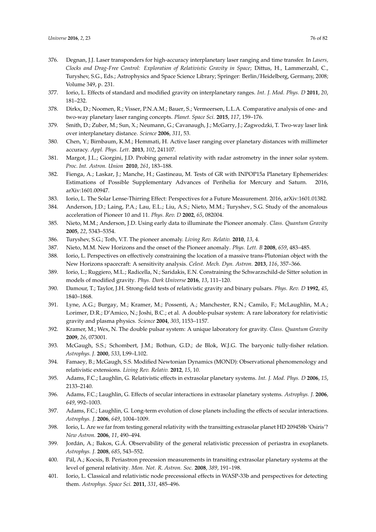- 376. Degnan, J.J. Laser transponders for high-accuracy interplanetary laser ranging and time transfer. In *Lasers, Clocks and Drag-Free Control: Exploration of Relativistic Gravity in Space*; Dittus, H., Lammerzahl, C., Turyshev, S.G., Eds.; Astrophysics and Space Science Library; Springer: Berlin/Heidelberg, Germany, 2008; Volume 349, p. 231.
- 377. Iorio, L. Effects of standard and modified gravity on interplanetary ranges. *Int. J. Mod. Phys. D* **2011**, *20*, 181–232.
- 378. Dirkx, D.; Noomen, R.; Visser, P.N.A.M.; Bauer, S.; Vermeersen, L.L.A. Comparative analysis of one- and two-way planetary laser ranging concepts. *Planet. Space Sci.* **2015**, *117*, 159–176.
- 379. Smith, D.; Zuber, M.; Sun, X.; Neumann, G.; Cavanaugh, J.; McGarry, J.; Zagwodzki, T. Two-way laser link over interplanetary distance. *Science* **2006**, *311*, 53.
- 380. Chen, Y.; Birnbaum, K.M.; Hemmati, H. Active laser ranging over planetary distances with millimeter accuracy. *Appl. Phys. Lett.* **2013**, *102*, 241107.
- 381. Margot, J.L.; Giorgini, J.D. Probing general relativity with radar astrometry in the inner solar system. *Proc. Int. Astron. Union* **2010**, *261*, 183–188.
- 382. Fienga, A.; Laskar, J.; Manche, H.; Gastineau, M. Tests of GR with INPOP15a Planetary Ephemerides: Estimations of Possible Supplementary Advances of Perihelia for Mercury and Saturn. 2016, arXiv:1601.00947.
- 383. Iorio, L. The Solar Lense-Thirring Effect: Perspectives for a Future Measurement. 2016, arXiv:1601.01382.
- 384. Anderson, J.D.; Laing, P.A.; Lau, E.L.; Liu, A.S.; Nieto, M.M.; Turyshev, S.G. Study of the anomalous acceleration of Pioneer 10 and 11. *Phys. Rev. D* **2002**, *65*, 082004.
- 385. Nieto, M.M.; Anderson, J.D. Using early data to illuminate the Pioneer anomaly. *Class. Quantum Gravity* **2005**, *22*, 5343–5354.
- 386. Turyshev, S.G.; Toth, V.T. The pioneer anomaly. *Living Rev. Relativ.* **2010**, *13*, 4.
- 387. Nieto, M.M. New Horizons and the onset of the Pioneer anomaly. *Phys. Lett. B* **2008**, *659*, 483–485.
- 388. Iorio, L. Perspectives on effectively constraining the location of a massive trans-Plutonian object with the New Horizons spacecraft: A sensitivity analysis. *Celest. Mech. Dyn. Astron.* **2013**, *116*, 357–366.
- 389. Iorio, L.; Ruggiero, M.L.; Radicella, N.; Saridakis, E.N. Constraining the Schwarzschild-de Sitter solution in models of modified gravity. *Phys. Dark Universe* **2016**, *13*, 111–120.
- 390. Damour, T.; Taylor, J.H. Strong-field tests of relativistic gravity and binary pulsars. *Phys. Rev. D* **1992**, *45*, 1840–1868.
- 391. Lyne, A.G.; Burgay, M.; Kramer, M.; Possenti, A.; Manchester, R.N.; Camilo, F.; McLaughlin, M.A.; Lorimer, D.R.; D'Amico, N.; Joshi, B.C.; et al. A double-pulsar system: A rare laboratory for relativistic gravity and plasma physics. *Science* **2004**, *303*, 1153–1157.
- 392. Kramer, M.; Wex, N. The double pulsar system: A unique laboratory for gravity. *Class. Quantum Gravity* **2009**, *26*, 073001.
- 393. McGaugh, S.S.; Schombert, J.M.; Bothun, G.D.; de Blok, W.J.G. The baryonic tully-fisher relation. *Astrophys. J.* **2000**, *533*, L99–L102.
- 394. Famaey, B.; McGaugh, S.S. Modified Newtonian Dynamics (MOND): Observational phenomenology and relativistic extensions. *Living Rev. Relativ.* **2012**, *15*, 10.
- 395. Adams, F.C.; Laughlin, G. Relativistic effects in extrasolar planetary systems. *Int. J. Mod. Phys. D* **2006**, *15*, 2133–2140.
- 396. Adams, F.C.; Laughlin, G. Effects of secular interactions in extrasolar planetary systems. *Astrophys. J.* **2006**, *649*, 992–1003.
- 397. Adams, F.C.; Laughlin, G. Long-term evolution of close planets including the effects of secular interactions. *Astrophys. J.* **2006**, *649*, 1004–1009.
- 398. Iorio, L. Are we far from testing general relativity with the transitting extrasolar planet HD 209458b 'Osiris'? *New Astron.* **2006**, *11*, 490–494.
- 399. Jordán, A.; Bakos, G.Á. Observability of the general relativistic precession of periastra in exoplanets. *Astrophys. J.* **2008**, *685*, 543–552.
- 400. Pál, A.; Kocsis, B. Periastron precession measurements in transiting extrasolar planetary systems at the level of general relativity. *Mon. Not. R. Astron. Soc.* **2008**, *389*, 191–198.
- 401. Iorio, L. Classical and relativistic node precessional effects in WASP-33b and perspectives for detecting them. *Astrophys. Space Sci.* **2011**, *331*, 485–496.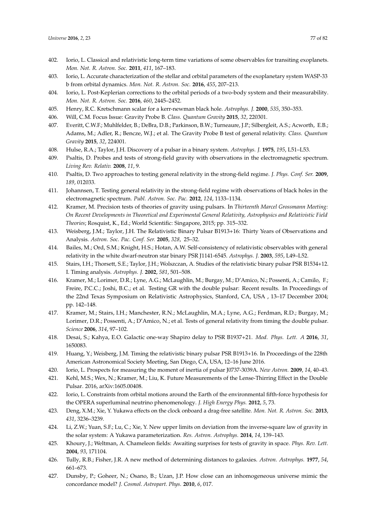- 402. Iorio, L. Classical and relativistic long-term time variations of some observables for transiting exoplanets. *Mon. Not. R. Astron. Soc.* **2011**, *411*, 167–183.
- 403. Iorio, L. Accurate characterization of the stellar and orbital parameters of the exoplanetary system WASP-33 b from orbital dynamics. *Mon. Not. R. Astron. Soc.* **2016**, *455*, 207–213.
- 404. Iorio, L. Post-Keplerian corrections to the orbital periods of a two-body system and their measurability. *Mon. Not. R. Astron. Soc.* **2016**, *460*, 2445–2452.
- 405. Henry, R.C. Kretschmann scalar for a kerr-newman black hole. *Astrophys. J.* **2000**, *535*, 350–353.
- 406. Will, C.M. Focus Issue: Gravity Probe B. *Class. Quantum Gravity* **2015**, *32*, 220301.
- 407. Everitt, C.W.F.; Muhlfelder, B.; DeBra, D.B.; Parkinson, B.W.; Turneaure, J.P.; Silbergleit, A.S.; Acworth, E.B.; Adams, M.; Adler, R.; Bencze, W.J.; et al. The Gravity Probe B test of general relativity. *Class. Quantum Gravity* **2015**, *32*, 224001.
- 408. Hulse, R.A.; Taylor, J.H. Discovery of a pulsar in a binary system. *Astrophys. J.* **1975**, *195*, L51–L53.
- 409. Psaltis, D. Probes and tests of strong-field gravity with observations in the electromagnetic spectrum. *Living Rev. Relativ.* **2008**, *11*, 9.
- 410. Psaltis, D. Two approaches to testing general relativity in the strong-field regime. *J. Phys. Conf. Ser.* **2009**, *189*, 012033.
- 411. Johannsen, T. Testing general relativity in the strong-field regime with observations of black holes in the electromagnetic spectrum. *Publ. Astron. Soc. Pac.* **2012**, *124*, 1133–1134.
- 412. Kramer, M. Precision tests of theories of gravity using pulsars. In *Thirteenth Marcel Grossmann Meeting: On Recent Developments in Theoretical and Experimental General Relativity, Astrophysics and Relativistic Field Theories*; Rosquist, K., Ed.; World Scientific: Singapore, 2015; pp. 315–332.
- 413. Weisberg, J.M.; Taylor, J.H. The Relativistic Binary Pulsar B1913+16: Thirty Years of Observations and Analysis. *Astron. Soc. Pac. Conf. Ser.* **2005**, *328*, 25–32.
- 414. Bailes, M.; Ord, S.M.; Knight, H.S.; Hotan, A.W. Self-consistency of relativistic observables with general relativity in the white dwarf-neutron star binary PSR J1141-6545. *Astrophys. J.* **2003**, *595*, L49–L52.
- 415. Stairs, I.H.; Thorsett, S.E.; Taylor, J.H.; Wolszczan, A. Studies of the relativistic binary pulsar PSR B1534+12. I. Timing analysis. *Astrophys. J.* **2002**, *581*, 501–508.
- 416. Kramer, M.; Lorimer, D.R.; Lyne, A.G.; McLaughlin, M.; Burgay, M.; D'Amico, N.; Possenti, A.; Camilo, F.; Freire, P.C.C.; Joshi, B.C.; et al. Testing GR with the double pulsar: Recent results. In Proceedings of the 22nd Texas Symposium on Relativistic Astrophysics, Stanford, CA, USA , 13–17 December 2004; pp. 142–148.
- 417. Kramer, M.; Stairs, I.H.; Manchester, R.N.; McLaughlin, M.A.; Lyne, A.G.; Ferdman, R.D.; Burgay, M.; Lorimer, D.R.; Possenti, A.; D'Amico, N.; et al. Tests of general relativity from timing the double pulsar. *Science* **2006**, *314*, 97–102.
- 418. Desai, S.; Kahya, E.O. Galactic one-way Shapiro delay to PSR B1937+21. *Mod. Phys. Lett. A* **2016**, *31*, 1650083.
- 419. Huang, Y.; Weisberg, J.M. Timing the relativistic binary pulsar PSR B1913+16. In Proceedings of the 228th American Astronomical Society Meeting, San Diego, CA, USA, 12–16 June 2016.
- 420. Iorio, L. Prospects for measuring the moment of inertia of pulsar J0737-3039A. *New Astron.* **2009**, *14*, 40–43.
- 421. Kehl, M.S.; Wex, N.; Kramer, M.; Liu, K. Future Measurements of the Lense-Thirring Effect in the Double Pulsar. 2016, arXiv:1605.00408.
- 422. Iorio, L. Constraints from orbital motions around the Earth of the environmental fifth-force hypothesis for the OPERA superluminal neutrino phenomenology. *J. High Energy Phys.* **2012**, *5*, 73.
- 423. Deng, X.M.; Xie, Y. Yukawa effects on the clock onboard a drag-free satellite. *Mon. Not. R. Astron. Soc.* **2013**, *431*, 3236–3239.
- 424. Li, Z.W.; Yuan, S.F.; Lu, C.; Xie, Y. New upper limits on deviation from the inverse-square law of gravity in the solar system: A Yukawa parameterization. *Res. Astron. Astrophys.* **2014**, *14*, 139–143.
- 425. Khoury, J.; Weltman, A. Chameleon fields: Awaiting surprises for tests of gravity in space. *Phys. Rev. Lett.* **2004**, *93*, 171104.
- 426. Tully, R.B.; Fisher, J.R. A new method of determining distances to galaxies. *Astron. Astrophys.* **1977**, *54*, 661–673.
- 427. Dunsby, P.; Goheer, N.; Osano, B.; Uzan, J.P. How close can an inhomogeneous universe mimic the concordance model? *J. Cosmol. Astropart. Phys.* **2010**, *6*, 017.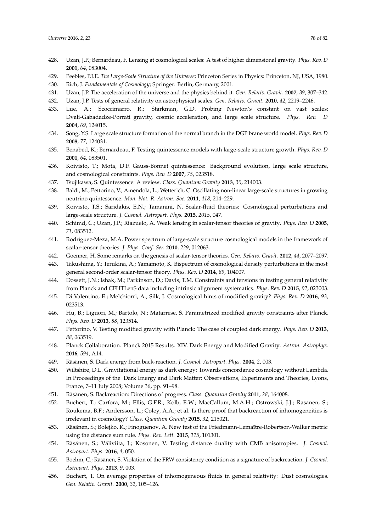- 428. Uzan, J.P.; Bernardeau, F. Lensing at cosmological scales: A test of higher dimensional gravity. *Phys. Rev. D* **2001**, *64*, 083004.
- 429. Peebles, P.J.E. *The Large-Scale Structure of the Universe*; Princeton Series in Physics: Princeton, NJ, USA, 1980.
- 430. Rich, J. *Fundamentals of Cosmology*; Springer: Berlin, Germany, 2001.
- 431. Uzan, J.P. The acceleration of the universe and the physics behind it. *Gen. Relativ. Gravit.* **2007**, *39*, 307–342.
- 432. Uzan, J.P. Tests of general relativity on astrophysical scales. *Gen. Relativ. Gravit.* **2010**, *42*, 2219–2246.
- 433. Lue, A.; Scoccimarro, R.; Starkman, G.D. Probing Newton's constant on vast scales: Dvali-Gabadadze-Porrati gravity, cosmic acceleration, and large scale structure. *Phys. Rev. D* **2004**, *69*, 124015.
- 434. Song, Y.S. Large scale structure formation of the normal branch in the DGP brane world model. *Phys. Rev. D* **2008**, *77*, 124031.
- 435. Benabed, K.; Bernardeau, F. Testing quintessence models with large-scale structure growth. *Phys. Rev. D* **2001**, *64*, 083501.
- 436. Koivisto, T.; Mota, D.F. Gauss-Bonnet quintessence: Background evolution, large scale structure, and cosmological constraints. *Phys. Rev. D* **2007**, *75*, 023518.
- 437. Tsujikawa, S. Quintessence: A review. *Class. Quantum Gravity* **2013**, *30*, 214003.
- 438. Baldi, M.; Pettorino, V.; Amendola, L.; Wetterich, C. Oscillating non-linear large-scale structures in growing neutrino quintessence. *Mon. Not. R. Astron. Soc.* **2011**, *418*, 214–229.
- 439. Koivisto, T.S.; Saridakis, E.N.; Tamanini, N. Scalar-fluid theories: Cosmological perturbations and large-scale structure. *J. Cosmol. Astropart. Phys.* **2015**, *2015*, 047.
- 440. Schimd, C.; Uzan, J.P.; Riazuelo, A. Weak lensing in scalar-tensor theories of gravity. *Phys. Rev. D* **2005**, *71*, 083512.
- 441. Rodríguez-Meza, M.A. Power spectrum of large-scale structure cosmological models in the framework of scalar-tensor theories. *J. Phys. Conf. Ser.* **2010**, *229*, 012063.
- 442. Goenner, H. Some remarks on the genesis of scalar-tensor theories. *Gen. Relativ. Gravit.* **2012**, *44*, 2077–2097.
- 443. Takushima, Y.; Terukina, A.; Yamamoto, K. Bispectrum of cosmological density perturbations in the most general second-order scalar-tensor theory. *Phys. Rev. D* **2014**, *89*, 104007.
- 444. Dossett, J.N.; Ishak, M.; Parkinson, D.; Davis, T.M. Constraints and tensions in testing general relativity from Planck and CFHTLenS data including intrinsic alignment systematics. *Phys. Rev. D* **2015**, *92*, 023003.
- 445. Di Valentino, E.; Melchiorri, A.; Silk, J. Cosmological hints of modified gravity? *Phys. Rev. D* **2016**, *93*, 023513.
- 446. Hu, B.; Liguori, M.; Bartolo, N.; Matarrese, S. Parametrized modified gravity constraints after Planck. *Phys. Rev. D* **2013**, *88*, 123514.
- 447. Pettorino, V. Testing modified gravity with Planck: The case of coupled dark energy. *Phys. Rev. D* **2013**, *88*, 063519.
- 448. Planck Collaboration. Planck 2015 Results. XIV. Dark Energy and Modified Gravity. *Astron. Astrophys.* **2016**, *594*, A14.
- 449. Räsänen, S. Dark energy from back-reaction. *J. Cosmol. Astropart. Phys.* **2004**, *2*, 003.
- 450. Wiltshire, D.L. Gravitational energy as dark energy: Towards concordance cosmology without Lambda. In Proceedings of the Dark Energy and Dark Matter: Observations, Experiments and Theories, Lyons, France, 7–11 July 2008; Volume 36, pp. 91–98.
- 451. Räsänen, S. Backreaction: Directions of progress. *Class. Quantum Gravity* **2011**, *28*, 164008.
- 452. Buchert, T.; Carfora, M.; Ellis, G.F.R.; Kolb, E.W.; MacCallum, M.A.H.; Ostrowski, J.J.; Räsänen, S.; Roukema, B.F.; Andersson, L.; Coley, A.A.; et al. Is there proof that backreaction of inhomogeneities is irrelevant in cosmology? *Class. Quantum Gravity* **2015**, *32*, 215021.
- 453. Räsänen, S.; Bolejko, K.; Finoguenov, A. New test of the Friedmann-Lemaître-Robertson-Walker metric using the distance sum rule. *Phys. Rev. Lett.* **2015**, *115*, 101301.
- 454. Räsänen, S.; Väliviita, J.; Kosonen, V. Testing distance duality with CMB anisotropies. *J. Cosmol. Astropart. Phys.* **2016**, *4*, 050.
- 455. Boehm, C.; Räsänen, S. Violation of the FRW consistency condition as a signature of backreaction. *J. Cosmol. Astropart. Phys.* **2013**, *9*, 003.
- 456. Buchert, T. On average properties of inhomogeneous fluids in general relativity: Dust cosmologies. *Gen. Relativ. Gravit.* **2000**, *32*, 105–126.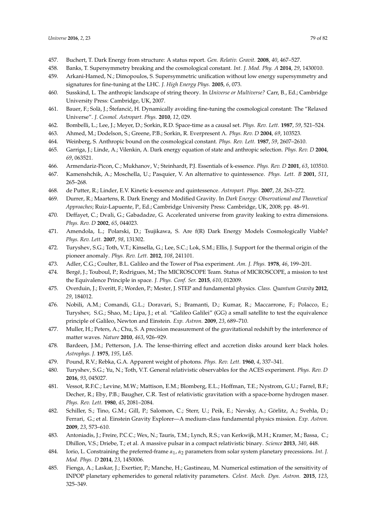- 457. Buchert, T. Dark Energy from structure: A status report. *Gen. Relativ. Gravit.* **2008**, *40*, 467–527.
- 458. Banks, T. Supersymmetry breaking and the cosmological constant. *Int. J. Mod. Phy. A* **2014**, *29*, 1430010.
- 459. Arkani-Hamed, N.; Dimopoulos, S. Supersymmetric unification without low energy supersymmetry and signatures for fine-tuning at the LHC. *J. High Energy Phys.* **2005**, *6*, 073.
- 460. Susskind, L. The anthropic landscape of string theory. In *Universe or Multiverse?* Carr, B., Ed.; Cambridge University Press: Cambridge, UK, 2007.
- 461. Bauer, F.; Solà, J.; Štefancić, H. Dynamically avoiding fine-tuning the cosmological constant: The "Relaxed Universe". *J. Cosmol. Astropart. Phys.* **2010**, *12*, 029.
- 462. Bombelli, L.; Lee, J.; Meyer, D.; Sorkin, R.D. Space-time as a causal set. *Phys. Rev. Lett.* **1987**, *59*, 521–524.
- 463. Ahmed, M.; Dodelson, S.; Greene, P.B.; Sorkin, R. Everpresent Λ. *Phys. Rev. D* **2004**, *69*, 103523.
- 464. Weinberg, S. Anthropic bound on the cosmological constant. *Phys. Rev. Lett.* **1987**, *59*, 2607–2610.
- 465. Garriga, J.; Linde, A.; Vilenkin, A. Dark energy equation of state and anthropic selection. *Phys. Rev. D* **2004**, *69*, 063521.
- 466. Armendariz-Picon, C.; Mukhanov, V.; Steinhardt, P.J. Essentials of k-essence. *Phys. Rev. D* **2001**, *63*, 103510.
- 467. Kamenshchik, A.; Moschella, U.; Pasquier, V. An alternative to quintessence. *Phys. Lett. B* **2001**, *511*, 265–268.
- 468. de Putter, R.; Linder, E.V. Kinetic k-essence and quintessence. *Astropart. Phys.* **2007**, *28*, 263–272.
- 469. Durrer, R.; Maartens, R. Dark Energy and Modified Gravity. In *Dark Energy: Observational and Theoretical Approaches*; Ruiz-Lapuente, P., Ed.; Cambridge University Press: Cambridge, UK, 2008; pp. 48–91.
- 470. Deffayet, C.; Dvali, G.; Gabadadze, G. Accelerated universe from gravity leaking to extra dimensions. *Phys. Rev. D* **2002**, *65*, 044023.
- 471. Amendola, L.; Polarski, D.; Tsujikawa, S. Are f(R) Dark Energy Models Cosmologically Viable? *Phys. Rev. Lett.* **2007**, *98*, 131302.
- 472. Turyshev, S.G.; Toth, V.T.; Kinsella, G.; Lee, S.C.; Lok, S.M.; Ellis, J. Support for the thermal origin of the pioneer anomaly. *Phys. Rev. Lett.* **2012**, *108*, 241101.
- 473. Adler, C.G.; Coulter, B.L. Galileo and the Tower of Pisa experiment. *Am. J. Phys.* **1978**, *46*, 199–201.
- 474. Bergé, J.; Touboul, P.; Rodrigues, M.; The MICROSCOPE Team. Status of MICROSCOPE, a mission to test the Equivalence Principle in space. *J. Phys. Conf. Ser.* **2015**, *610*, 012009.
- 475. Overduin, J.; Everitt, F.; Worden, P.; Mester, J. STEP and fundamental physics. *Class. Quantum Gravity* **2012**, *29*, 184012.
- 476. Nobili, A.M.; Comandi, G.L.; Doravari, S.; Bramanti, D.; Kumar, R.; Maccarrone, F.; Polacco, E.; Turyshev, S.G.; Shao, M.; Lipa, J.; et al. "Galileo Galilei" (GG) a small satellite to test the equivalence principle of Galileo, Newton and Einstein. *Exp. Astron.* **2009**, *23*, 689–710.
- 477. Muller, H.; Peters, A.; Chu, S. A precision measurement of the gravitational redshift by the interference of matter waves. *Nature* **2010**, *463*, 926–929.
- 478. Bardeen, J.M.; Petterson, J.A. The lense-thirring effect and accretion disks around kerr black holes. *Astrophys. J.* **1975**, *195*, L65.
- 479. Pound, R.V.; Rebka, G.A. Apparent weight of photons. *Phys. Rev. Lett.* **1960**, *4*, 337–341.
- 480. Turyshev, S.G.; Yu, N.; Toth, V.T. General relativistic observables for the ACES experiment. *Phys. Rev. D* **2016**, *93*, 045027.
- 481. Vessot, R.F.C.; Levine, M.W.; Mattison, E.M.; Blomberg, E.L.; Hoffman, T.E.; Nystrom, G.U.; Farrel, B.F.; Decher, R.; Eby, P.B.; Baugher, C.R. Test of relativistic gravitation with a space-borne hydrogen maser. *Phys. Rev. Lett.* **1980**, *45*, 2081–2084.
- 482. Schiller, S.; Tino, G.M.; Gill, P.; Salomon, C.; Sterr, U.; Peik, E.; Nevsky, A.; Görlitz, A.; Svehla, D.; Ferrari, G.; et al. Einstein Gravity Explorer—A medium-class fundamental physics mission. *Exp. Astron.* **2009**, *23*, 573–610.
- 483. Antoniadis, J.; Freire, P.C.C.; Wex, N.; Tauris, T.M.; Lynch, R.S.; van Kerkwijk, M.H.; Kramer, M.; Bassa, C.; Dhillon, V.S.; Driebe, T.; et al. A massive pulsar in a compact relativistic binary. *Science* **2013**, *340*, 448.
- 484. Iorio, L. Constraining the preferred-frame *α*<sup>1</sup> , *α*<sup>2</sup> parameters from solar system planetary precessions. *Int. J. Mod. Phys. D* **2014**, *23*, 1450006.
- 485. Fienga, A.; Laskar, J.; Exertier, P.; Manche, H.; Gastineau, M. Numerical estimation of the sensitivity of INPOP planetary ephemerides to general relativity parameters. *Celest. Mech. Dyn. Astron.* **2015**, *123*, 325–349.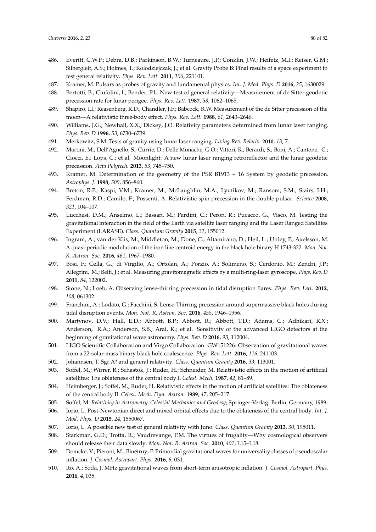- 486. Everitt, C.W.F.; Debra, D.B.; Parkinson, B.W.; Turneaure, J.P.; Conklin, J.W.; Heifetz, M.I.; Keiser, G.M.; Silbergleit, A.S.; Holmes, T.; Kolodziejczak, J.; et al. Gravity Probe B: Final results of a space experiment to test general relativity. *Phys. Rev. Lett.* **2011**, *106*, 221101.
- 487. Kramer, M. Pulsars as probes of gravity and fundamental physics. *Int. J. Mod. Phys. D* **2016**, *25*, 1630029.
- 488. Bertotti, B.; Ciufolini, I.; Bender, P.L. New test of general relativity—Measurement of de Sitter geodetic precession rate for lunar perigee. *Phys. Rev. Lett.* **1987**, *58*, 1062–1065.
- 489. Shapiro, I.I.; Reasenberg, R.D.; Chandler, J.F.; Babcock, R.W. Measurement of the de Sitter precession of the moon—A relativistic three-body effect. *Phys. Rev. Lett.* **1988**, *61*, 2643–2646.
- 490. Williams, J.G.; Newhall, X.X.; Dickey, J.O. Relativity parameters determined from lunar laser ranging. *Phys. Rev. D* **1996**, *53*, 6730–6739.
- 491. Merkowitz, S.M. Tests of gravity using lunar laser ranging. *Living Rev. Relativ.* **2010**, *13*, 7.
- 492. Martini, M.; Dell'Agnello, S.; Currie, D.; Delle Monache, G.O.; Vittori, R.; Berardi, S.; Boni, A.; Cantone, C.; Ciocci, E.; Lops, C.; et al. Moonlight: A new lunar laser ranging retroreflector and the lunar geodetic precession. *Acta Polytech.* **2013**, *53*, 745–750.
- 493. Kramer, M. Determination of the geometry of the PSR B1913 + 16 System by geodetic precession. *Astrophys. J.* **1998**, *509*, 856–860.
- 494. Breton, R.P.; Kaspi, V.M.; Kramer, M.; McLaughlin, M.A.; Lyutikov, M.; Ransom, S.M.; Stairs, I.H.; Ferdman, R.D.; Camilo, F.; Possenti, A. Relativistic spin precession in the double pulsar. *Science* **2008**, *321*, 104–107.
- 495. Lucchesi, D.M.; Anselmo, L.; Bassan, M.; Pardini, C.; Peron, R.; Pucacco, G.; Visco, M. Testing the gravitational interaction in the field of the Earth via satellite laser ranging and the Laser Ranged Satellites Experiment (LARASE). *Class. Quantum Gravity* **2015**, *32*, 155012.
- 496. Ingram, A.; van der Klis, M.; Middleton, M.; Done, C.; Altamirano, D.; Heil, L.; Uttley, P.; Axelsson, M. A quasi-periodic modulation of the iron line centroid energy in the black hole binary H 1743-322. *Mon. Not. R. Astron. Soc.* **2016**, *461*, 1967–1980.
- 497. Bosi, F.; Cella, G.; di Virgilio, A.; Ortolan, A.; Porzio, A.; Solimeno, S.; Cerdonio, M.; Zendri, J.P.; Allegrini, M.; Belfi, J.; et al. Measuring gravitomagnetic effects by a multi-ring-laser gyroscope. *Phys. Rev. D* **2011**, *84*, 122002.
- 498. Stone, N.; Loeb, A. Observing lense-thirring precession in tidal disruption flares. *Phys. Rev. Lett.* **2012**, *108*, 061302.
- 499. Franchini, A.; Lodato, G.; Facchini, S. Lense-Thirring precession around supermassive black holes during tidal disruption events. *Mon. Not. R. Astron. Soc.* **2016**, *455*, 1946–1956.
- 500. Martynov, D.V.; Hall, E.D.; Abbott, B.P.; Abbott, R.; Abbott, T.D.; Adams, C.; Adhikari, R.X.; Anderson, R.A.; Anderson, S.B.; Arai, K.; et al. Sensitivity of the advanced LIGO detectors at the beginning of gravitational wave astronomy. *Phys. Rev. D* **2016**, *93*, 112004.
- 501. LIGO Scientific Collaboration and Virgo Collaboration. GW151226: Observation of gravitational waves from a 22-solar-mass binary black hole coalescence. *Phys. Rev. Lett.* **2016**, *116*, 241103.
- 502. Johannsen, T. Sgr A\* and general relativity. *Class. Quantum Gravity* **2016**, *33*, 113001.
- 503. Soffel, M.; Wirrer, R.; Schastok, J.; Ruder, H.; Schneider, M. Relativistic effects in the motion of artificial satellites: The oblateness of the central body I. *Celest. Mech.* **1987**, *42*, 81–89.
- 504. Heimberger, J.; Soffel, M.; Ruder, H. Relativistic effects in the motion of artificial satellites: The oblateness of the central body II. *Celest. Mech. Dyn. Astron.* **1989**, *47*, 205–217.
- 505. Soffel, M. *Relativity in Astrometry, Celestial Mechanics and Geodesy*; Springer-Verlag: Berlin, Germany, 1989.
- 506. Iorio, L. Post-Newtonian direct and mixed orbital effects due to the oblateness of the central body. *Int. J. Mod. Phys. D* **2015**, *24*, 1550067.
- 507. Iorio, L. A possible new test of general relativity with Juno. *Class. Quantum Gravity* **2013**, *30*, 195011.
- 508. Starkman, G.D.; Trotta, R.; Vaudrevange, P.M. The virtues of frugality—Why cosmological observers should release their data slowly. *Mon. Not. R. Astron. Soc.* **2010**, *401*, L15–L18.
- 509. Domcke, V.; Pieroni, M.; Binétruy, P. Primordial gravitational waves for universality classes of pseudoscalar inflation. *J. Cosmol. Astropart. Phys.* **2016**, *6*, 031.
- 510. Ito, A.; Soda, J. MHz gravitational waves from short-term anisotropic inflation. *J. Cosmol. Astropart. Phys.* **2016**, *4*, 035.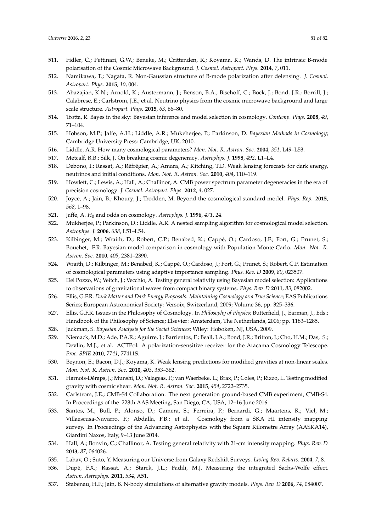- 511. Fidler, C.; Pettinari, G.W.; Beneke, M.; Crittenden, R.; Koyama, K.; Wands, D. The intrinsic B-mode polarisation of the Cosmic Microwave Background. *J. Cosmol. Astropart. Phys.* **2014**, *7*, 011.
- 512. Namikawa, T.; Nagata, R. Non-Gaussian structure of B-mode polarization after delensing. *J. Cosmol. Astropart. Phys.* **2015**, *10*, 004.
- 513. Abazajian, K.N.; Arnold, K.; Austermann, J.; Benson, B.A.; Bischoff, C.; Bock, J.; Bond, J.R.; Borrill, J.; Calabrese, E.; Carlstrom, J.E.; et al. Neutrino physics from the cosmic microwave background and large scale structure. *Astropart. Phys.* **2015**, *63*, 66–80.
- 514. Trotta, R. Bayes in the sky: Bayesian inference and model selection in cosmology. *Contemp. Phys.* **2008**, *49*, 71–104.
- 515. Hobson, M.P.; Jaffe, A.H.; Liddle, A.R.; Mukeherjee, P.; Parkinson, D. *Bayesian Methods in Cosmology*; Cambridge University Press: Cambridge, UK, 2010.
- 516. Liddle, A.R. How many cosmological parameters? *Mon. Not. R. Astron. Soc.* **2004**, *351*, L49–L53.
- 517. Metcalf, R.B.; Silk, J. On breaking cosmic degeneracy. *Astrophys. J.* **1998**, *492*, L1–L4.
- 518. Debono, I.; Rassat, A.; Réfrégier, A.; Amara, A.; Kitching, T.D. Weak lensing forecasts for dark energy, neutrinos and initial conditions. *Mon. Not. R. Astron. Soc.* **2010**, *404*, 110–119.
- 519. Howlett, C.; Lewis, A.; Hall, A.; Challinor, A. CMB power spectrum parameter degeneracies in the era of precision cosmology. *J. Cosmol. Astropart. Phys.* **2012**, *4*, 027.
- 520. Joyce, A.; Jain, B.; Khoury, J.; Trodden, M. Beyond the cosmological standard model. *Phys. Rep.* **2015**, *568*, 1–98.
- 521. Jaffe, A. *H*<sup>0</sup> and odds on cosmology. *Astrophys. J.* **1996**, *471*, 24.
- 522. Mukherjee, P.; Parkinson, D.; Liddle, A.R. A nested sampling algorithm for cosmological model selection. *Astrophys. J.* **2006**, *638*, L51–L54.
- 523. Kilbinger, M.; Wraith, D.; Robert, C.P.; Benabed, K.; Cappé, O.; Cardoso, J.F.; Fort, G.; Prunet, S.; Bouchet, F.R. Bayesian model comparison in cosmology with Population Monte Carlo. *Mon. Not. R. Astron. Soc.* **2010**, *405*, 2381–2390.
- 524. Wraith, D.; Kilbinger, M.; Benabed, K.; Cappé, O.; Cardoso, J.; Fort, G.; Prunet, S.; Robert, C.P. Estimation of cosmological parameters using adaptive importance sampling. *Phys. Rev. D* **2009**, *80*, 023507.
- 525. Del Pozzo, W.; Veitch, J.; Vecchio, A. Testing general relativity using Bayesian model selection: Applications to observations of gravitational waves from compact binary systems. *Phys. Rev. D* **2011**, *83*, 082002.
- 526. Ellis, G.F.R. *Dark Matter and Dark Energy Proposals: Maintaining Cosmology as a True Science*; EAS Publications Series; European Astronomical Society: Versoix, Switzerland, 2009; Volume 36, pp. 325–336.
- 527. Ellis, G.F.R. Issues in the Philosophy of Cosmology. In *Philosophy of Physics*; Butterfield, J., Earman, J., Eds.; Handbook of the Philosophy of Science; Elsevier: Amsterdam, The Netherlands, 2006; pp. 1183–1285.
- 528. Jackman, S. *Bayesian Analysis for the Social Sciences*; Wiley: Hoboken, NJ, USA, 2009.
- 529. Niemack, M.D.; Ade, P.A.R.; Aguirre, J.; Barrientos, F.; Beall, J.A.; Bond, J.R.; Britton, J.; Cho, H.M.; Das, S.; Devlin, M.J.; et al. ACTPol: A polarization-sensitive receiver for the Atacama Cosmology Telescope. *Proc. SPIE* **2010**, *7741*, 77411S.
- 530. Beynon, E.; Bacon, D.J.; Koyama, K. Weak lensing predictions for modified gravities at non-linear scales. *Mon. Not. R. Astron. Soc.* **2010**, *403*, 353–362.
- 531. Harnois-Déraps, J.; Munshi, D.; Valageas, P.; van Waerbeke, L.; Brax, P.; Coles, P.; Rizzo, L. Testing modified gravity with cosmic shear. *Mon. Not. R. Astron. Soc.* **2015**, *454*, 2722–2735.
- 532. Carlstrom, J.E.; CMB-S4 Collaboration. The next generation ground-based CMB experiment, CMB-S4. In Proceedings of the 228th AAS Meeting, San Diego, CA, USA, 12–16 June 2016.
- 533. Santos, M.; Bull, P.; Alonso, D.; Camera, S.; Ferreira, P.; Bernardi, G.; Maartens, R.; Viel, M.; Villaescusa-Navarro, F.; Abdalla, F.B.; et al. Cosmology from a SKA HI intensity mapping survey. In Proceedings of the Advancing Astrophysics with the Square Kilometre Array (AASKA14), Giardini Naxos, Italy, 9–13 June 2014.
- 534. Hall, A.; Bonvin, C.; Challinor, A. Testing general relativity with 21-cm intensity mapping. *Phys. Rev. D* **2013**, *87*, 064026.
- 535. Lahav, O.; Suto, Y. Measuring our Universe from Galaxy Redshift Surveys. *Living Rev. Relativ.* **2004**, *7*, 8.
- 536. Dupé, F.X.; Rassat, A.; Starck, J.L.; Fadili, M.J. Measuring the integrated Sachs-Wolfe effect. *Astron. Astrophys.* **2011**, *534*, A51.
- 537. Stabenau, H.F.; Jain, B. N-body simulations of alternative gravity models. *Phys. Rev. D* **2006**, *74*, 084007.